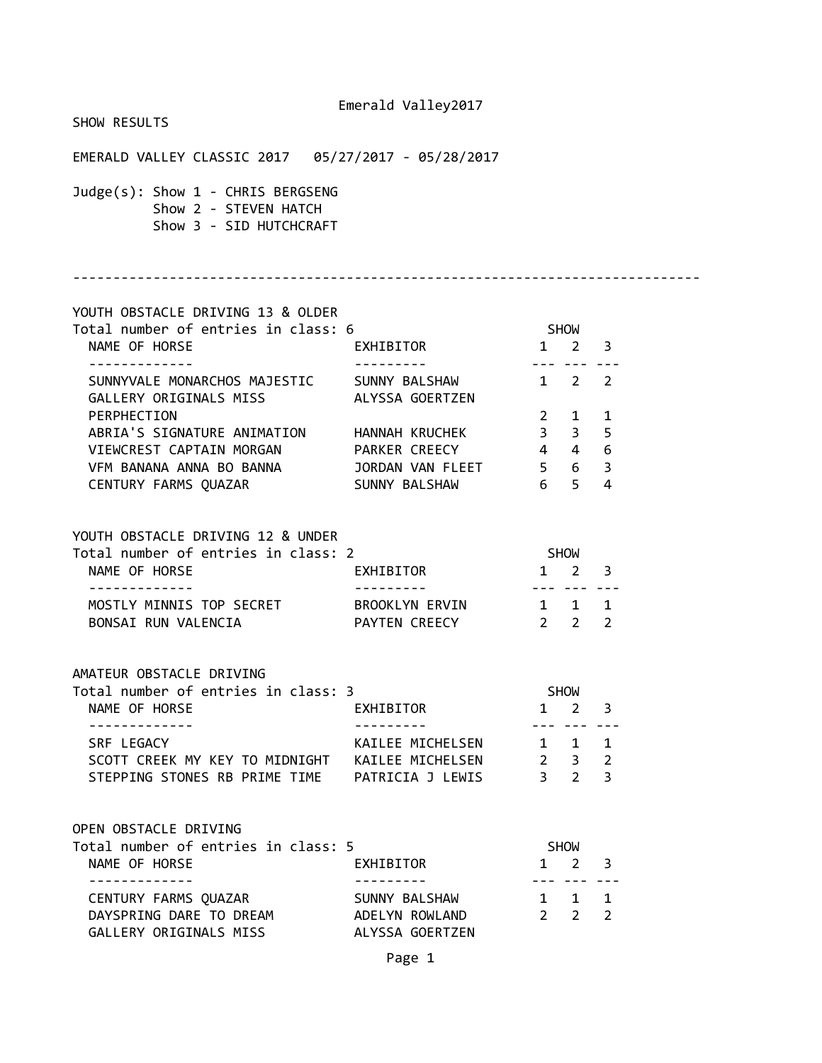| SHOW RESULTS                                                                                                |                  |                                                         |                                    |  |
|-------------------------------------------------------------------------------------------------------------|------------------|---------------------------------------------------------|------------------------------------|--|
|                                                                                                             |                  |                                                         |                                    |  |
| Judge(s): Show 1 - CHRIS BERGSENG<br>Show 2 - STEVEN HATCH<br>Show 3 - SID HUTCHCRAFT                       |                  |                                                         |                                    |  |
| YOUTH OBSTACLE DRIVING 13 & OLDER                                                                           |                  |                                                         |                                    |  |
| Total number of entries in class: 6<br>NAME OF HORSE                                                        | EXHIBITOR 1 2 3  | <b>SHOW</b>                                             |                                    |  |
| -------------<br>SUNNYVALE MONARCHOS MAJESTIC SUNNY BALSHAW 1 2 2<br>GALLERY ORIGINALS MISS ALYSSA GOERTZEN |                  |                                                         |                                    |  |
| PERPHECTION                                                                                                 |                  |                                                         | $2 \qquad 1 \qquad 1$              |  |
| ABRIA'S SIGNATURE ANIMATION HANNAH KRUCHEK                                                                  |                  | $3 \quad 3 \quad 5$                                     |                                    |  |
| VIEWCREST CAPTAIN MORGAN PARKER CREECY 4446                                                                 |                  |                                                         |                                    |  |
| VFM BANANA ANNA BO BANNA JORDAN VAN FLEET 5 6 3                                                             |                  |                                                         |                                    |  |
| CENTURY FARMS QUAZAR SUNNY BALSHAW 6 5 4                                                                    |                  |                                                         |                                    |  |
| YOUTH OBSTACLE DRIVING 12 & UNDER                                                                           |                  |                                                         |                                    |  |
| Total number of entries in class: 2                                                                         |                  | <b>SHOW</b>                                             |                                    |  |
| NAME OF HORSE<br>-------------                                                                              | EXHIBITOR 1 2 3  | -----------                                             |                                    |  |
| MOSTLY MINNIS TOP SECRET BROOKLYN ERVIN 1 1 1                                                               |                  |                                                         |                                    |  |
| BONSAI RUN VALENCIA CONTEN CREECY 2 2 2                                                                     |                  |                                                         |                                    |  |
| AMATEUR OBSTACLE DRIVING                                                                                    |                  |                                                         |                                    |  |
| Total number of entries in class: 3                                                                         |                  |                                                         | <b>SHOW</b>                        |  |
| NAME OF HORSE<br><b>EXHIBITOR</b>                                                                           |                  |                                                         | $1 \quad 2 \quad 3$                |  |
|                                                                                                             |                  |                                                         | --- --- ---                        |  |
| SRF LEGACY                                                                                                  | KAILEE MICHELSEN | $1 \quad 1 \quad 1$                                     |                                    |  |
| SCOTT CREEK MY KEY TO MIDNIGHT KAILEE MICHELSEN                                                             |                  | $\begin{array}{ccc} 2 & 3 & 2 \\ 3 & 2 & 3 \end{array}$ |                                    |  |
| STEPPING STONES RB PRIME TIME PATRICIA J LEWIS                                                              |                  |                                                         |                                    |  |
| OPEN OBSTACLE DRIVING                                                                                       |                  |                                                         |                                    |  |
| Total number of entries in class: 5                                                                         |                  | SHOW                                                    |                                    |  |
| NAME OF HORSE<br>------------                                                                               | EXHIBITOR        |                                                         | $1 \quad 2 \quad 3$<br>--- --- --- |  |
| CENTURY FARMS QUAZAR                                                                                        | SUNNY BALSHAW    | $1 \quad 1 \quad 1$                                     |                                    |  |
| DAYSPRING DARE TO DREAM                                                                                     | ADELYN ROWLAND   |                                                         | $2 \qquad 2 \qquad 2$              |  |
| GALLERY ORIGINALS MISS                                                                                      | ALYSSA GOERTZEN  |                                                         |                                    |  |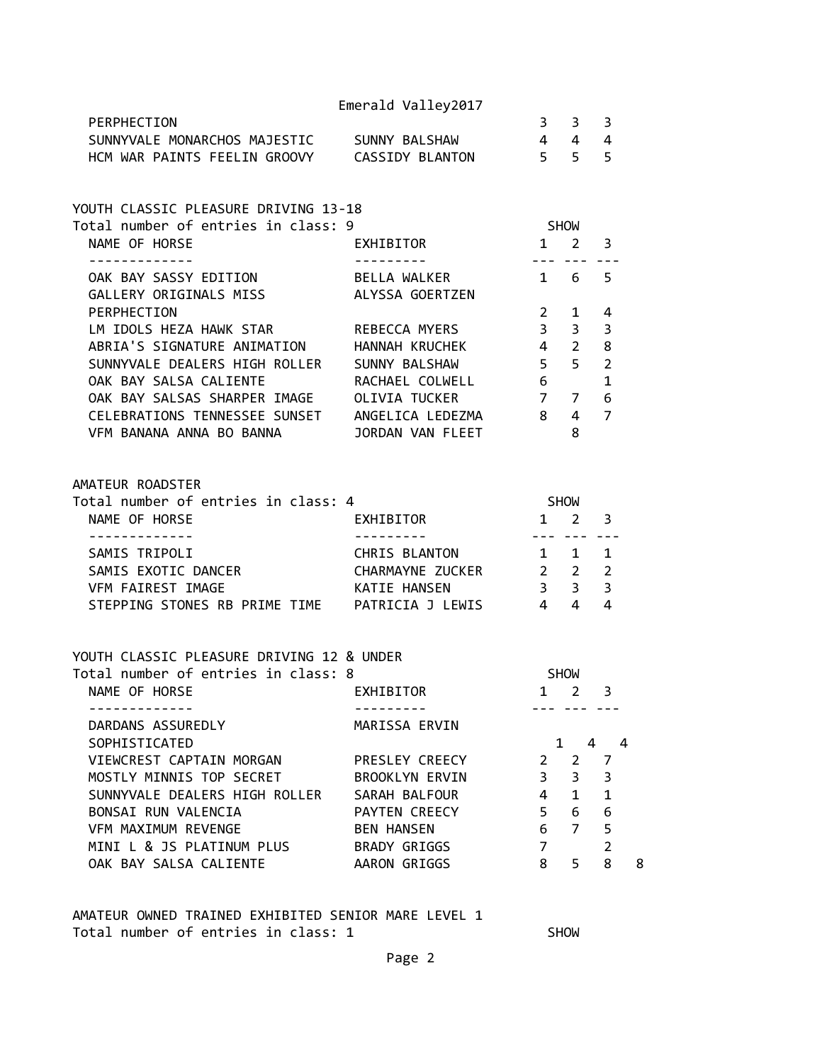|                                                                                                    | Emerald Valley2017           |                                                          |                     |                     |   |
|----------------------------------------------------------------------------------------------------|------------------------------|----------------------------------------------------------|---------------------|---------------------|---|
| PERPHECTION                                                                                        |                              |                                                          | $3 \quad 3 \quad 3$ |                     |   |
| SUNNYVALE MONARCHOS MAJESTIC SUNNY BALSHAW                                                         |                              | $\begin{array}{cccc} 4 & 4 & 4 \\ 5 & 5 & 5 \end{array}$ |                     |                     |   |
| HCM WAR PAINTS FEELIN GROOVY CASSIDY BLANTON                                                       |                              |                                                          |                     |                     |   |
| YOUTH CLASSIC PLEASURE DRIVING 13-18                                                               |                              |                                                          |                     |                     |   |
| Total number of entries in class: 9                                                                |                              | <b>SHOW</b>                                              |                     |                     |   |
| NAME OF HORSE<br>. <u>.</u> .                                                                      | <b>EXHIBITOR</b>             | $1 \quad 2 \quad 3$                                      | <u>--- --- ---</u>  |                     |   |
| OAK BAY SASSY EDITION                                                                              | BELLA WALKER                 | 1 6 5                                                    |                     |                     |   |
| GALLERY ORIGINALS MISS ALYSSA GOERTZEN                                                             |                              |                                                          |                     |                     |   |
| PERPHECTION                                                                                        |                              | $2 \quad 1$                                              |                     | 4                   |   |
| LM IDOLS HEZA HAWK STAR REBECCA MYERS 3 3                                                          |                              |                                                          |                     | 3                   |   |
| ABRIA'S SIGNATURE ANIMATION HANNAH KRUCHEK 4 2 8                                                   |                              |                                                          |                     |                     |   |
| SUNNYVALE DEALERS HIGH ROLLER SUNNY BALSHAW                                                        |                              | $5 \quad 5 \quad 2$                                      |                     |                     |   |
|                                                                                                    |                              | $\begin{array}{c} 6 \\ - \end{array}$                    |                     | 1                   |   |
| OAK BAY SALSA CALIENTE           RACHAEL COLWELL<br>OAK BAY SALSAS SHARPER IMAGE     OLIVIA TUCKER |                              | $7 7 6$                                                  |                     |                     |   |
| CELEBRATIONS TENNESSEE SUNSET ANGELICA LEDEZMA 8 4 7                                               |                              |                                                          |                     |                     |   |
| VFM BANANA ANNA BO BANNA JORDAN VAN FLEET 8                                                        |                              |                                                          |                     |                     |   |
| AMATEUR ROADSTER                                                                                   |                              |                                                          |                     |                     |   |
| Total number of entries in class: 4                                                                |                              | <b>SHOW</b>                                              |                     |                     |   |
| NAME OF HORSE                                                                                      | EXHIBITOR                    | $1 \quad 2 \quad 3$                                      |                     |                     |   |
|                                                                                                    |                              | $- - - -$                                                |                     |                     |   |
| SAMIS TRIPOLI                                                                                      | CHRIS BLANTON 1 1 1          |                                                          |                     |                     |   |
| SAMIS EXOTIC DANCER CHARMAYNE ZUCKER 2 2 2                                                         |                              |                                                          |                     |                     |   |
| VFM FAIREST IMAGE                                                                                  | KATIE HANSEN                 | $3 \quad 3 \quad 3$                                      |                     |                     |   |
| STEPPING STONES RB PRIME TIME PATRICIA J LEWIS 4 4 4                                               |                              |                                                          |                     |                     |   |
|                                                                                                    |                              |                                                          |                     |                     |   |
|                                                                                                    |                              |                                                          |                     |                     |   |
| YOUTH CLASSIC PLEASURE DRIVING 12 & UNDER                                                          |                              |                                                          |                     |                     |   |
| Total number of entries in class: 8                                                                |                              |                                                          | <b>SHOW</b>         |                     |   |
| NAME OF HORSE EXHIBITOR                                                                            |                              | $1 \quad 2 \quad 3$                                      |                     |                     |   |
| DARDANS ASSUREDLY                                                                                  | MARISSA ERVIN                |                                                          |                     |                     |   |
| SOPHISTICATED                                                                                      |                              |                                                          |                     | $1 \quad 4 \quad 4$ |   |
| VIEWCREST CAPTAIN MORGAN                                                                           | PRESLEY CREECY               | 2                                                        | $\overline{2}$      | 7                   |   |
| MOSTLY MINNIS TOP SECRET                                                                           | BROOKLYN ERVIN               | 3 <sup>7</sup>                                           | 3 <sup>7</sup>      | $\overline{3}$      |   |
| SUNNYVALE DEALERS HIGH ROLLER SARAH BALFOUR                                                        |                              | $4 \quad$                                                | $1 \quad$           | $\mathbf{1}$        |   |
| BONSAI RUN VALENCIA                                                                                | PAYTEN CREECY                | 5 <sub>1</sub>                                           | 6 6                 |                     |   |
| VFM MAXIMUM REVENGE                                                                                | <b>BEN HANSEN</b>            | 6                                                        | 7 <sup>7</sup>      | 5                   |   |
| MINI L & JS PLATINUM PLUS<br>OAK BAY SALSA CALIENTE                                                | BRADY GRIGGS<br>AARON GRIGGS | $7^{\circ}$<br>8                                         | 5                   | $\overline{2}$<br>8 | 8 |

AMATEUR OWNED TRAINED EXHIBITED SENIOR MARE LEVEL 1 Total number of entries in class: 1 SHOW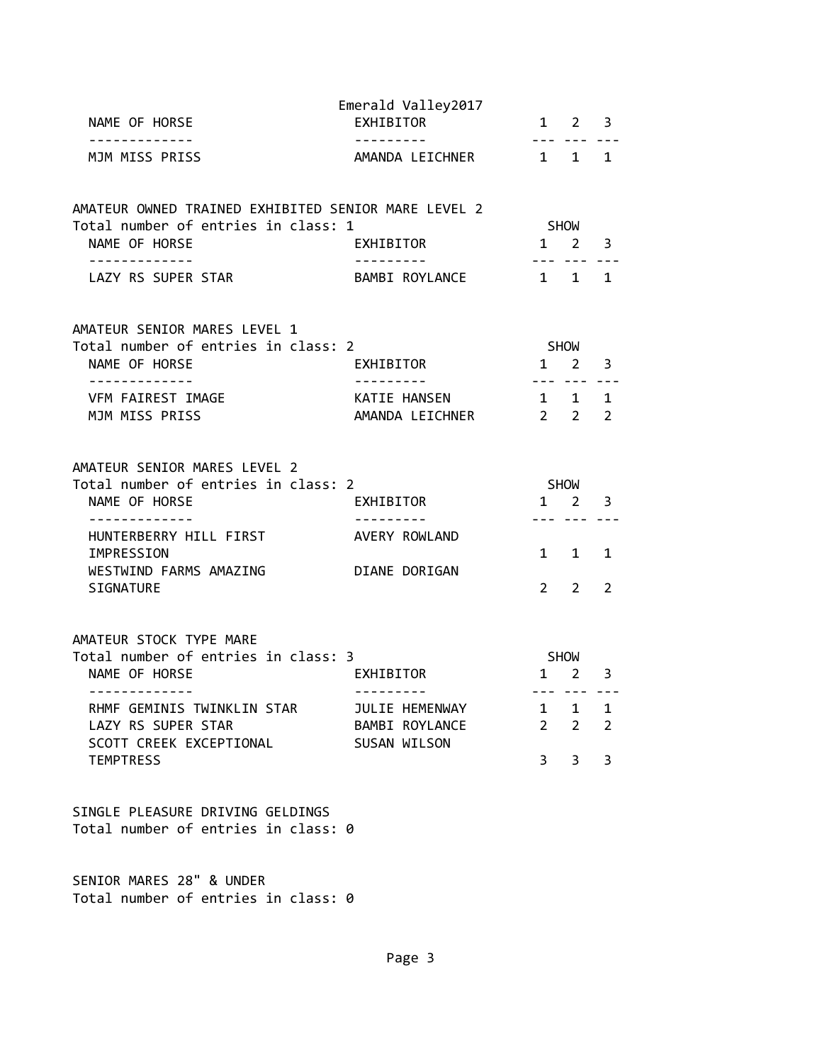| NAME OF HORSE                                                                                                                                                                                       | Emerald Valley2017<br>EXHIBITOR                                            |                                     | $1 \quad 2$                                                               | $\overline{\mathbf{3}}$                  |
|-----------------------------------------------------------------------------------------------------------------------------------------------------------------------------------------------------|----------------------------------------------------------------------------|-------------------------------------|---------------------------------------------------------------------------|------------------------------------------|
| MJM MISS PRISS                                                                                                                                                                                      | ---------<br>AMANDA LEICHNER                                               | 1 1 1                               |                                                                           |                                          |
| AMATEUR OWNED TRAINED EXHIBITED SENIOR MARE LEVEL 2<br>Total number of entries in class: 1<br>NAME OF HORSE                                                                                         | EXHIBITOR                                                                  |                                     | SHOW<br>$1 \quad 2$                                                       | 3                                        |
| LAZY RS SUPER STAR                                                                                                                                                                                  | . <u>.</u><br>BAMBI ROYLANCE                                               |                                     | --- --- -- <u>.</u><br>$1 \quad 1$                                        | 1                                        |
| AMATEUR SENIOR MARES LEVEL 1<br>Total number of entries in class: 2<br>NAME OF HORSE                                                                                                                | EXHIBITOR                                                                  |                                     | SHOW<br>$1 \quad 2$                                                       | 3                                        |
| VFM FAIREST IMAGE<br>MJM MISS PRISS                                                                                                                                                                 | KATIE HANSEN<br>AMANDA LEICHNER                                            | $- - - -$<br>$1 \quad 1$<br>$2 \t2$ |                                                                           | 1<br>$\overline{2}$                      |
| AMATEUR SENIOR MARES LEVEL 2<br>Total number of entries in class: 2<br>NAME OF HORSE                                                                                                                | EXHIBITOR                                                                  | $1 \quad 2$                         | SHOW                                                                      | 3                                        |
| .<br>HUNTERBERRY HILL FIRST<br>IMPRESSION<br>WESTWIND FARMS AMAZING<br><b>SIGNATURE</b>                                                                                                             | AVERY ROWLAND<br>DIANE DORIGAN                                             | $2^{\circ}$                         | --- ---<br>1 1<br>$2^{\circ}$                                             | 1<br>$\overline{2}$                      |
| AMATEUR STOCK TYPE MARE<br>Total number of entries in class: 3<br>NAME OF HORSE<br>-------------<br>RHMF GEMINIS TWINKLIN STAR<br>LAZY RS SUPER STAR<br>SCOTT CREEK EXCEPTIONAL<br><b>TEMPTRESS</b> | EXHIBITOR<br>---------<br>JULIE HEMENWAY<br>BAMBI ROYLANCE<br>SUSAN WILSON | $\mathbf{1}$<br>$\overline{2}$<br>3 | SHOW<br>$1 \quad 2$<br>--- --- ---<br>$\mathbf{1}$<br>$\overline{2}$<br>3 | 3<br>$\mathbf{1}$<br>$\overline{2}$<br>3 |
| SINGLE PLEASURE DRIVING GELDINGS<br>Total number of entries in class: 0                                                                                                                             |                                                                            |                                     |                                                                           |                                          |
| SENIOR MARES 28" & UNDER                                                                                                                                                                            |                                                                            |                                     |                                                                           |                                          |

Total number of entries in class: 0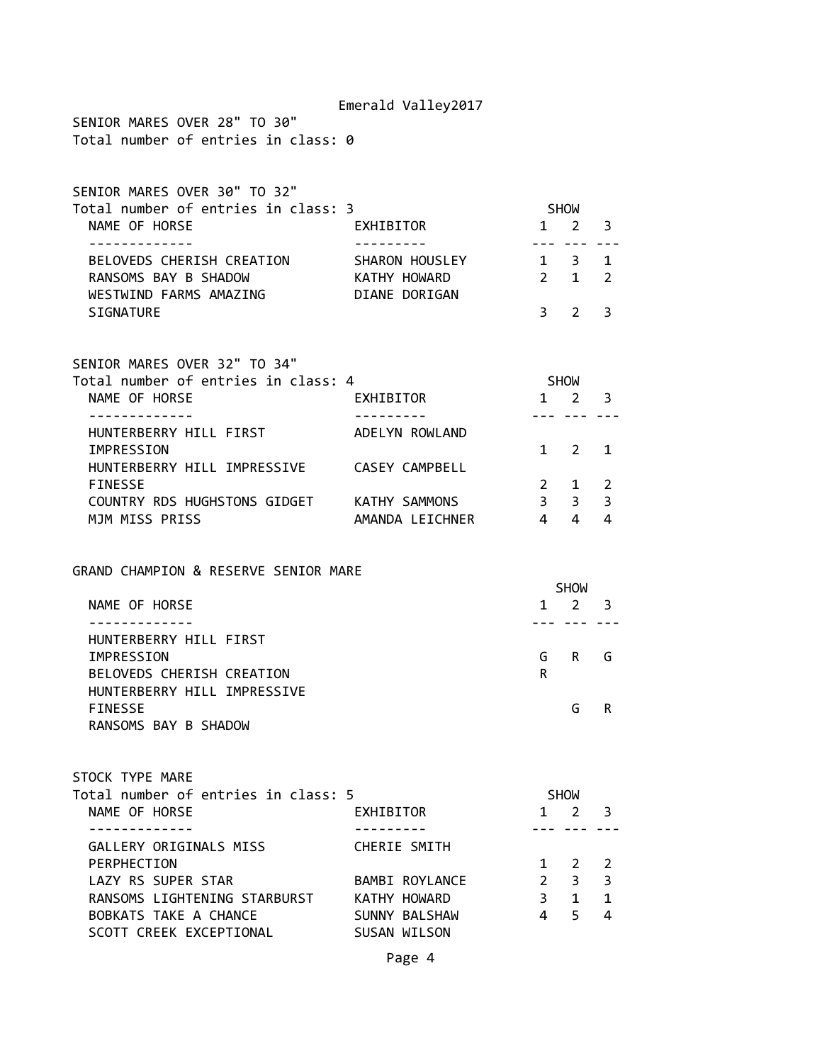|                                                                                                            | Emerald Valley2017                            |                            |                                                |                               |
|------------------------------------------------------------------------------------------------------------|-----------------------------------------------|----------------------------|------------------------------------------------|-------------------------------|
| SENIOR MARES OVER 28" TO 30"<br>Total number of entries in class: 0                                        |                                               |                            |                                                |                               |
| SENIOR MARES OVER 30" TO 32"<br>Total number of entries in class: 3                                        |                                               | SHOW                       |                                                |                               |
| NAME OF HORSE                                                                                              | EXHIBITOR                                     |                            | $1 \quad 2$                                    | 3                             |
| -------------<br>BELOVEDS CHERISH CREATION<br>RANSOMS BAY B SHADOW<br>WESTWIND FARMS AMAZING DIANE DORIGAN | SHARON HOUSLEY<br>KATHY HOWARD                | $1 \quad 3$<br>$2 \quad 1$ | --- ---                                        | $\mathbf 1$<br>$\overline{2}$ |
| SIGNATURE                                                                                                  |                                               | $\overline{3}$             | $2^{\circ}$                                    | 3                             |
| SENIOR MARES OVER 32" TO 34"<br>Total number of entries in class: 4<br>NAME OF HORSE<br>. <u>.</u> .       | EXHIBITOR<br>----------                       | SHOW                       | $1 \quad 2 \quad 3$                            |                               |
| HUNTERBERRY HILL FIRST                                                                                     | ADELYN ROWLAND                                |                            | --- ---                                        |                               |
| IMPRESSION<br>HUNTERBERRY HILL IMPRESSIVE CASEY CAMPBELL                                                   |                                               |                            | $1 \quad 2$                                    | 1                             |
| <b>FINESSE</b><br>COUNTRY RDS HUGHSTONS GIDGET KATHY SAMMONS                                               |                                               | 3 <sup>7</sup>             | $2 \quad 1$<br>3 <sup>7</sup>                  | 2<br>3                        |
| MJM MISS PRISS                                                                                             | AMANDA LEICHNER                               | $4\quad 4$                 |                                                | 4                             |
| GRAND CHAMPION & RESERVE SENIOR MARE<br>NAME OF HORSE<br>HUNTERBERRY HILL FIRST<br>IMPRESSION              |                                               | G                          | <b>SHOW</b><br>$1 \quad 2 \quad 3$<br>$R \Box$ | G                             |
| BELOVEDS CHERISH CREATION                                                                                  |                                               | R                          |                                                |                               |
| HUNTERBERRY HILL IMPRESSIVE<br><b>FINESSE</b><br>RANSOMS BAY B SHADOW                                      |                                               |                            | G                                              | R                             |
| STOCK TYPE MARE<br>Total number of entries in class: 5<br>NAME OF HORSE                                    | EXHIBITOR                                     |                            | SHOW<br>$1 \quad 2$                            | 3                             |
| .<br>GALLERY ORIGINALS MISS                                                                                | ---------<br>CHERIE SMITH                     |                            |                                                |                               |
| PERPHECTION                                                                                                |                                               |                            | 1 2                                            | 2                             |
| LAZY RS SUPER STAR                                                                                         | BAMBI ROYLANCE                                | $2^{\sim}$                 | 3 <sup>7</sup>                                 | 3                             |
| RANSOMS LIGHTENING STARBURST<br>BOBKATS TAKE A CHANCE<br>SCOTT CREEK EXCEPTIONAL                           | KATHY HOWARD<br>SUNNY BALSHAW<br>SUSAN WILSON | $3^{\circ}$<br>4           | $1 \quad$<br>5.                                | $\mathbf{1}$<br>4             |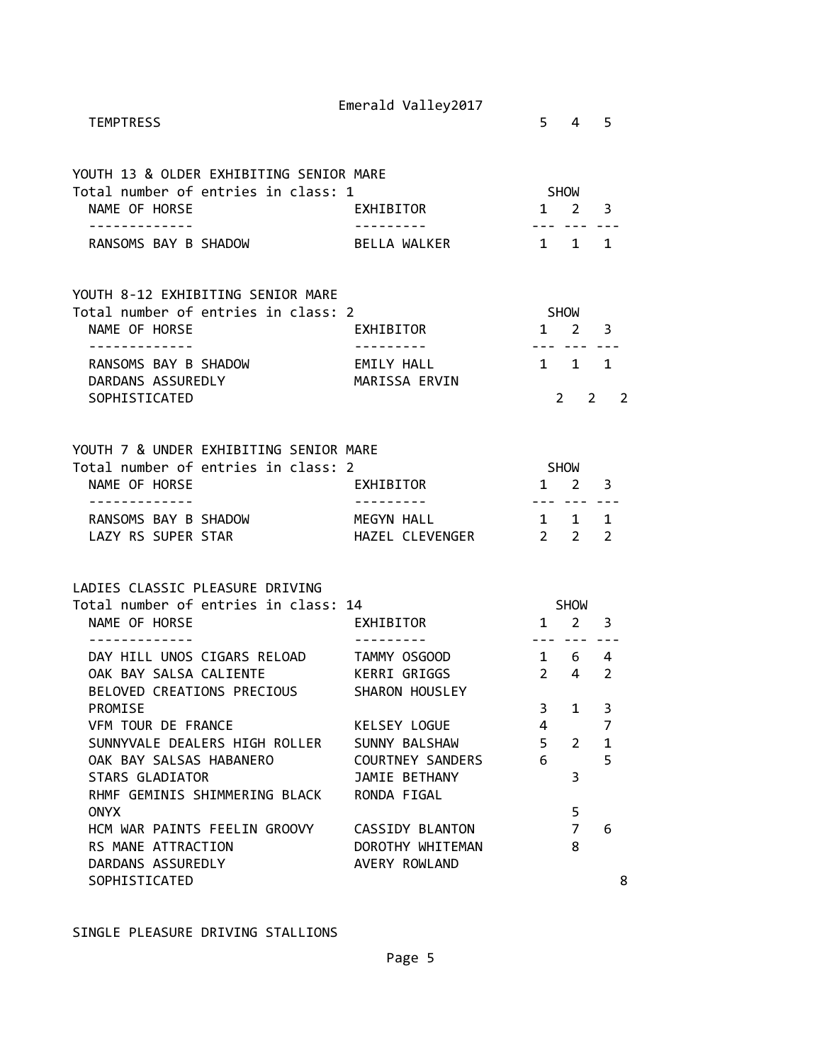| <b>TEMPTRESS</b>                                                                                                                           | Emerald Valley2017                                                  |                                             | $5 \quad 4 \quad 5$                 |                                          |
|--------------------------------------------------------------------------------------------------------------------------------------------|---------------------------------------------------------------------|---------------------------------------------|-------------------------------------|------------------------------------------|
| YOUTH 13 & OLDER EXHIBITING SENIOR MARE<br>Total number of entries in class: 1<br>NAME OF HORSE<br>------------                            | <b>EXHIBITOR</b>                                                    | SHOW<br>$1 \quad 2 \quad 3$                 | --- --- ---                         |                                          |
| RANSOMS BAY B SHADOW                                                                                                                       | BELLA WALKER                                                        | 1 1 1                                       |                                     |                                          |
| YOUTH 8-12 EXHIBITING SENIOR MARE<br>Total number of entries in class: 2<br>NAME OF HORSE<br>-------------                                 | EXHIBITOR<br>---------                                              | SHOW<br>$1 \quad 2 \quad 3$                 | --- --- ---                         |                                          |
| RANSOMS BAY B SHADOW<br>DARDANS ASSUREDLY<br>SOPHISTICATED                                                                                 | EMILY HALL<br>MARISSA ERVIN                                         | 1 1 1                                       |                                     | $2 \t2 \t2$                              |
| YOUTH 7 & UNDER EXHIBITING SENIOR MARE<br>Total number of entries in class: 2<br>NAME OF HORSE                                             | EXHIBITOR                                                           | <b>SHOW</b><br>$1 \quad 2 \quad 3$          |                                     |                                          |
| ------------<br>RANSOMS BAY B SHADOW<br>LAZY RS SUPER STAR                                                                                 | MEGYN HALL<br>HAZEL CLEVENGER 2 2 2                                 | $\begin{array}{cccc} 1 & 1 & 1 \end{array}$ |                                     |                                          |
| LADIES CLASSIC PLEASURE DRIVING<br>Total number of entries in class: 14<br>NAME OF HORSE                                                   | EXHIBITOR                                                           |                                             | <b>SHOW</b><br>$1 \quad 2 \quad 3$  |                                          |
| - - - - - - - - - - - - -<br>DAY HILL UNOS CIGARS RELOAD TAMMY OSGOOD<br>OAK BAY SALSA CALIENTE KERRI GRIGGS<br>BELOVED CREATIONS PRECIOUS | SHARON HOUSLEY                                                      | $1 \quad 6 \quad 4$                         | --- --- ---<br>$2 \quad 4 \quad 2$  |                                          |
| PROMISE<br>VFM TOUR DE FRANCE<br>SUNNYVALE DEALERS HIGH ROLLER SUNNY BALSHAW<br>OAK BAY SALSAS HABANERO<br><b>STARS GLADIATOR</b>          | KELSEY LOGUE<br>COURTNEY SANDERS<br>JAMIE BETHANY                   | 3<br>4<br>$5 -$<br>6                        | $\mathbf{1}$<br>$\overline{2}$<br>3 | 3<br>$\overline{7}$<br>$\mathbf{1}$<br>5 |
| RHMF GEMINIS SHIMMERING BLACK<br><b>ONYX</b><br>HCM WAR PAINTS FEELIN GROOVY<br>RS MANE ATTRACTION<br>DARDANS ASSUREDLY                    | RONDA FIGAL<br>CASSIDY BLANTON<br>DOROTHY WHITEMAN<br>AVERY ROWLAND |                                             | 5<br>$\overline{7}$<br>8            | 6                                        |
| SOPHISTICATED                                                                                                                              |                                                                     |                                             |                                     | 8                                        |

SINGLE PLEASURE DRIVING STALLIONS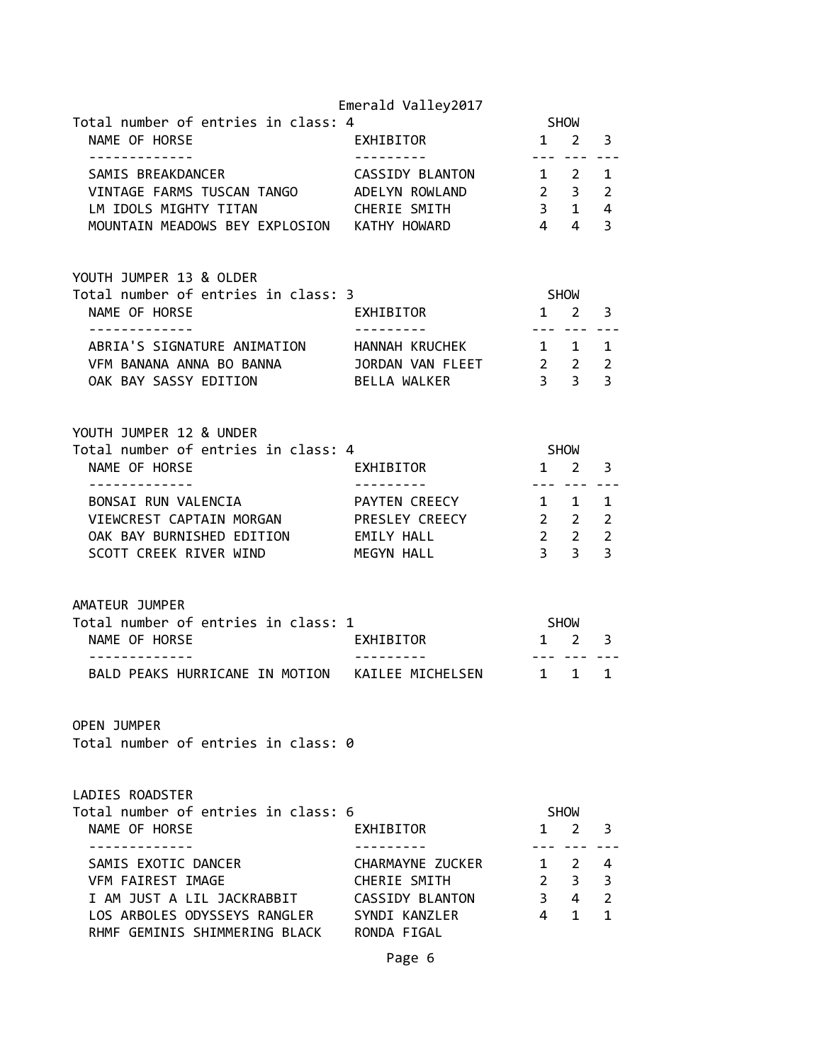|                                                                                     | Emerald Valley2017      |                                                           |              |                     |
|-------------------------------------------------------------------------------------|-------------------------|-----------------------------------------------------------|--------------|---------------------|
| Total number of entries in class: 4                                                 |                         |                                                           | SHOW         |                     |
| NAME OF HORSE<br>-------------                                                      | EXHIBITOR<br>---------- | $1 \quad 2 \quad 3$<br>--- ---                            |              |                     |
|                                                                                     |                         |                                                           |              |                     |
|                                                                                     |                         |                                                           |              |                     |
| LM IDOLS MIGHTY TITAN                                                               | CHERIE SMITH            |                                                           |              |                     |
| MOUNTAIN MEADOWS BEY EXPLOSION KATHY HOWARD                                         |                         | $\begin{array}{cccc} -3 & 1 & 4 \\ 4 & 4 & 3 \end{array}$ |              |                     |
|                                                                                     |                         |                                                           |              |                     |
| YOUTH JUMPER 13 & OLDER                                                             |                         |                                                           |              |                     |
| Total number of entries in class: 3                                                 |                         | <b>SHOW</b>                                               |              |                     |
| NAME OF HORSE                                                                       | EXHIBITOR               | $1\quad 2$                                                | --- --- ---  | 3                   |
| ABRIA'S SIGNATURE ANIMATION HANNAH KRUCHEK                                          |                         | 1 1 1                                                     |              |                     |
| VFM BANANA ANNA BO BANNA JORDAN VAN FLEET 22                                        |                         |                                                           |              | 2                   |
| OAK BAY SASSY EDITION                                                               | BELLA WALKER            | 3 <sup>3</sup>                                            |              | $\overline{3}$      |
|                                                                                     |                         |                                                           |              |                     |
| YOUTH JUMPER 12 & UNDER                                                             |                         |                                                           |              |                     |
| Total number of entries in class: 4                                                 |                         | <b>SHOW</b>                                               |              |                     |
| NAME OF HORSE                                                                       | EXHIBITOR               | $1\quad 2$                                                |              | -3                  |
| -------------                                                                       |                         |                                                           | --- --- ---  |                     |
| BONSAI RUN VALENCIA                                                                 | <b>PAYTEN CREECY</b>    | $1 \quad 1$                                               |              | 1<br>$\overline{2}$ |
| VIEWCREST CAPTAIN MORGAN PRESLEY CREECY 2 2<br>OAK BAY BURNISHED EDITION EMILY HALL |                         | $2\quad 2$                                                |              | $\overline{2}$      |
| SCOTT CREEK RIVER WIND MEGYN HALL                                                   |                         | 3 <sup>3</sup>                                            |              | 3                   |
|                                                                                     |                         |                                                           |              |                     |
| AMATEUR JUMPER                                                                      |                         |                                                           |              |                     |
| Total number of entries in class: 1                                                 |                         | SHOW                                                      |              |                     |
| NAME OF HORSE                                                                       | EXHIBITOR               | $1 \quad 2$                                               |              | -3                  |
| ------------<br>BALD PEAKS HURRICANE IN MOTION KAILEE MICHELSEN 1                   | .                       | $- - - -$                                                 | $\mathbf{1}$ | $\mathbf{1}$        |
|                                                                                     |                         |                                                           |              |                     |
| <b>OPEN JUMPER</b>                                                                  |                         |                                                           |              |                     |
| Total number of entries in class: 0                                                 |                         |                                                           |              |                     |
|                                                                                     |                         |                                                           |              |                     |
| LADIES ROADSTER<br>Total number of entries in class: 6                              |                         |                                                           | SHOW         |                     |
| NAME OF HORSE                                                                       | EXHIBITOR               |                                                           | $1 \quad 2$  | 3                   |
|                                                                                     |                         |                                                           |              |                     |
| SAMIS EXOTIC DANCER                                                                 | CHARMAYNE ZUCKER        |                                                           | $1 \quad 2$  | 4                   |
| <b>VFM FAIREST IMAGE</b><br>I AM JUST A LIL JACKRABBIT CASSIDY BLANTON              | CHERIE SMITH            | $3 \quad 4$                                               | $2 \quad 3$  | 3<br>$\overline{2}$ |
| LOS ARBOLES ODYSSEYS RANGLER SYNDI KANZLER                                          |                         |                                                           | 4 1          | 1                   |
| RHMF GEMINIS SHIMMERING BLACK RONDA FIGAL                                           |                         |                                                           |              |                     |
|                                                                                     |                         |                                                           |              |                     |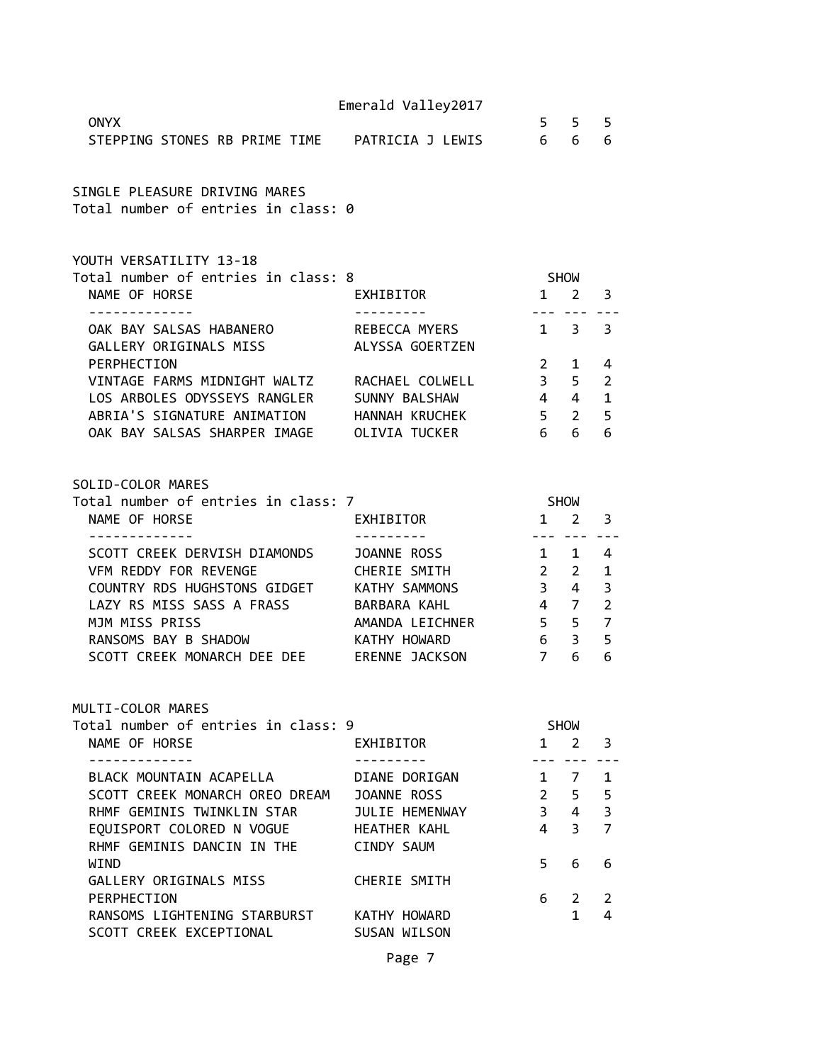|                                                                                 | Emerald Valley2017 |                     |                                                                                                                                                                                                                                                                                                                                                                                                                                                                            |                         |
|---------------------------------------------------------------------------------|--------------------|---------------------|----------------------------------------------------------------------------------------------------------------------------------------------------------------------------------------------------------------------------------------------------------------------------------------------------------------------------------------------------------------------------------------------------------------------------------------------------------------------------|-------------------------|
| <b>ONYX</b><br>STEPPING STONES RB PRIME TIME PATRICIA J LEWIS                   |                    | 6 6                 | $5 \quad 5 \quad 5$                                                                                                                                                                                                                                                                                                                                                                                                                                                        | 6                       |
| SINGLE PLEASURE DRIVING MARES<br>Total number of entries in class: 0            |                    |                     |                                                                                                                                                                                                                                                                                                                                                                                                                                                                            |                         |
| YOUTH VERSATILITY 13-18<br>Total number of entries in class: 8                  |                    | SHOW                |                                                                                                                                                                                                                                                                                                                                                                                                                                                                            |                         |
| NAME OF HORSE                                                                   | EXHIBITOR          |                     | $1 \quad 2$                                                                                                                                                                                                                                                                                                                                                                                                                                                                | 3                       |
| OAK BAY SALSAS HABANERO<br>GALLERY ORIGINALS MISS ALYSSA GOERTZEN               | REBECCA MYERS      |                     | $1 \quad 3$                                                                                                                                                                                                                                                                                                                                                                                                                                                                | 3                       |
| PERPHECTION                                                                     |                    |                     | $2 \quad 1$                                                                                                                                                                                                                                                                                                                                                                                                                                                                | 4                       |
| VINTAGE FARMS MIDNIGHT WALTZ                                                    | RACHAEL COLWELL    |                     | $3 \quad 5$                                                                                                                                                                                                                                                                                                                                                                                                                                                                | $\overline{2}$          |
| LOS ARBOLES ODYSSEYS RANGLER                                                    | SUNNY BALSHAW      | $4 \quad 4 \quad 1$ |                                                                                                                                                                                                                                                                                                                                                                                                                                                                            |                         |
| ABRIA'S SIGNATURE ANIMATION                                                     | HANNAH KRUCHEK     | 6                   | 5 <sub>2</sub><br>6                                                                                                                                                                                                                                                                                                                                                                                                                                                        | 5<br>6                  |
| OAK BAY SALSAS SHARPER IMAGE OLIVIA TUCKER                                      |                    |                     |                                                                                                                                                                                                                                                                                                                                                                                                                                                                            |                         |
| SOLID-COLOR MARES<br>Total number of entries in class: 7                        |                    | SHOW                |                                                                                                                                                                                                                                                                                                                                                                                                                                                                            |                         |
| NAME OF HORSE                                                                   | EXHIBITOR          |                     | $1 \quad 2 \quad 3$                                                                                                                                                                                                                                                                                                                                                                                                                                                        |                         |
| SCOTT CREEK DERVISH DIAMONDS                                                    | JOANNE ROSS        |                     | $1 \quad 1$                                                                                                                                                                                                                                                                                                                                                                                                                                                                | $\overline{a}$          |
| VFM REDDY FOR REVENGE                                                           | CHERIE SMITH       | $2^{\circ}$         | $2 \overline{ }$                                                                                                                                                                                                                                                                                                                                                                                                                                                           | $\mathbf{1}$            |
| COUNTRY RDS HUGHSTONS GIDGET KATHY SAMMONS                                      |                    |                     | $3 \quad 4$                                                                                                                                                                                                                                                                                                                                                                                                                                                                | 3                       |
| LAZY RS MISS SASS A FRASS                                                       | BARBARA KAHL       | 4 7                 |                                                                                                                                                                                                                                                                                                                                                                                                                                                                            | $\overline{2}$          |
| MJM MISS PRISS                                                                  | AMANDA LEICHNER    | $5 \quad 5 \quad 7$ |                                                                                                                                                                                                                                                                                                                                                                                                                                                                            |                         |
| RANSOMS BAY B SHADOW                                                            | KATHY HOWARD       |                     | 6 <sup>3</sup>                                                                                                                                                                                                                                                                                                                                                                                                                                                             | 5                       |
| SCOTT CREEK MONARCH DEE DEE ERENNE JACKSON                                      |                    | $7^{\circ}$         | 6                                                                                                                                                                                                                                                                                                                                                                                                                                                                          | 6                       |
| MULTI-COLOR MARES                                                               |                    |                     |                                                                                                                                                                                                                                                                                                                                                                                                                                                                            |                         |
| Total number of entries in class: 9<br>NAME OF HORSE                            | EXHIBITOR          |                     | SHOW<br>$1 \quad 2$                                                                                                                                                                                                                                                                                                                                                                                                                                                        | 3                       |
| . <u>.</u> .                                                                    | . <u>.</u>         | ---                 | $\frac{1}{2} \left( \frac{1}{2} \right) \left( \frac{1}{2} \right) \left( \frac{1}{2} \right) \left( \frac{1}{2} \right) \left( \frac{1}{2} \right) \left( \frac{1}{2} \right) \left( \frac{1}{2} \right) \left( \frac{1}{2} \right) \left( \frac{1}{2} \right) \left( \frac{1}{2} \right) \left( \frac{1}{2} \right) \left( \frac{1}{2} \right) \left( \frac{1}{2} \right) \left( \frac{1}{2} \right) \left( \frac{1}{2} \right) \left( \frac{1}{2} \right) \left( \frac$ |                         |
| BLACK MOUNTAIN ACAPELLA                                                         | DIANE DORIGAN      |                     | $1 \quad 7 \quad 1$                                                                                                                                                                                                                                                                                                                                                                                                                                                        |                         |
| SCOTT CREEK MONARCH OREO DREAM JOANNE ROSS                                      |                    |                     | $2 \quad 5$                                                                                                                                                                                                                                                                                                                                                                                                                                                                | 5                       |
| RHMF GEMINIS TWINKLIN STAR                                                      | JULIE HEMENWAY     |                     | $3 \quad 4$                                                                                                                                                                                                                                                                                                                                                                                                                                                                | $\overline{\mathbf{3}}$ |
| EQUISPORT COLORED N VOGUE HEATHER KAHL<br>RHMF GEMINIS DANCIN IN THE CINDY SAUM |                    | $\overline{4}$      | 3 <sup>7</sup>                                                                                                                                                                                                                                                                                                                                                                                                                                                             | $\overline{7}$          |
| WIND                                                                            |                    | 5                   | 6                                                                                                                                                                                                                                                                                                                                                                                                                                                                          | 6                       |
| GALLERY ORIGINALS MISS                                                          | CHERIE SMITH       |                     |                                                                                                                                                                                                                                                                                                                                                                                                                                                                            |                         |
| PERPHECTION                                                                     |                    | 6                   | $2^{\circ}$<br>$\mathbf{1}$                                                                                                                                                                                                                                                                                                                                                                                                                                                | 2<br>4                  |
| RANSOMS LIGHTENING STARBURST KATHY HOWARD<br>SCOTT CREEK EXCEPTIONAL            | SUSAN WILSON       |                     |                                                                                                                                                                                                                                                                                                                                                                                                                                                                            |                         |
|                                                                                 |                    |                     |                                                                                                                                                                                                                                                                                                                                                                                                                                                                            |                         |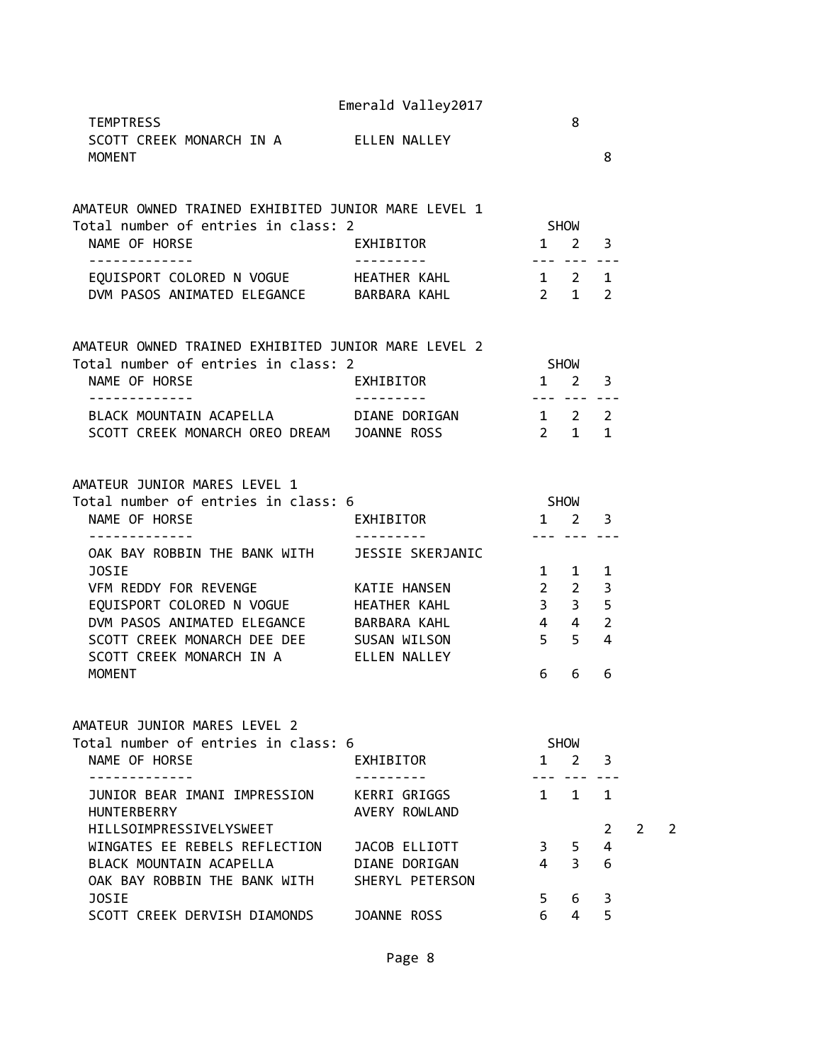|                                                                                                                                                                                                                                                                                                               | Emerald Valley2017                              |                                                 | 8                                                        |                                                 |   |   |
|---------------------------------------------------------------------------------------------------------------------------------------------------------------------------------------------------------------------------------------------------------------------------------------------------------------|-------------------------------------------------|-------------------------------------------------|----------------------------------------------------------|-------------------------------------------------|---|---|
| <b>TEMPTRESS</b><br>SCOTT CREEK MONARCH IN A FLLEN NALLEY<br><b>MOMENT</b>                                                                                                                                                                                                                                    |                                                 |                                                 |                                                          | 8                                               |   |   |
| AMATEUR OWNED TRAINED EXHIBITED JUNIOR MARE LEVEL 1<br>Total number of entries in class: 2<br>NAME OF HORSE                                                                                                                                                                                                   | EXHIBITOR                                       | $1 \quad 2 \quad 3$                             | SHOW                                                     |                                                 |   |   |
| EQUISPORT COLORED N VOGUE HEATHER KAHL 1 2 1<br>DVM PASOS ANIMATED ELEGANCE BARBARA KAHL                                                                                                                                                                                                                      |                                                 | _______________<br>$2 \t1 \t2$                  |                                                          |                                                 |   |   |
| AMATEUR OWNED TRAINED EXHIBITED JUNIOR MARE LEVEL 2<br>Total number of entries in class: 2<br><b>EXHIBITOR</b><br>NAME OF HORSE                                                                                                                                                                               |                                                 | $\overline{\mathbf{1}}$                         | SHOW                                                     | $2 \quad 3$                                     |   |   |
| ------------<br>BLACK MOUNTAIN ACAPELLA DIANE DORIGAN 1 2 2<br>SCOTT CREEK MONARCH OREO DREAM JOANNE ROSS                                                                                                                                                                                                     |                                                 | $2 \quad 1 \quad 1$                             | --- --- ---                                              |                                                 |   |   |
| AMATEUR JUNIOR MARES LEVEL 1<br>Total number of entries in class: 6<br>NAME OF HORSE                                                                                                                                                                                                                          | EXHIBITOR 1 2 3                                 | <b>SHOW</b>                                     |                                                          |                                                 |   |   |
| -------------<br>OAK BAY ROBBIN THE BANK WITH JESSIE SKERJANIC<br>JOSIE<br>VFM REDDY FOR REVENGE THE KATIE HANSEN<br>EQUISPORT COLORED N VOGUE HEATHER KAHL<br>DVM PASOS ANIMATED ELEGANCE BARBARA KAHL<br>SCOTT CREEK MONARCH DEE DEE SUSAN WILSON<br>SCOTT CREEK MONARCH IN A FLLEN NALLEY<br><b>MOMENT</b> |                                                 | $2\quad 2$<br>$4\quad 4$<br>5 <sub>5</sub><br>6 | --- --- ---<br>$1 \quad 1$<br>$3 \qquad 3 \qquad 5$<br>6 | 1<br>3<br>$\overline{2}$<br>$\overline{4}$<br>6 |   |   |
| AMATEUR JUNIOR MARES LEVEL 2<br>Total number of entries in class: 6<br>NAME OF HORSE                                                                                                                                                                                                                          | EXHIBITOR                                       | $1 \quad$                                       | <b>SHOW</b><br>$2^{\circ}$                               | 3                                               |   |   |
| -----------<br>JUNIOR BEAR IMANI IMPRESSION<br><b>HUNTERBERRY</b><br><b>HILLSOIMPRESSIVELYSWEET</b><br>WINGATES EE REBELS REFLECTION                                                                                                                                                                          | KERRI GRIGGS<br>AVERY ROWLAND<br>JACOB ELLIOTT  | 3                                               | . _ _ <sub>_</sub> _ _ _ _ _<br>$1 \quad 1$<br>5         | $\mathbf{1}$<br>2<br>4                          | 2 | 2 |
| BLACK MOUNTAIN ACAPELLA<br>OAK BAY ROBBIN THE BANK WITH<br>JOSIE<br>SCOTT CREEK DERVISH DIAMONDS                                                                                                                                                                                                              | DIANE DORIGAN<br>SHERYL PETERSON<br>JOANNE ROSS | 4<br>5.<br>6                                    | $\overline{3}$<br>6<br>$\overline{4}$                    | 6<br>3<br>5                                     |   |   |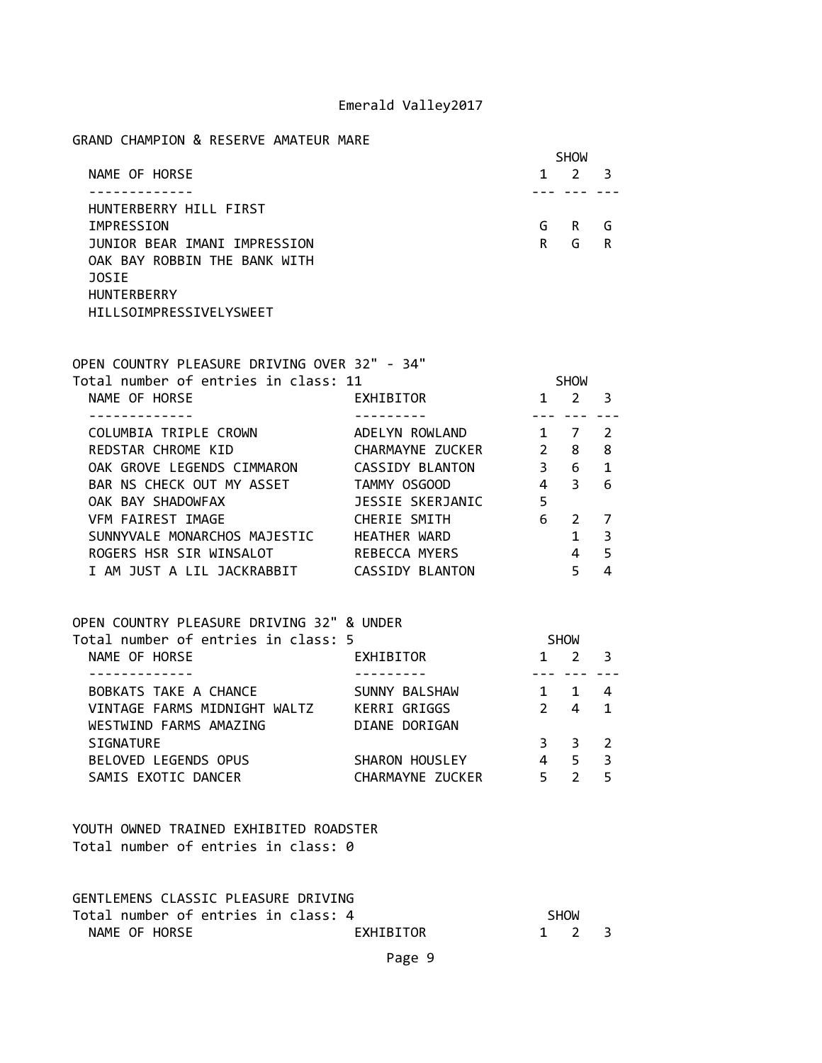#### GRAND CHAMPION & RESERVE AMATEUR MARE

|                              | <b>SHOW</b> |   |     |  |
|------------------------------|-------------|---|-----|--|
| NAME OF HORSE                | 1           | 2 | - 3 |  |
|                              |             |   |     |  |
| HUNTERBERRY HILL FIRST       |             |   |     |  |
| IMPRESSION                   | G           | R | G   |  |
| JUNIOR BEAR IMANI IMPRESSION | R           | G | R   |  |
| OAK BAY ROBBIN THE BANK WITH |             |   |     |  |
| <b>JOSIE</b>                 |             |   |     |  |
| <b>HUNTERBERRY</b>           |             |   |     |  |
| HILLSOIMPRESSIVELYSWEET      |             |   |     |  |

|                                   | <b>SHOW</b>   |              |
|-----------------------------------|---------------|--------------|
|                                   | $\mathcal{P}$ | 3            |
|                                   |               |              |
| ADELYN ROWLAND                    | 7             | 2            |
| $\mathcal{P}$<br>CHARMAYNE ZUCKER | 8             | 8            |
| 3<br>CASSIDY BLANTON              | 6             | 1            |
| 4                                 | 3             | 6            |
| 5<br>JESSIE SKERJANIC             |               |              |
| 6                                 | $\mathcal{L}$ |              |
|                                   | 1             | 3            |
|                                   | 4             | 5            |
| CASSIDY BLANTON                   | 5             |              |
|                                   |               | $\mathbf{1}$ |

| OPEN COUNTRY PLEASURE DRIVING 32" & UNDER |                  |               |             |                          |  |
|-------------------------------------------|------------------|---------------|-------------|--------------------------|--|
| Total number of entries in class: 5       |                  |               | <b>SHOW</b> |                          |  |
| NAME OF HORSE                             | EXHIBITOR        | 1.            |             | - 3                      |  |
|                                           |                  |               |             |                          |  |
| BOBKATS TAKE A CHANCE                     | SUNNY BALSHAW    |               |             | 4                        |  |
| VINTAGE FARMS MIDNIGHT WALTZ              | KERRI GRIGGS     | $\mathcal{P}$ | 4           | $\blacksquare$           |  |
| WESTWIND FARMS AMAZING                    | DIANE DORIGAN    |               |             |                          |  |
| SIGNATURE                                 |                  | 3             | 3.          | $\overline{\phantom{a}}$ |  |
| BELOVED LEGENDS OPUS                      | SHARON HOUSLEY   | 4             | 5           | - 3                      |  |
| SAMIS EXOTIC DANCER                       | CHARMAYNE ZUCKER | 5             |             | 5                        |  |

YOUTH OWNED TRAINED EXHIBITED ROADSTER Total number of entries in class: 0

| GENTLEMENS CLASSIC PLEASURE DRIVING |                     |  |
|-------------------------------------|---------------------|--|
| Total number of entries in class: 4 | <b>SHOW</b>         |  |
| NAME OF HORSE<br>EXHIBITOR          | $1 \quad 2 \quad 3$ |  |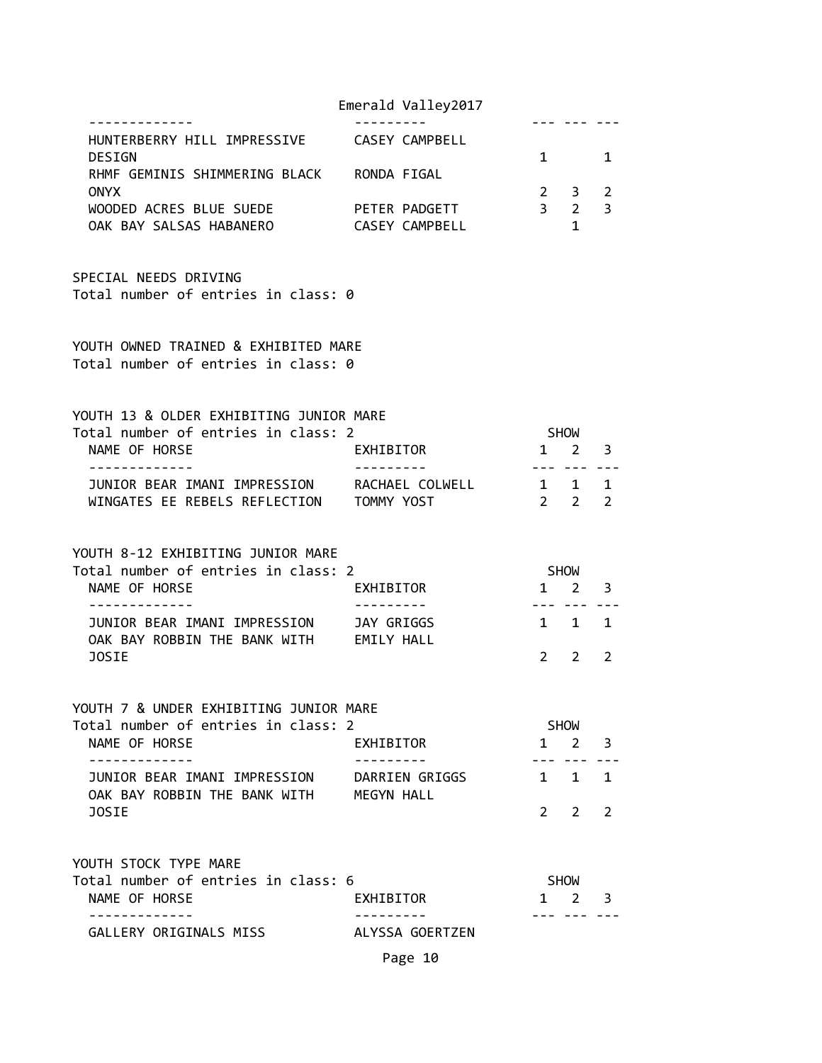|                                                                                        |                                     | Emerald Valley2017                     |              |                                       |                |
|----------------------------------------------------------------------------------------|-------------------------------------|----------------------------------------|--------------|---------------------------------------|----------------|
| HUNTERBERRY HILL IMPRESSIVE CASEY CAMPBELL<br><b>DESIGN</b>                            |                                     |                                        | $\mathbf{1}$ |                                       | 1              |
| RHMF GEMINIS SHIMMERING BLACK RONDA FIGAL                                              |                                     |                                        |              |                                       |                |
| <b>ONYX</b>                                                                            |                                     |                                        |              | $2 \quad 3 \quad 2$                   |                |
| WOODED ACRES BLUE SUEDE<br>OAK BAY SALSAS HABANERO                                     |                                     | PETER PADGETT<br><b>CASEY CAMPBELL</b> |              | $3 \qquad 2 \qquad 3$<br>$\mathbf{1}$ |                |
|                                                                                        |                                     |                                        |              |                                       |                |
| SPECIAL NEEDS DRIVING<br>Total number of entries in class: 0                           |                                     |                                        |              |                                       |                |
| YOUTH OWNED TRAINED & EXHIBITED MARE<br>Total number of entries in class: 0            |                                     |                                        |              |                                       |                |
| YOUTH 13 & OLDER EXHIBITING JUNIOR MARE                                                |                                     |                                        |              |                                       |                |
| Total number of entries in class: 2                                                    |                                     |                                        |              | <b>SHOW</b>                           |                |
| NAME OF HORSE<br>. <u>.</u>                                                            | EXHIBITOR                           |                                        |              | $1 \quad 2 \quad 3$<br>--- --- ---    |                |
| JUNIOR BEAR IMANI IMPRESSION RACHAEL COLWELL 1 1 1                                     |                                     |                                        |              |                                       |                |
| WINGATES EE REBELS REFLECTION TOMMY YOST                                               |                                     |                                        |              | $2 \qquad 2 \qquad 2$                 |                |
| YOUTH 8-12 EXHIBITING JUNIOR MARE                                                      |                                     |                                        |              |                                       |                |
| Total number of entries in class: 2                                                    |                                     |                                        |              | SHOW                                  |                |
| NAME OF HORSE                                                                          | EXHIBITOR                           |                                        |              | $1 \quad 2 \quad 3$<br>--- --- -      |                |
| JUNIOR BEAR IMANI IMPRESSION JAY GRIGGS                                                |                                     |                                        |              | $1 \quad 1 \quad 1$                   |                |
| OAK BAY ROBBIN THE BANK WITH EMILY HALL<br><b>JOSIE</b>                                |                                     |                                        |              | $2 \sqrt{2}$                          | $\overline{2}$ |
| YOUTH 7 & UNDER EXHIBITING JUNIOR MARE                                                 |                                     |                                        |              |                                       |                |
| Total number of entries in class: 2                                                    |                                     |                                        |              | SHOW                                  |                |
| NAME OF HORSE<br>. <u>.</u>                                                            | EXHIBITOR<br>. <u>– – – – – – –</u> |                                        |              | $1 \quad 2 \quad 3$<br>--- ---        |                |
| JUNIOR BEAR IMANI IMPRESSION DARRIEN GRIGGS<br>OAK BAY ROBBIN THE BANK WITH MEGYN HALL |                                     |                                        |              | $1 \quad 1 \quad 1$                   |                |
| <b>JOSIE</b>                                                                           |                                     |                                        |              | 2 2                                   | $\mathcal{P}$  |
| YOUTH STOCK TYPE MARE                                                                  |                                     |                                        |              |                                       |                |
| Total number of entries in class: 6                                                    |                                     |                                        |              | SHOW                                  |                |
| NAME OF HORSE<br>-----------                                                           | EXHIBITOR                           |                                        |              | 1 2 3<br>-- --- ---                   |                |
| GALLERY ORIGINALS MISS                                                                 |                                     | ALYSSA GOERTZEN                        |              |                                       |                |
|                                                                                        |                                     | Page 10                                |              |                                       |                |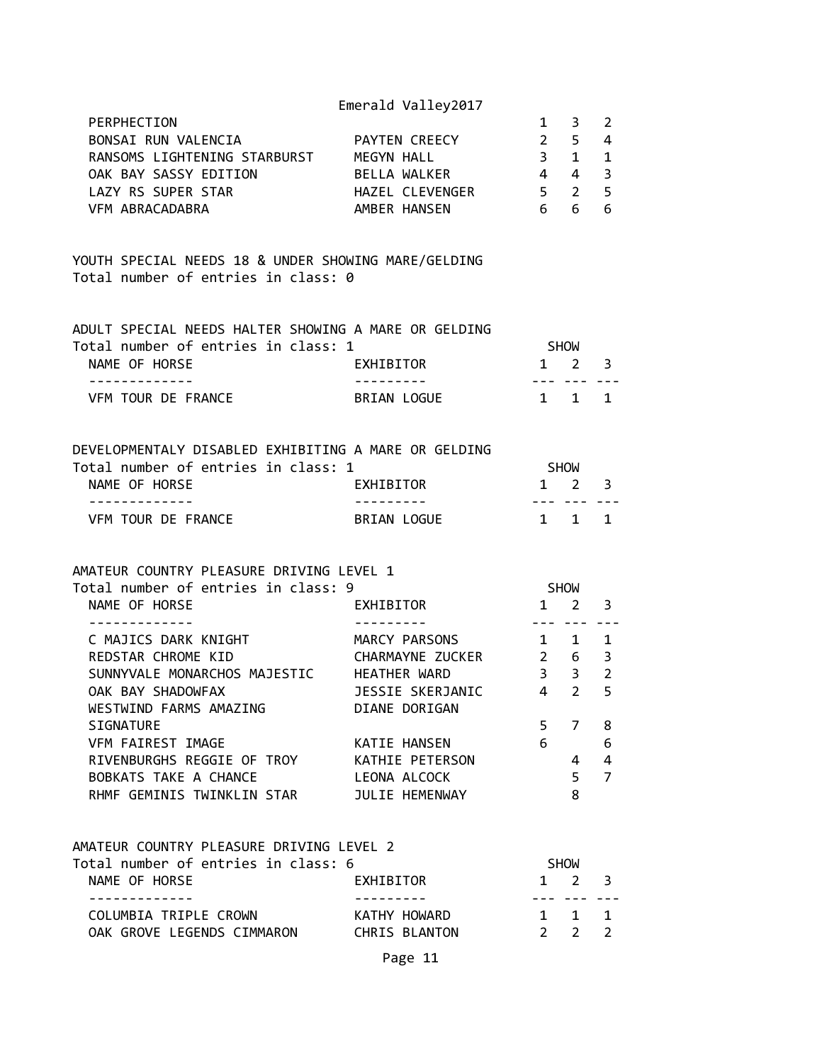| PERPHECTION                  |                      |    | $\overline{3}$ 2 |  |
|------------------------------|----------------------|----|------------------|--|
| BONSAI RUN VALENCIA          | <b>PAYTEN CREECY</b> |    | 2 5 4            |  |
| RANSOMS LIGHTENING STARBURST | MEGYN HALL           | 3. | $1 \quad 1$      |  |
| OAK BAY SASSY EDITION        | BELLA WALKER         |    | 4 3              |  |
| LAZY RS SUPER STAR           | HAZEL CLEVENGER      |    | 5 2 5            |  |
| VFM ABRACADABRA              | AMBER HANSEN         | h  | h                |  |

YOUTH SPECIAL NEEDS 18 & UNDER SHOWING MARE/GELDING Total number of entries in class: 0

| ADULT SPECIAL NEEDS HALTER SHOWING A MARE OR GELDING |             |                     |  |
|------------------------------------------------------|-------------|---------------------|--|
| Total number of entries in class: 1                  |             | <b>SHOW</b>         |  |
| NAME OF HORSE                                        | EXHIBITOR   | $1 \quad 2 \quad 3$ |  |
|                                                      |             |                     |  |
| VEM TOUR DE FRANCE                                   | BRIAN LOGUE | $1 \quad 1 \quad 1$ |  |

| DEVELOPMENTALY DISABLED EXHIBITING A MARE OR GELDING |             |                     |  |
|------------------------------------------------------|-------------|---------------------|--|
| Total number of entries in class: 1                  |             | SHOW                |  |
| NAME OF HORSE                                        | EXHIBITOR   | $1 \quad 2 \quad 3$ |  |
|                                                      |             |                     |  |
| VEM TOUR DE FRANCE                                   | BRIAN LOGUE | $1 \quad 1 \quad 1$ |  |

### AMATEUR COUNTRY PLEASURE DRIVING LEVEL 1

| EXHIBITOR        |                                     | 2 | 3                                                           |  |
|------------------|-------------------------------------|---|-------------------------------------------------------------|--|
|                  |                                     |   |                                                             |  |
| MARCY PARSONS    | $\mathbf{1}$                        |   | 1                                                           |  |
| CHARMAYNE ZUCKER |                                     | 6 | 3                                                           |  |
| HEATHER WARD     |                                     | 3 | $\overline{2}$                                              |  |
| JESSIE SKERJANIC |                                     | 2 | 5                                                           |  |
| DIANE DORIGAN    |                                     |   |                                                             |  |
|                  | 5                                   | 7 | 8                                                           |  |
| KATIE HANSEN     | 6                                   |   | 6                                                           |  |
| KATHIE PETERSON  |                                     | 4 | 4                                                           |  |
| LEONA ALCOCK     |                                     | 5 | 7                                                           |  |
| JULIE HEMENWAY   |                                     | 8 |                                                             |  |
|                  | Total number of entries in class: 9 |   | <b>SHOW</b><br>$2^{\circ}$<br>$3^{\circ}$<br>$\overline{4}$ |  |

| AMATEUR COUNTRY PLEASURE DRIVING LEVEL 2 |               |                     |  |
|------------------------------------------|---------------|---------------------|--|
| Total number of entries in class: 6      |               | SHOW                |  |
| NAME OF HORSE                            | EXHIBITOR     | $1 \quad 2 \quad 3$ |  |
|                                          |               |                     |  |
| COLUMBIA TRIPLE CROWN                    | KATHY HOWARD  | 1 1 1               |  |
| OAK GROVE LEGENDS CIMMARON               | CHRIS BLANTON | $2 \quad 2 \quad 2$ |  |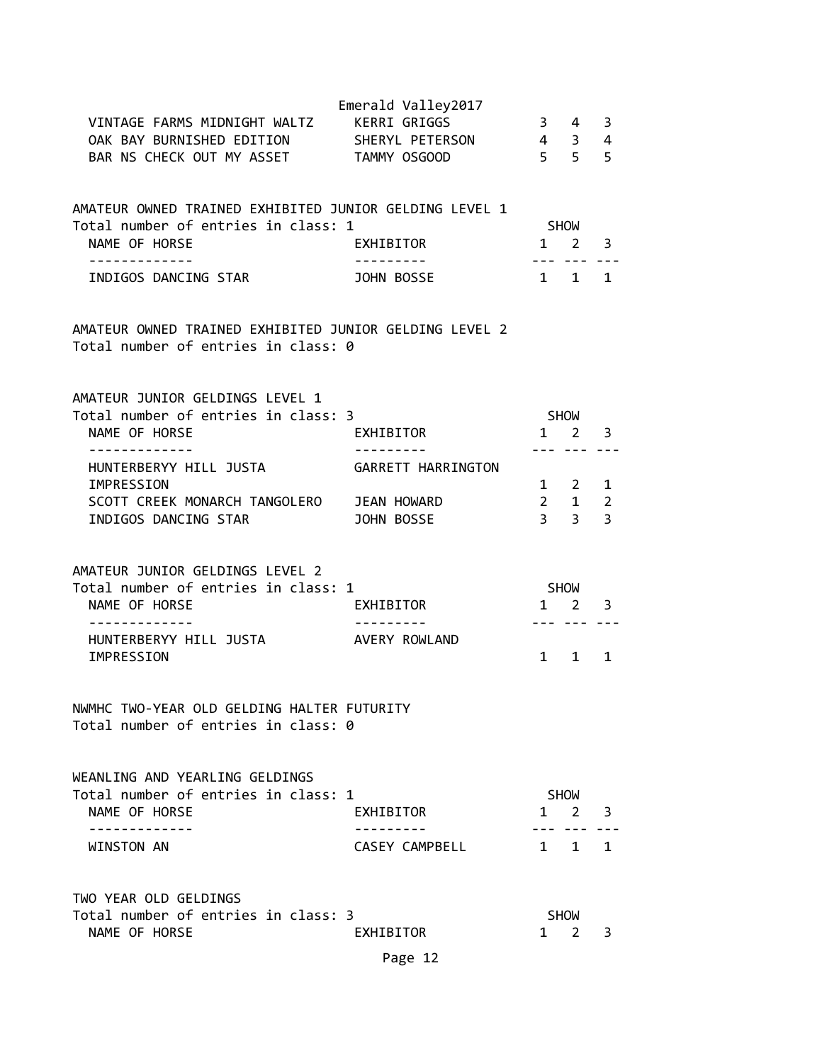|                                                                                                                                               | Emerald Valley2017 |                             |                                         |                         |  |
|-----------------------------------------------------------------------------------------------------------------------------------------------|--------------------|-----------------------------|-----------------------------------------|-------------------------|--|
| VINTAGE FARMS MIDNIGHT WALTZ KERRI GRIGGS                                                                                                     |                    |                             | $3 \quad 4$                             | $\overline{\mathbf{3}}$ |  |
| OAK BAY BURNISHED EDITION SHERYL PETERSON 4 3 4                                                                                               |                    |                             |                                         |                         |  |
| BAR NS CHECK OUT MY ASSET TAMMY OSGOOD                                                                                                        |                    | $5\quad 5\quad 5$           |                                         |                         |  |
|                                                                                                                                               |                    |                             |                                         |                         |  |
| AMATEUR OWNED TRAINED EXHIBITED JUNIOR GELDING LEVEL 1                                                                                        |                    |                             |                                         |                         |  |
| Total number of entries in class: 1                                                                                                           |                    |                             | SHOW                                    |                         |  |
| NAME OF HORSE                                                                                                                                 | EXHIBITOR          | $1 \quad 2 \quad 3$         |                                         |                         |  |
| -------------                                                                                                                                 |                    | ---- --- ---                |                                         |                         |  |
| INDIGOS DANCING STAR JOHN BOSSE                                                                                                               |                    | $1 \quad 1$                 |                                         | $\overline{1}$          |  |
| AMATEUR OWNED TRAINED EXHIBITED JUNIOR GELDING LEVEL 2<br>Total number of entries in class: 0                                                 |                    |                             |                                         |                         |  |
| AMATEUR JUNIOR GELDINGS LEVEL 1                                                                                                               |                    |                             |                                         |                         |  |
| Total number of entries in class: 3                                                                                                           |                    | <b>SHOW</b>                 |                                         |                         |  |
| NAME OF HORSE                                                                                                                                 | EXHIBITOR          | $1 \quad 2 \quad 3$         |                                         |                         |  |
| ------------- <i>-</i><br>HUNTERBERYY HILL JUSTA GARRETT HARRINGTON                                                                           | ----------         |                             | --- --- ---                             |                         |  |
| IMPRESSION                                                                                                                                    |                    |                             | $\begin{matrix} 1 & 2 & 1 \end{matrix}$ |                         |  |
| SCOTT CREEK MONARCH TANGOLERO JEAN HOWARD                                                                                                     |                    | $2 \quad 1 \quad 2$         |                                         |                         |  |
| INDIGOS DANCING STAR JOHN BOSSE                                                                                                               |                    |                             | $3 \quad 3 \quad 3$                     |                         |  |
| AMATEUR JUNIOR GELDINGS LEVEL 2<br>Total number of entries in class: 1<br>NAME OF HORSE<br>HUNTERBERYY HILL JUSTA AVERY ROWLAND<br>IMPRESSION | EXHIBITOR          | SHOW<br>$1 \quad 2 \quad 3$ | --- --- ---<br>$1 \quad 1$              | $\mathbf{1}$            |  |
| NWMHC TWO-YEAR OLD GELDING HALTER FUTURITY<br>Total number of entries in class: 0                                                             |                    |                             |                                         |                         |  |
| WEANLING AND YEARLING GELDINGS                                                                                                                |                    |                             |                                         |                         |  |
| Total number of entries in class: 1                                                                                                           |                    |                             | SHOW                                    |                         |  |
| NAME OF HORSE                                                                                                                                 | EXHIBITOR          |                             | $1 \quad 2 \quad 3$                     |                         |  |
| . <u>.</u> .<br>WINSTON AN                                                                                                                    | CASEY CAMPBELL     |                             | $1 \quad 1 \quad 1$                     |                         |  |
| TWO YEAR OLD GELDINGS                                                                                                                         |                    |                             |                                         |                         |  |
| Total number of entries in class: 3                                                                                                           |                    |                             | <b>SHOW</b>                             |                         |  |
| NAME OF HORSE                                                                                                                                 | EXHIBITOR          | 1                           | 2                                       | 3                       |  |
|                                                                                                                                               | Page 12            |                             |                                         |                         |  |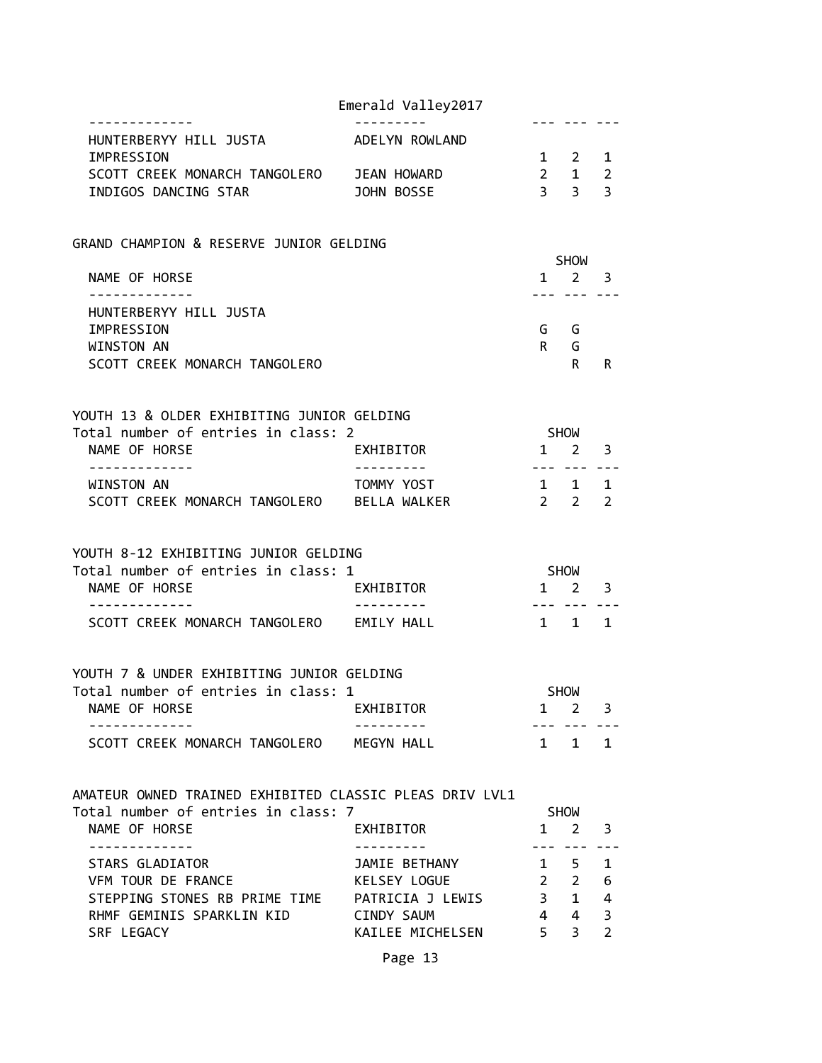|                                                         | Emerald Valley2017 |                     |                                                         |                |
|---------------------------------------------------------|--------------------|---------------------|---------------------------------------------------------|----------------|
| HUNTERBERYY HILL JUSTA                                  | ADELYN ROWLAND     | --- ---             |                                                         |                |
| IMPRESSION                                              |                    | $1 \quad 2 \quad 1$ |                                                         |                |
| SCOTT CREEK MONARCH TANGOLERO                           | JEAN HOWARD        |                     | $\begin{array}{ccc} 2 & 1 & 2 \\ 3 & 3 & 3 \end{array}$ |                |
| INDIGOS DANCING STAR                                    | JOHN BOSSE         |                     |                                                         |                |
| GRAND CHAMPION & RESERVE JUNIOR GELDING                 |                    |                     |                                                         |                |
|                                                         |                    |                     | SHOW                                                    |                |
| NAME OF HORSE<br>.                                      |                    |                     | $1 \quad 2$<br>--- --- ---                              | 3              |
| HUNTERBERYY HILL JUSTA                                  |                    |                     |                                                         |                |
| IMPRESSION                                              |                    |                     | G G                                                     |                |
| WINSTON AN                                              |                    | R                   | G                                                       |                |
| SCOTT CREEK MONARCH TANGOLERO                           |                    |                     | $R \Box$                                                | R              |
| YOUTH 13 & OLDER EXHIBITING JUNIOR GELDING              |                    |                     |                                                         |                |
| Total number of entries in class: 2                     |                    | SHOW                |                                                         |                |
| NAME OF HORSE                                           | EXHIBITOR          |                     | $1 \quad 2 \quad 3$                                     |                |
| -------------                                           |                    |                     | --- --- ---                                             |                |
| WINSTON AN                                              | TOMMY YOST         | $1 \quad 1 \quad 1$ |                                                         |                |
| SCOTT CREEK MONARCH TANGOLERO BELLA WALKER              |                    | $2\quad 2$          |                                                         | 2              |
| YOUTH 8-12 EXHIBITING JUNIOR GELDING                    |                    |                     |                                                         |                |
| Total number of entries in class: 1                     |                    |                     | SHOW                                                    |                |
| NAME OF HORSE                                           | EXHIBITOR          | --- ---             | $1 \quad 2 \quad 3$                                     |                |
| SCOTT CREEK MONARCH TANGOLERO EMILY HALL                |                    |                     | $1 \quad 1 \quad 1$                                     |                |
| YOUTH 7 & UNDER EXHIBITING JUNIOR GELDING               |                    |                     |                                                         |                |
| Total number of entries in class: 1                     |                    |                     | <b>SHOW</b>                                             |                |
| NAME OF HORSE                                           | EXHIBITOR          | $\mathbf{1}$        | 2                                                       | 3              |
|                                                         |                    |                     |                                                         |                |
| SCOTT CREEK MONARCH TANGOLERO MEGYN HALL                |                    |                     | 1 1 1                                                   |                |
| AMATEUR OWNED TRAINED EXHIBITED CLASSIC PLEAS DRIV LVL1 |                    |                     |                                                         |                |
| Total number of entries in class: 7                     |                    |                     | SHOW                                                    |                |
| NAME OF HORSE<br>.                                      | EXHIBITOR          |                     | $1 \quad 2$                                             | 3              |
| STARS GLADIATOR                                         | JAMIE BETHANY      | $1 \quad$           | 5                                                       | $\mathbf{1}$   |
| VFM TOUR DE FRANCE                                      | KELSEY LOGUE       |                     | $2 \quad 2$                                             | 6              |
| STEPPING STONES RB PRIME TIME PATRICIA J LEWIS          |                    |                     | $3 \quad 1$                                             | 4              |
| RHMF GEMINIS SPARKLIN KID                               | CINDY SAUM         |                     | $4 \quad 4$                                             | 3              |
| SRF LEGACY                                              | KAILEE MICHELSEN   | 5 <sup>7</sup>      | 3                                                       | $\overline{2}$ |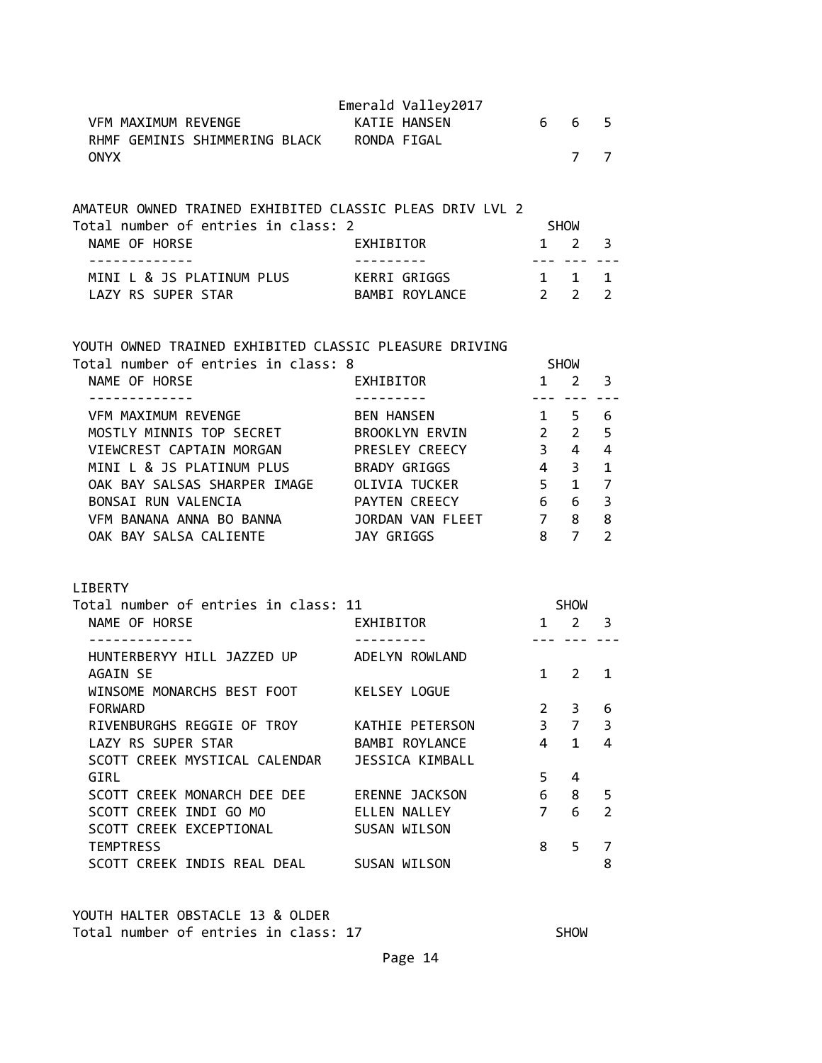|                                                                                                                | Emerald Valley2017    |                 |                  |                |
|----------------------------------------------------------------------------------------------------------------|-----------------------|-----------------|------------------|----------------|
| VFM MAXIMUM REVENGE<br>RHMF GEMINIS SHIMMERING BLACK RONDA FIGAL                                               | KATIE HANSEN          | 6               | 6                | 5              |
| <b>ONYX</b>                                                                                                    |                       |                 | 7                | $\overline{7}$ |
| AMATEUR OWNED TRAINED EXHIBITED CLASSIC PLEAS DRIV LVL 2                                                       |                       |                 |                  |                |
| Total number of entries in class: 2                                                                            |                       |                 | SHOW             |                |
| NAME OF HORSE<br>.                                                                                             | EXHIBITOR             | $- - - -$       | $1\quad 2$       | 3              |
| MINI L & JS PLATINUM PLUS KERRI GRIGGS                                                                         |                       |                 | $1 \quad 1$      | $\mathbf{1}$   |
| LAZY RS SUPER STAR                                                                                             | BAMBI ROYLANCE        | $2 \t2$         |                  | $\overline{2}$ |
| YOUTH OWNED TRAINED EXHIBITED CLASSIC PLEASURE DRIVING<br>Total number of entries in class: 8<br>NAME OF HORSE | EXHIBITOR             | $1 \quad$       | <b>SHOW</b><br>2 | 3              |
|                                                                                                                | . <u>.</u>            | $- - -$         |                  |                |
| VFM MAXIMUM REVENGE                                                                                            | <b>BEN HANSEN</b>     |                 | $1 \quad 5$      | 6              |
| MOSTLY MINNIS TOP SECRET                                                                                       | BROOKLYN ERVIN        |                 | $2 \quad 2$      | 5              |
| VIEWCREST CAPTAIN MORGAN                                                                                       | PRESLEY CREECY        |                 | $3 \quad 4$      | 4              |
| MINI L & JS PLATINUM PLUS                                                                                      | BRADY GRIGGS          |                 | $4 \quad 3$      | $\mathbf 1$    |
| OAK BAY SALSAS SHARPER IMAGE                                                                                   | OLIVIA TUCKER         | 5 <sub>1</sub>  | 1                | $\overline{7}$ |
| BONSAI RUN VALENCIA                                                                                            | PAYTEN CREECY         | $6\overline{6}$ | $6\overline{6}$  | 3              |
| VFM BANANA ANNA BO BANNA                                                                                       | JORDAN VAN FLEET      | $\overline{7}$  | 8                | 8              |
| OAK BAY SALSA CALIENTE                                                                                         | <b>JAY GRIGGS</b>     | 8               | $\overline{7}$   | $\overline{2}$ |
| <b>LIBERTY</b>                                                                                                 |                       |                 |                  |                |
| Total number of entries in class: 11                                                                           |                       |                 | <b>SHOW</b>      |                |
| NAME OF HORSE                                                                                                  | EXHIBITOR             |                 | $1 \quad 2$      | 3              |
|                                                                                                                |                       |                 |                  |                |
| HUNTERBERYY HILL JAZZED UP                                                                                     | ADELYN ROWLAND        |                 |                  |                |
| <b>AGAIN SE</b>                                                                                                |                       | $1 \quad$       | 2                | $\mathbf{1}$   |
| WINSOME MONARCHS BEST FOOT                                                                                     | <b>KELSEY LOGUE</b>   |                 |                  |                |
| <b>FORWARD</b>                                                                                                 |                       | $\overline{2}$  | 3                | 6              |
| RIVENBURGHS REGGIE OF TROY                                                                                     | KATHIE PETERSON       | $\overline{3}$  | $\overline{7}$   | 3              |
| LAZY RS SUPER STAR                                                                                             | BAMBI ROYLANCE        | 4               | $\mathbf{1}$     | $\overline{4}$ |
| SCOTT CREEK MYSTICAL CALENDAR                                                                                  | JESSICA KIMBALL       |                 |                  |                |
| GIRL                                                                                                           |                       | 5               | 4                |                |
| SCOTT CREEK MONARCH DEE DEE                                                                                    | <b>ERENNE JACKSON</b> | 6               | 8                | 5              |
| SCOTT CREEK INDI GO MO                                                                                         | ELLEN NALLEY          | $\overline{7}$  | 6                | $\overline{2}$ |
| SCOTT CREEK EXCEPTIONAL                                                                                        | SUSAN WILSON          |                 |                  |                |
| <b>TEMPTRESS</b>                                                                                               |                       | 8               | 5                | 7              |
| SCOTT CREEK INDIS REAL DEAL                                                                                    | SUSAN WILSON          |                 |                  | 8              |

YOUTH HALTER OBSTACLE 13 & OLDER Total number of entries in class: 17 SHOW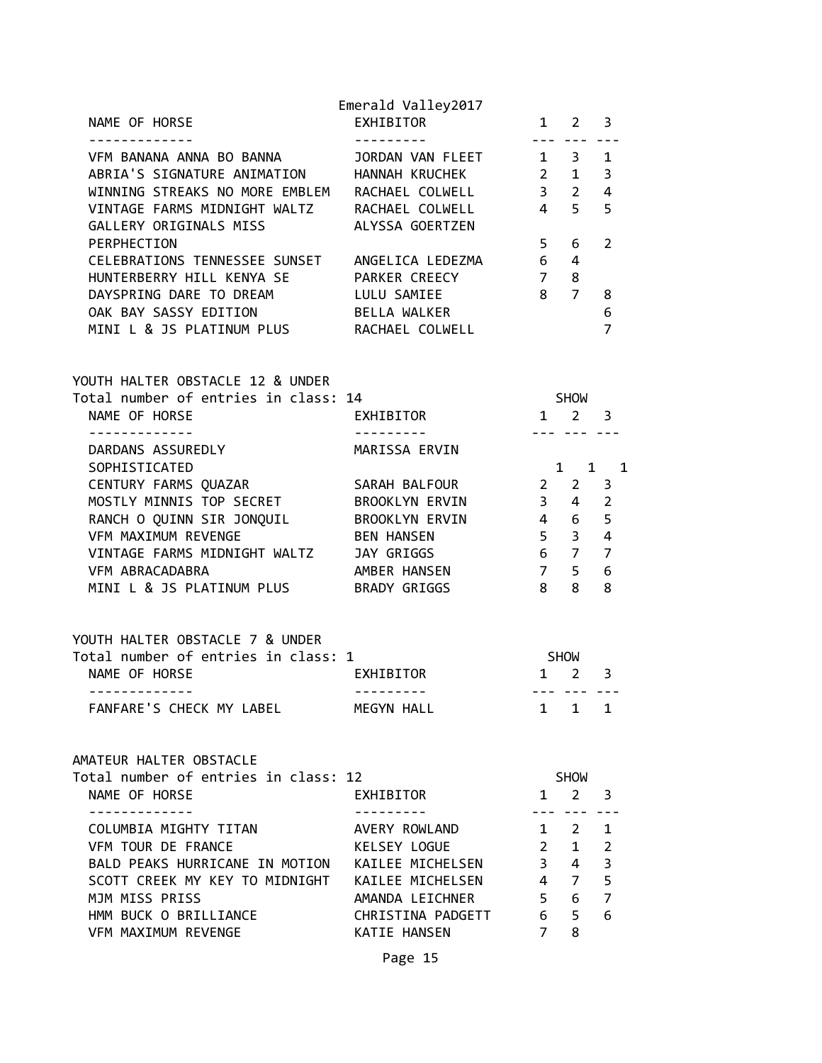| NAME OF HORSE                                                                                                                                                                                                 | Emerald Valley2017<br><b>EXHIBITOR</b> | $1 \quad 2 \quad 3$                |                                        |                     |  |
|---------------------------------------------------------------------------------------------------------------------------------------------------------------------------------------------------------------|----------------------------------------|------------------------------------|----------------------------------------|---------------------|--|
| VFM BANANA ANNA BO BANNA JORDAN VAN FLEET 131<br>ABRIA'S SIGNATURE ANIMATION HANNAH KRUCHEK 2 1 3<br>WINNING STREAKS NO MORE EMBLEM RACHAEL COLWELL 3 2 4<br>VINTAGE FARMS MIDNIGHT WALTZ RACHAEL COLWELL 4 5 |                                        |                                    | <u>--- --- ---</u>                     | 5                   |  |
| GALLERY ORIGINALS MISS ALYSSA GOERTZEN<br>PERPHECTION<br>CELEBRATIONS TENNESSEE SUNSET ANGELICA LEDEZMA 6<br>HUNTERBERRY HILL KENYA SE PARKER CREECY 7                                                        |                                        |                                    | $5\qquad 6$<br>$\overline{4}$<br>8     | 2                   |  |
| DAYSPRING DARE TO DREAM LULU SAMIEE<br>OAK BAY SASSY EDITION BELLA WALKER<br>MINI L & JS PLATINUM PLUS RACHAEL COLWELL                                                                                        |                                        | 8 7 8                              |                                        | 6<br>$\overline{7}$ |  |
| YOUTH HALTER OBSTACLE 12 & UNDER                                                                                                                                                                              |                                        | <b>SHOW</b>                        |                                        |                     |  |
| Total number of entries in class: 14<br>NAME OF HORSE EXHIBITOR                                                                                                                                               |                                        | $1 \quad 2 \quad 3$                |                                        |                     |  |
| -------------<br>DARDANS ASSUREDLY<br>SOPHISTICATED                                                                                                                                                           | MARISSA ERVIN                          |                                    | --- --- ---                            | $1 \quad 1 \quad 1$ |  |
| CENTURY FARMS QUAZAR SARAH BALFOUR                                                                                                                                                                            |                                        | $2 \t2 \t3$                        |                                        |                     |  |
| MOSTLY MINNIS TOP SECRET<br>MOSTLY MINNIS TOP SECRET BROOKLYN ERVIN                                                                                                                                           |                                        | $3 \quad 4 \quad 2$                |                                        |                     |  |
| RANCH O QUINN SIR JONQUIL BROOKLYN ERVIN 1 4 6 5<br>VFM MAXIMUM REVENGE 1 BEN HANSEN 5 3 4                                                                                                                    |                                        | $5 \quad 3 \quad 4$                |                                        |                     |  |
| VINTAGE FARMS MIDNIGHT WALTZ JAY GRIGGS                                                                                                                                                                       |                                        | $6 \quad 7 \quad 7$                |                                        |                     |  |
| VFM ABRACADABRA                                                                                                                                                                                               | AMBER HANSEN 7 5 6                     |                                    |                                        |                     |  |
| MINI L & JS PLATINUM PLUS BRADY GRIGGS                                                                                                                                                                        |                                        | 88                                 |                                        | 8                   |  |
| YOUTH HALTER OBSTACLE 7 & UNDER                                                                                                                                                                               |                                        |                                    |                                        |                     |  |
| Total number of entries in class: 1<br>NAME OF HORSE<br>-------------                                                                                                                                         | <b>EXHIBITOR</b>                       | <b>SHOW</b><br>$1 \quad 2 \quad 3$ |                                        |                     |  |
| FANFARE'S CHECK MY LABEL MEGYN HALL                                                                                                                                                                           |                                        |                                    | $1 \quad 1 \quad 1$                    |                     |  |
| AMATEUR HALTER OBSTACLE                                                                                                                                                                                       |                                        |                                    |                                        |                     |  |
| Total number of entries in class: 12<br>NAME OF HORSE                                                                                                                                                         | .2<br>EXHIBITOR                        |                                    | SHOW<br>$1 \quad 2 \quad 3$<br>--- --- |                     |  |
| COLUMBIA MIGHTY TITAN AVERY ROWLAND                                                                                                                                                                           |                                        |                                    | $1 \quad 2 \quad 1$                    |                     |  |
| VFM TOUR DE FRANCE KELSEY LOGUE                                                                                                                                                                               |                                        |                                    | $2 \quad 1 \quad 2$                    |                     |  |
| BALD PEAKS HURRICANE IN MOTION KAILEE MICHELSEN 3 4 3                                                                                                                                                         |                                        |                                    |                                        |                     |  |
| SCOTT CREEK MY KEY TO MIDNIGHT KAILEE MICHELSEN                                                                                                                                                               |                                        | $4 \quad 7 \quad 5$                |                                        |                     |  |
| MJM MISS PRISS                                                                                                                                                                                                | AMANDA LEICHNER                        | 5 6                                | 6 5                                    | $\overline{7}$<br>6 |  |
| HMM BUCK O BRILLIANCE CHRISTINA PADGETT<br>VFM MAXIMUM REVENGE                                                                                                                                                | KATIE HANSEN                           | $7 -$                              | 8                                      |                     |  |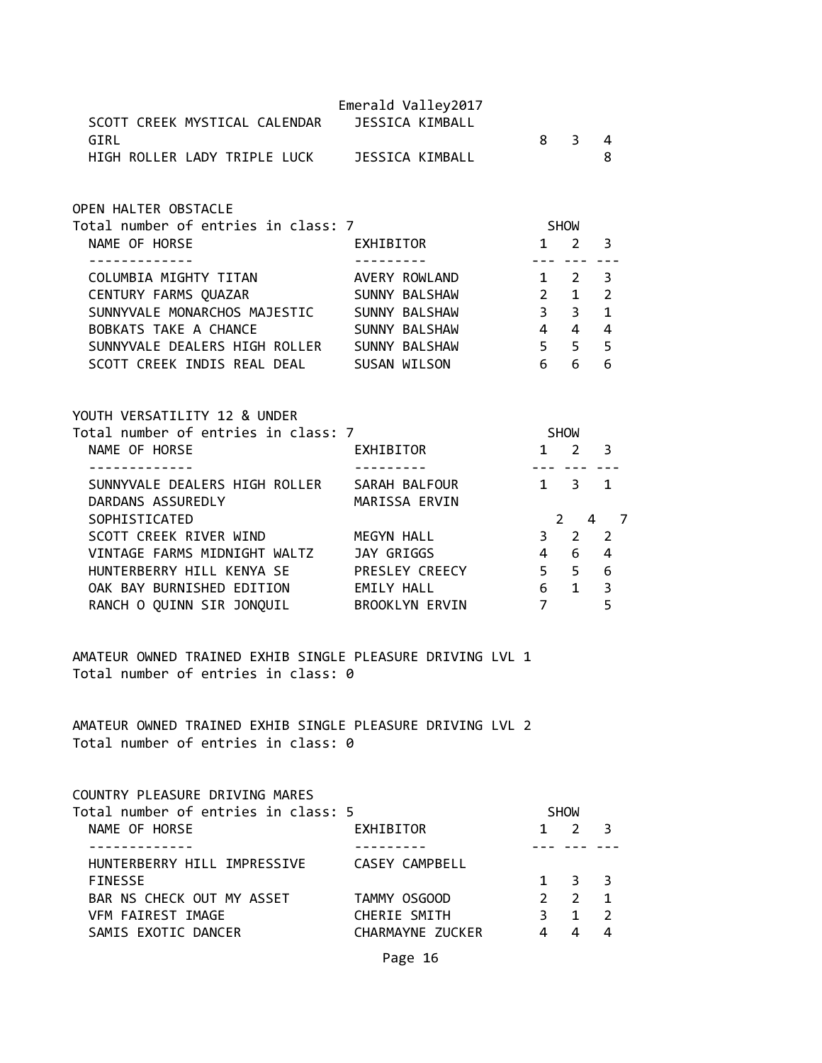| SCOTT CREEK MYSTICAL CALENDAR<br>GIRL                                                                             | Emerald Valley2017<br><b>JESSICA KIMBALL</b> |                | 8 3 4                                             |                |
|-------------------------------------------------------------------------------------------------------------------|----------------------------------------------|----------------|---------------------------------------------------|----------------|
| HIGH ROLLER LADY TRIPLE LUCK JESSICA KIMBALL                                                                      |                                              |                |                                                   | 8              |
| OPEN HALTER OBSTACLE                                                                                              |                                              |                |                                                   |                |
| Total number of entries in class: 7<br>NAME OF HORSE                                                              | EXHIBITOR                                    |                | <b>SHOW</b><br>$1 \quad 2 \quad 3$                |                |
| -----------                                                                                                       |                                              |                | <u>--- --- --</u> -                               |                |
| COLUMBIA MIGHTY TITAN                                                                                             | AVERY ROWLAND                                |                | $1 \quad 2 \quad 3$                               |                |
| CENTURY FARMS QUAZAR                                                                                              | SUNNY BALSHAW                                |                | $2 \t 1$                                          | $\overline{2}$ |
| SUNNYVALE MONARCHOS MAJESTIC SUNNY BALSHAW                                                                        | $\overline{\mathbf{3}}$                      |                | 3 <sup>7</sup>                                    | $\mathbf{1}$   |
| BOBKATS TAKE A CHANCE                                                                                             | $4 \quad 4 \quad 4$<br>SUNNY BALSHAW         |                |                                                   |                |
| SUNNYVALE DEALERS HIGH ROLLER SUNNY BALSHAW<br>SCOTT CREEK INDIS REAL DEAL SUSAN WILSON                           | 555                                          |                | 6 6                                               | 6              |
| YOUTH VERSATILITY 12 & UNDER<br>Total number of entries in class: 7<br>NAME OF HORSE<br>. _ _ _ _ _ _ _ _ _ _ _ _ | EXHIBITOR                                    |                | <b>SHOW</b><br>$1 \quad 2 \quad 3$<br>--- --- --- |                |
| SUNNYVALE DEALERS HIGH ROLLER SARAH BALFOUR<br>DARDANS ASSUREDLY                                                  | MARISSA ERVIN                                |                | $1 \quad 3 \quad 1$                               |                |
| SOPHISTICATED                                                                                                     |                                              |                |                                                   | 2 4 7          |
| SCOTT CREEK RIVER WIND                                                                                            | MEGYN HALL                                   |                | $3 \quad 2$                                       | 2              |
| VINTAGE FARMS MIDNIGHT WALTZ JAY GRIGGS                                                                           |                                              |                | 4 6                                               | $\overline{4}$ |
| HUNTERBERRY HILL KENYA SE PRESLEY CREECY                                                                          |                                              |                | $5\quad 5\quad 6$                                 |                |
| OAK BAY BURNISHED EDITION EMILY HALL                                                                              |                                              |                | $6\quad 1\quad 3$                                 |                |
| RANCH O QUINN SIR JONQUIL BROOKLYN ERVIN                                                                          | $7\overline{ }$                              |                |                                                   | 5              |
| AMATEUR OWNED TRAINED EXHIB SINGLE PLEASURE DRIVING LVL 1<br>Total number of entries in class: 0                  |                                              |                |                                                   |                |
| AMATEUR OWNED TRAINED EXHIB SINGLE PLEASURE DRIVING LVL 2<br>Total number of entries in class: 0                  |                                              |                |                                                   |                |
| COUNTRY PLEASURE DRIVING MARES                                                                                    |                                              |                |                                                   |                |
| Total number of entries in class: 5<br>NAME OF HORSE                                                              | EXHIBITOR                                    |                | SHOW<br>$1 \quad 2$                               | 3              |
| . <u>.</u>                                                                                                        |                                              |                | --- ---                                           |                |
| HUNTERBERRY HILL IMPRESSIVE CASEY CAMPBELL                                                                        |                                              |                |                                                   |                |
| <b>FINESSE</b><br>BAR NS CHECK OUT MY ASSET                                                                       | TAMMY OSGOOD                                 | $2^{\circ}$    | $1 \quad 3 \quad 3$<br>$\overline{2}$             | 1              |
| VFM FAIREST IMAGE                                                                                                 | CHERIE SMITH                                 | 3 <sup>7</sup> |                                                   | $1 \quad 2$    |
| SAMIS EXOTIC DANCER                                                                                               | CHARMAYNE ZUCKER                             | $4 \quad$      | $\overline{4}$                                    | $\Delta$       |
|                                                                                                                   |                                              |                |                                                   |                |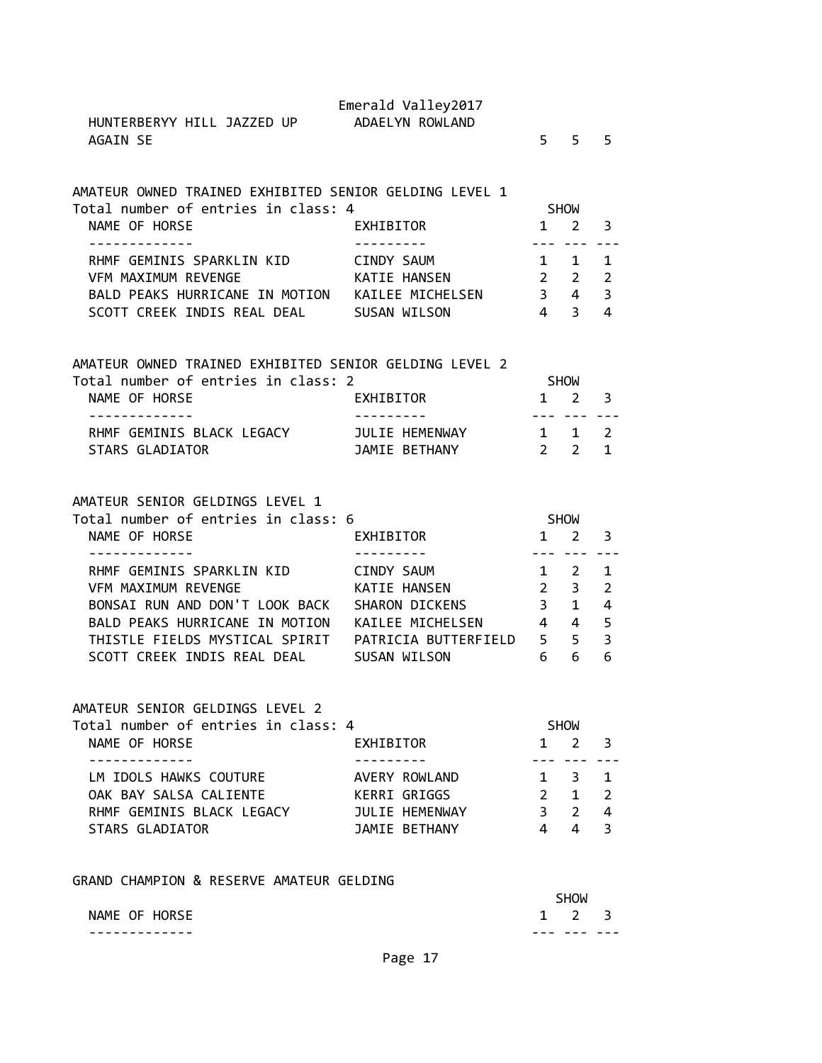| HUNTERBERYY HILL JAZZED UP ADAELYN ROWLAND<br><b>AGAIN SE</b>                                                                                                    | Emerald Valley2017              |                                | $5 \quad 5$                                            | 5                                |
|------------------------------------------------------------------------------------------------------------------------------------------------------------------|---------------------------------|--------------------------------|--------------------------------------------------------|----------------------------------|
| AMATEUR OWNED TRAINED EXHIBITED SENIOR GELDING LEVEL 1<br>Total number of entries in class: 4                                                                    |                                 |                                | SHOW                                                   |                                  |
| NAME OF HORSE<br>-------------                                                                                                                                   | EXHIBITOR<br>----------         |                                | $1\quad 2$                                             | 3                                |
| RHMF GEMINIS SPARKLIN KID CINDY SAUM<br>VFM MAXIMUM REVENGE<br>BALD PEAKS HURRICANE IN MOTION KAILEE MICHELSEN 3 4 3<br>SCOTT CREEK INDIS REAL DEAL SUSAN WILSON | KATIE HANSEN 22                 | $4 \quad 3$                    | --- --- ---<br>$\begin{matrix} 1 & 1 & 1 \end{matrix}$ | 2<br>4                           |
| AMATEUR OWNED TRAINED EXHIBITED SENIOR GELDING LEVEL 2                                                                                                           |                                 |                                |                                                        |                                  |
| Total number of entries in class: 2<br>NAME OF HORSE<br>-------------                                                                                            | EXHIBITOR<br>----------         |                                | <b>SHOW</b><br>$1 \quad 2 \quad 3$<br>--- --- ---      |                                  |
| RHMF GEMINIS BLACK LEGACY JULIE HEMENWAY 1 1 2<br>STARS GLADIATOR<br><b>STARS GLADIATOR</b>                                                                      | JAMIE BETHANY                   |                                | $2 \quad 2 \quad 1$                                    |                                  |
| AMATEUR SENIOR GELDINGS LEVEL 1                                                                                                                                  |                                 |                                |                                                        |                                  |
| Total number of entries in class: 6<br>NAME OF HORSE                                                                                                             | EXHIBITOR                       | SHOW<br>$1 \quad 2 \quad 3$    |                                                        |                                  |
| -------------<br>RHMF GEMINIS SPARKLIN KID                                                                                                                       | CINDY SAUM                      |                                | --- --- ---<br>$1 \quad 2 \quad 1$                     |                                  |
| <b>VFM MAXIMUM REVENGE</b><br>BONSAI RUN AND DON'T LOOK BACK SHARON DICKENS                                                                                      | KATIE HANSEN                    |                                | $2 \quad 3$<br>$3 \quad 1$                             | $\overline{2}$<br>$\overline{4}$ |
| BALD PEAKS HURRICANE IN MOTION KAILEE MICHELSEN 444                                                                                                              |                                 |                                |                                                        | 5                                |
| SCOTT CREEK INDIS REAL DEAL SUSAN WILSON                                                                                                                         | $6\overline{6}$                 |                                | 6                                                      | $\overline{3}$<br>6              |
|                                                                                                                                                                  |                                 |                                |                                                        |                                  |
| AMATEUR SENIOR GELDINGS LEVEL 2<br>Total number of entries in class: 4                                                                                           |                                 |                                | <b>SHOW</b>                                            |                                  |
| NAME OF HORSE                                                                                                                                                    | EXHIBITOR                       | $\mathbf{1}$                   | $\mathbf{2}$                                           | 3                                |
| LM IDOLS HAWKS COUTURE                                                                                                                                           | AVERY ROWLAND                   | $1 \quad$                      | 3                                                      | 1                                |
| OAK BAY SALSA CALIENTE                                                                                                                                           | KERRI GRIGGS                    |                                | $2 \quad 1$                                            | $\overline{2}$                   |
| RHMF GEMINIS BLACK LEGACY<br>STARS GLADIATOR                                                                                                                     | JULIE HEMENWAY<br>JAMIE BETHANY | 3 <sup>7</sup><br>$\mathbf{A}$ | 2<br>4                                                 | $\overline{4}$<br>$\overline{3}$ |
|                                                                                                                                                                  |                                 |                                |                                                        |                                  |

GRAND CHAMPION & RESERVE AMATEUR GELDING

|               |                     | <b>SHOW</b> |  |  |
|---------------|---------------------|-------------|--|--|
| NAME OF HORSE | $1 \quad 2 \quad 3$ |             |  |  |
| --            | - -                 |             |  |  |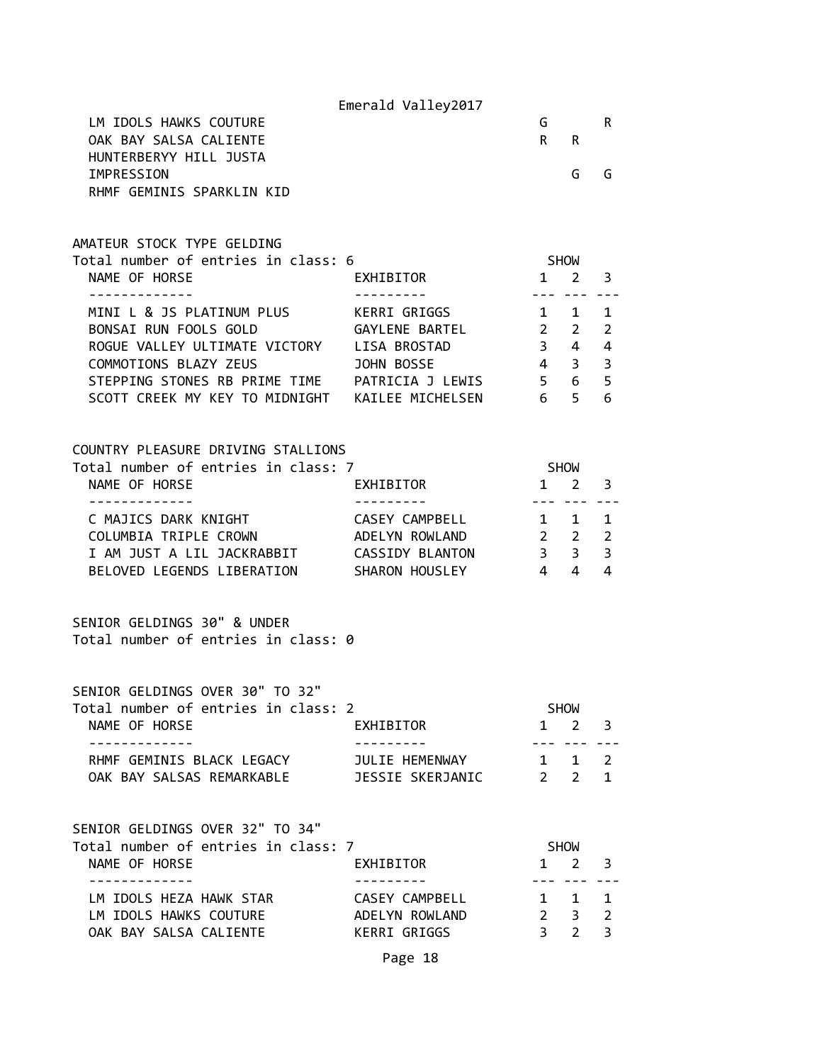|                                                                                                                                                                                              | Emerald Valley2017                           |                                               |                                           |                                                  |
|----------------------------------------------------------------------------------------------------------------------------------------------------------------------------------------------|----------------------------------------------|-----------------------------------------------|-------------------------------------------|--------------------------------------------------|
| LM IDOLS HAWKS COUTURE<br>OAK BAY SALSA CALIENTE                                                                                                                                             |                                              | G<br>R.                                       | R.                                        | R.                                               |
| HUNTERBERYY HILL JUSTA<br>IMPRESSION<br>RHMF GEMINIS SPARKLIN KID                                                                                                                            |                                              |                                               | G                                         | G                                                |
| AMATEUR STOCK TYPE GELDING<br>Total number of entries in class: 6                                                                                                                            |                                              | <b>SHOW</b>                                   |                                           |                                                  |
| NAME OF HORSE                                                                                                                                                                                | EXHIBITOR                                    | $1\quad 2$                                    |                                           | 3                                                |
| MINI L & JS PLATINUM PLUS KERRI GRIGGS 1 1<br>BONSAI RUN FOOLS GOLD<br>ROGUE VALLEY ULTIMATE VICTORY LISA BROSTAD<br>COMMOTIONS BLAZY ZEUS<br>STEPPING STONES RB PRIME TIME PATRICIA J LEWIS | <b>GAYLENE BARTEL</b><br>JOHN BOSSE          | $2\quad 2$<br>$3 \quad 4$<br>$4$ 3 3<br>5 6 5 | --- ----                                  | 1<br>2<br>$\overline{4}$<br>6                    |
| COUNTRY PLEASURE DRIVING STALLIONS<br>Total number of entries in class: 7                                                                                                                    |                                              |                                               |                                           |                                                  |
| NAME OF HORSE<br>-------------                                                                                                                                                               | EXHIBITOR                                    | SHOW                                          | $1 \quad 2$<br><u>--- --- ---</u>         | 3                                                |
| C MAJICS DARK KNIGHT<br>COLUMBIA TRIPLE CROWN ADELYN ROWLAND<br>BELOVED LEGENDS LIBERATION                                                                                                   | CASEY CAMPBELL 1 1<br>SHARON HOUSLEY 444     | $2\quad 2$                                    |                                           | 1<br>$\overline{2}$<br>3<br>4                    |
| SENIOR GELDINGS 30" & UNDER<br>Total number of entries in class: 0                                                                                                                           |                                              |                                               |                                           |                                                  |
| SENIOR GELDINGS OVER 30" TO 32"                                                                                                                                                              |                                              |                                               |                                           |                                                  |
| Total number of entries in class: 2<br>NAME OF HORSE<br>-----------                                                                                                                          | EXHIBITOR                                    |                                               | <b>SHOW</b><br>$1 \quad 2$<br>--- --- --- | 3                                                |
| RHMF GEMINIS BLACK LEGACY                                                                                                                                                                    | JULIE HEMENWAY                               |                                               | $1 \quad 1 \quad 2$                       |                                                  |
| SENIOR GELDINGS OVER 32" TO 34"<br>Total number of entries in class: 7<br>NAME OF HORSE                                                                                                      | EXHIBITOR                                    |                                               | SHOW<br>$1 \quad 2 \quad 3$               |                                                  |
| -------------<br>LM IDOLS HEZA HAWK STAR<br>LM IDOLS HAWKS COUTURE ADELYN ROWLAND<br>OAK BAY SALSA CALIENTE                                                                                  | ----------<br>CASEY CAMPBELL<br>KERRI GRIGGS | $1 \quad 1$<br>2 <sup>3</sup>                 | --- --- ---<br>$3 \quad 2$                | $\mathbf{1}$<br>$\overline{2}$<br>$\overline{3}$ |
|                                                                                                                                                                                              |                                              |                                               |                                           |                                                  |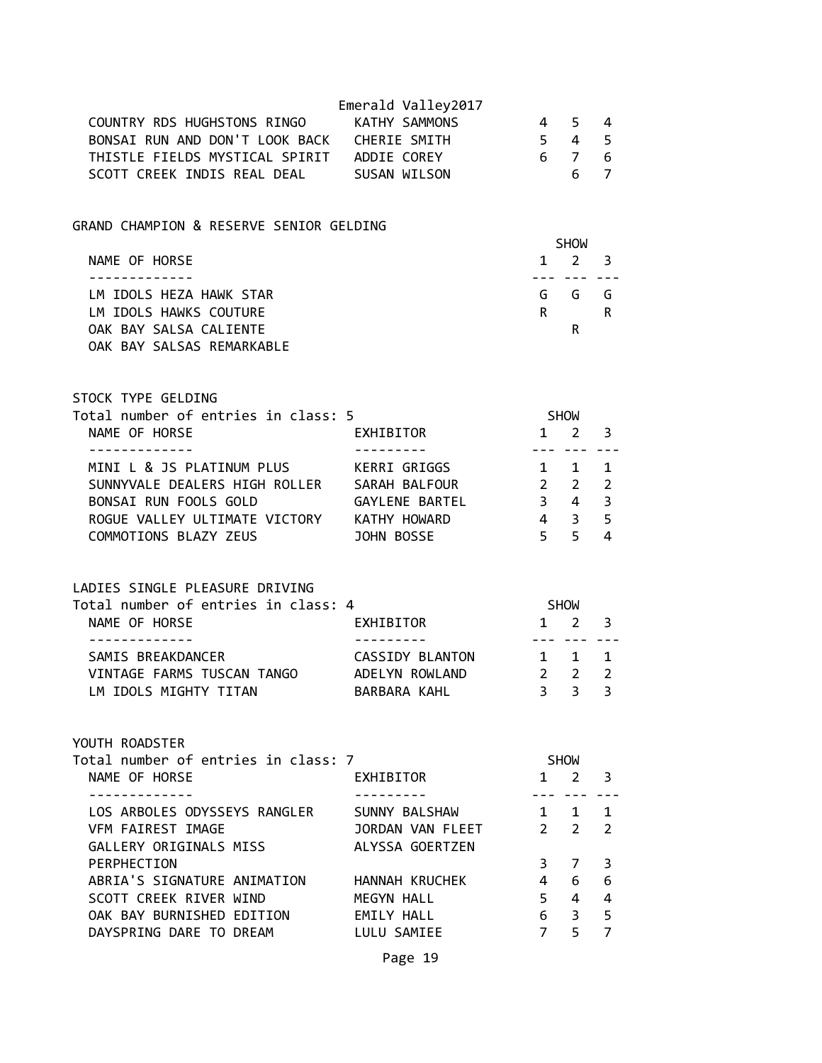| COUNTRY RDS HUGHSTONS RINGO KATHY SAMMONS<br>BONSAI RUN AND DON'T LOOK BACK CHERIE SMITH                                                                                                    | Emerald Valley2017                                   | 4 5<br>$5\quad 4\quad 5$                                |                                            | 4                                       |
|---------------------------------------------------------------------------------------------------------------------------------------------------------------------------------------------|------------------------------------------------------|---------------------------------------------------------|--------------------------------------------|-----------------------------------------|
| THISTLE FIELDS MYSTICAL SPIRIT ADDIE COREY<br>SCOTT CREEK INDIS REAL DEAL SUSAN WILSON                                                                                                      |                                                      | $\begin{array}{cccc} 6 & 7 & 6 \\ & 6 & 7 \end{array}$  | 6 <sup>1</sup>                             |                                         |
| GRAND CHAMPION & RESERVE SENIOR GELDING                                                                                                                                                     |                                                      |                                                         | SHOW                                       |                                         |
| NAME OF HORSE<br>.                                                                                                                                                                          |                                                      |                                                         | $1 \quad 2 \quad 3$<br>--- --- -- <b>-</b> |                                         |
| LM IDOLS HEZA HAWK STAR                                                                                                                                                                     |                                                      |                                                         | G G G                                      |                                         |
| LM IDOLS HAWKS COUTURE<br>OAK BAY SALSA CALIENTE<br>OAK BAY SALSAS REMARKABLE                                                                                                               |                                                      |                                                         | $R \sim 1$<br>R.                           | R                                       |
| STOCK TYPE GELDING<br>Total number of entries in class: 5                                                                                                                                   |                                                      | SHOW                                                    |                                            |                                         |
| NAME OF HORSE<br>- - - - - - - - - - - - -                                                                                                                                                  | EXHIBITOR                                            | $1 \quad 2 \quad 3$                                     | --- --- ---                                |                                         |
| MINI L & JS PLATINUM PLUS KERRI GRIGGS<br>SUNNYVALE DEALERS HIGH ROLLER SARAH BALFOUR 2 2 2<br>BONSAI RUN FOOLS GOLD<br>ROGUE VALLEY ULTIMATE VICTORY KATHY HOWARD<br>COMMOTIONS BLAZY ZEUS | GAYLENE BARTEL 3 4<br>JOHN BOSSE                     | $1 \quad 1$<br>$4 \quad 3$                              | $5 \quad 5$                                | $\mathbf 1$<br>$\overline{3}$<br>5<br>4 |
| LADIES SINGLE PLEASURE DRIVING<br>Total number of entries in class: 4<br>NAME OF HORSE                                                                                                      | EXHIBITOR                                            | SHOW<br>$1 \quad 2 \quad 3$                             |                                            |                                         |
| -------------<br>SAMIS BREAKDANCER                                                                                                                                                          | CASSIDY BLANTON                                      | 1 1 1                                                   | --- ---                                    |                                         |
| VINTAGE FARMS TUSCAN TANGO ADELYN ROWLAND<br>LM IDOLS MIGHTY TITAN                                                                                                                          | BARBARA KAHL                                         | $\begin{array}{ccc}\n & 2 & 2 \\  & 3 & 3\n\end{array}$ |                                            | $\overline{2}$<br>$\overline{3}$        |
| YOUTH ROADSTER                                                                                                                                                                              |                                                      |                                                         |                                            |                                         |
| Total number of entries in class: 7<br>NAME OF HORSE<br>. <u>.</u>                                                                                                                          | EXHIBITOR                                            |                                                         | SHOW<br>$1 \quad 2$                        | 3                                       |
| LOS ARBOLES ODYSSEYS RANGLER<br>VFM FAIREST IMAGE<br>GALLERY ORIGINALS MISS                                                                                                                 | SUNNY BALSHAW<br>JORDAN VAN FLEET<br>ALYSSA GOERTZEN |                                                         | $1 \quad 1$<br>$2 \quad 2$                 | 1<br>$\overline{2}$                     |
| PERPHECTION                                                                                                                                                                                 |                                                      | 3 <sup>7</sup>                                          | 7                                          | 3                                       |
| ABRIA'S SIGNATURE ANIMATION<br>SCOTT CREEK RIVER WIND                                                                                                                                       | HANNAH KRUCHEK<br>MEGYN HALL                         | $\overline{4}$                                          | 6<br>$5 \quad 4$                           | 6<br>4                                  |
| OAK BAY BURNISHED EDITION<br>DAYSPRING DARE TO DREAM                                                                                                                                        | EMILY HALL<br>LULU SAMIEE                            | 6<br>7 <sup>7</sup>                                     | $\overline{\mathbf{3}}$<br>5               | 5<br>$\overline{7}$                     |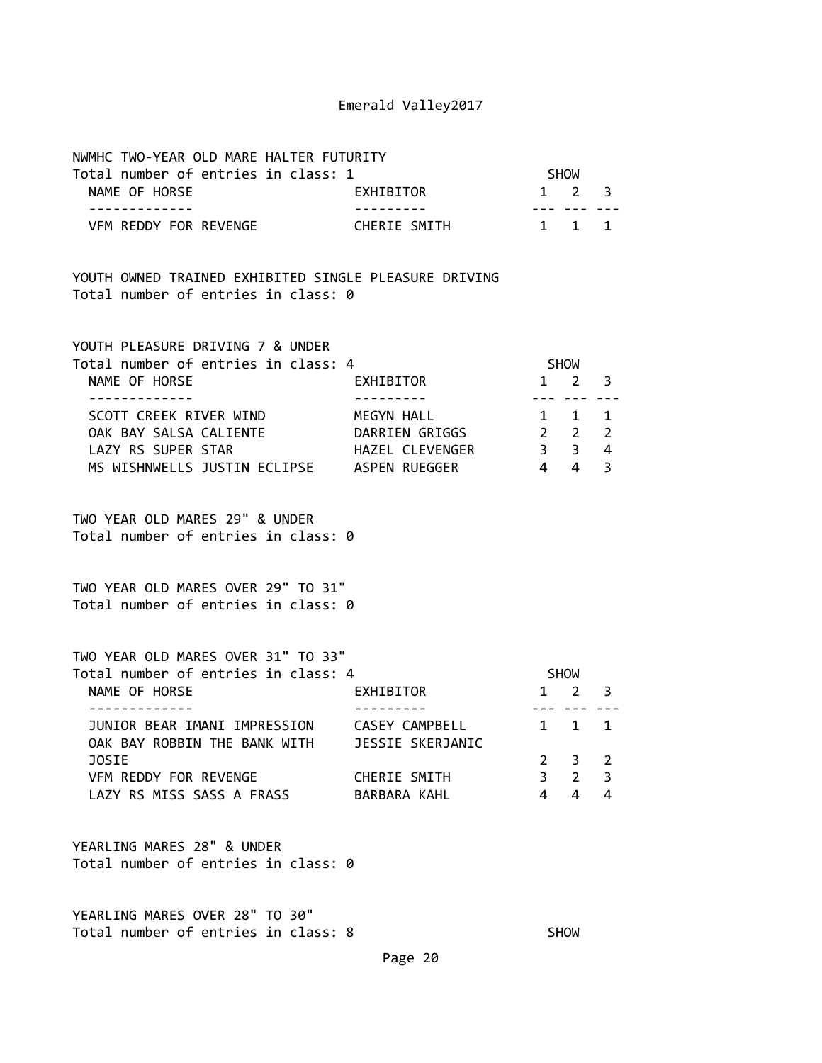| NWMHC TWO-YEAR OLD MARE HALTER FUTURITY                                                      |                        |                |                     |        |
|----------------------------------------------------------------------------------------------|------------------------|----------------|---------------------|--------|
| Total number of entries in class: 1                                                          |                        | SHOW           |                     |        |
| NAME OF HORSE<br>-------------                                                               | EXHIBITOR<br>--------- | $- - -$        | $1 \quad 2 \quad 3$ |        |
| VFM REDDY FOR REVENGE                                                                        | CHERIE SMITH           |                | 1 1 1               |        |
| YOUTH OWNED TRAINED EXHIBITED SINGLE PLEASURE DRIVING<br>Total number of entries in class: 0 |                        |                |                     |        |
| YOUTH PLEASURE DRIVING 7 & UNDER<br>Total number of entries in class: 4                      |                        |                | SHOW                |        |
| NAME OF HORSE                                                                                | EXHIBITOR              | $- - -$        | $1 \quad 2$         | 3      |
| SCOTT CREEK RIVER WIND                                                                       | MEGYN HALL             |                | $1 \quad 1$         | 1      |
| OAK BAY SALSA CALIENTE DARRIEN GRIGGS 22                                                     |                        |                |                     | 2      |
| LAZY RS SUPER STAR<br>MS WISHNWELLS JUSTIN ECLIPSE ASPEN RUEGGER                             | HAZEL CLEVENGER        | 3 <sup>3</sup> | $4 \quad 4$         | 4<br>3 |
| TWO YEAR OLD MARES 29" & UNDER<br>Total number of entries in class: 0                        |                        |                |                     |        |
| TWO YEAR OLD MARES OVER 29" TO 31"<br>Total number of entries in class: 0                    |                        |                |                     |        |
| TWO YEAR OLD MARES OVER 31" TO 33"<br>Total number of entries in class: 4                    |                        |                | SHOW                |        |
| NAME OF HORSE<br>------------                                                                | EXHIBITOR              |                | $1 \quad 2 \quad 3$ |        |
| JUNIOR BEAR IMANI IMPRESSION CASEY CAMPBELL<br>OAK BAY ROBBIN THE BANK WITH                  | JESSIE SKERJANIC       | 1              | $\mathbf{1}$        | 1      |
| JOSIE                                                                                        |                        | $\mathbf{2}$   | 3                   | 2      |
| VFM REDDY FOR REVENGE                                                                        | CHERIE SMITH           | $\overline{3}$ | $\overline{2}$      | 3      |
| LAZY RS MISS SASS A FRASS BARBARA KAHL                                                       |                        | 4              | 4                   | 4      |
| YEARLING MARES 28" & UNDER<br>Total number of entries in class: 0                            |                        |                |                     |        |

YEARLING MARES OVER 28" TO 30" Total number of entries in class: 8 SHOW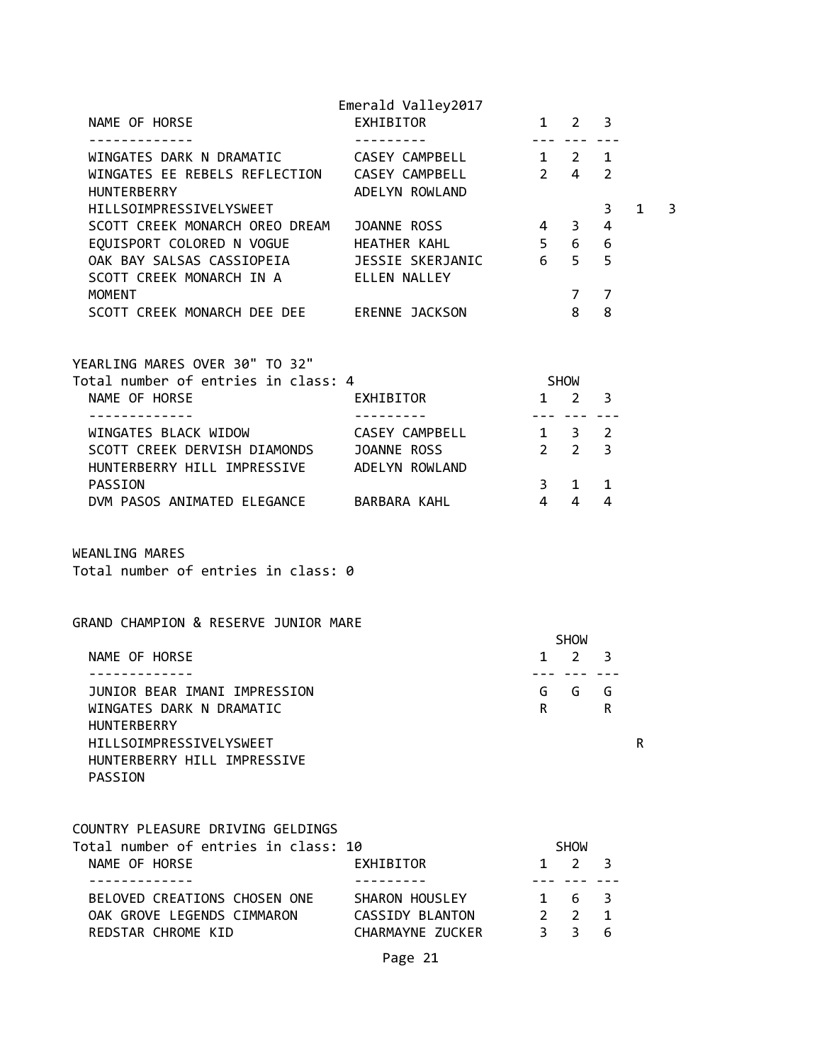| NAME OF HORSE                                                                                                 | Emerald Valley2017<br>EXHIBITOR |                         | $1 \quad 2$                | 3              |           |   |
|---------------------------------------------------------------------------------------------------------------|---------------------------------|-------------------------|----------------------------|----------------|-----------|---|
| WINGATES DARK N DRAMATIC CASEY CAMPBELL<br>WINGATES EE REBELS REFLECTION CASEY CAMPBELL<br><b>HUNTERBERRY</b> | ADELYN ROWLAND                  | $- - -$<br>$2 \quad 4$  | $1 \quad 2 \quad 1$        | $\overline{2}$ |           |   |
| HILLSOIMPRESSIVELYSWEET                                                                                       |                                 |                         |                            | 3              | $1 \quad$ | 3 |
| SCOTT CREEK MONARCH OREO DREAM JOANNE ROSS                                                                    |                                 | $\overline{4}$          | 3 <sup>7</sup>             | $\overline{4}$ |           |   |
| EQUISPORT COLORED N VOGUE HEATHER KAHL                                                                        |                                 |                         | 5 6                        | 6              |           |   |
| OAK BAY SALSAS CASSIOPEIA JESSIE SKERJANIC<br>SCOTT CREEK MONARCH IN A ELLEN NALLEY                           |                                 | $6\overline{6}$         | 5 <sup>7</sup>             | 5              |           |   |
| <b>MOMENT</b>                                                                                                 |                                 |                         | 7                          | 7              |           |   |
| SCOTT CREEK MONARCH DEE DEE ERENNE JACKSON                                                                    |                                 |                         | 8                          | 8              |           |   |
| YEARLING MARES OVER 30" TO 32"                                                                                |                                 |                         |                            |                |           |   |
| Total number of entries in class: 4                                                                           |                                 |                         | <b>SHOW</b>                |                |           |   |
| NAME OF HORSE                                                                                                 | EXHIBITOR                       |                         | $1 \quad 2$                | 3              |           |   |
| - - - - - - - - - - - - -<br>WINGATES BLACK WIDOW CASEY CAMPBELL                                              | ---------                       | $1 \quad 3 \quad 2$     | --- ---                    | $- - -$        |           |   |
| SCOTT CREEK DERVISH DIAMONDS JOANNE ROSS                                                                      |                                 |                         | $2 \quad 2$                | 3              |           |   |
| HUNTERBERRY HILL IMPRESSIVE ADELYN ROWLAND                                                                    |                                 |                         |                            |                |           |   |
| PASSION                                                                                                       |                                 | 3 <sup>7</sup>          | $1 \quad$                  | $\mathbf{1}$   |           |   |
| DVM PASOS ANIMATED ELEGANCE BARBARA KAHL                                                                      |                                 | $\overline{4}$          | $\overline{4}$             | $\overline{4}$ |           |   |
| WEANLING MARES<br>Total number of entries in class: 0                                                         |                                 |                         |                            |                |           |   |
| GRAND CHAMPION & RESERVE JUNIOR MARE                                                                          |                                 |                         | <b>SHOW</b>                |                |           |   |
| NAME OF HORSE                                                                                                 |                                 | $\mathbf{1}$            | $2 \overline{3}$           |                |           |   |
| .                                                                                                             |                                 |                         | <u>--- --- ---</u>         |                |           |   |
| JUNIOR BEAR IMANI IMPRESSION<br>WINGATES DARK N DRAMATIC<br><b>HUNTERBERRY</b>                                |                                 | R.                      | G G                        | G<br>R         |           |   |
| HILLSOIMPRESSIVELYSWEET<br>HUNTERBERRY HILL IMPRESSIVE<br>PASSION                                             |                                 |                         |                            |                | R         |   |
| COUNTRY PLEASURE DRIVING GELDINGS                                                                             |                                 |                         |                            |                |           |   |
| Total number of entries in class: 10<br>NAME OF HORSE                                                         | EXHIBITOR                       | $\mathbf{1}$            | <b>SHOW</b><br>$2^{\circ}$ | 3              |           |   |
| .<br>BELOVED CREATIONS CHOSEN ONE SHARON HOUSLEY                                                              |                                 | $- - -$<br>$\mathbf{1}$ | 6                          | 3              |           |   |
| OAK GROVE LEGENDS CIMMARON                                                                                    | CASSIDY BLANTON                 |                         | $2 \quad 2$                | 1              |           |   |
| REDSTAR CHROME KID                                                                                            | CHARMAYNE ZUCKER                | 3 <sup>7</sup>          | 3                          | 6.             |           |   |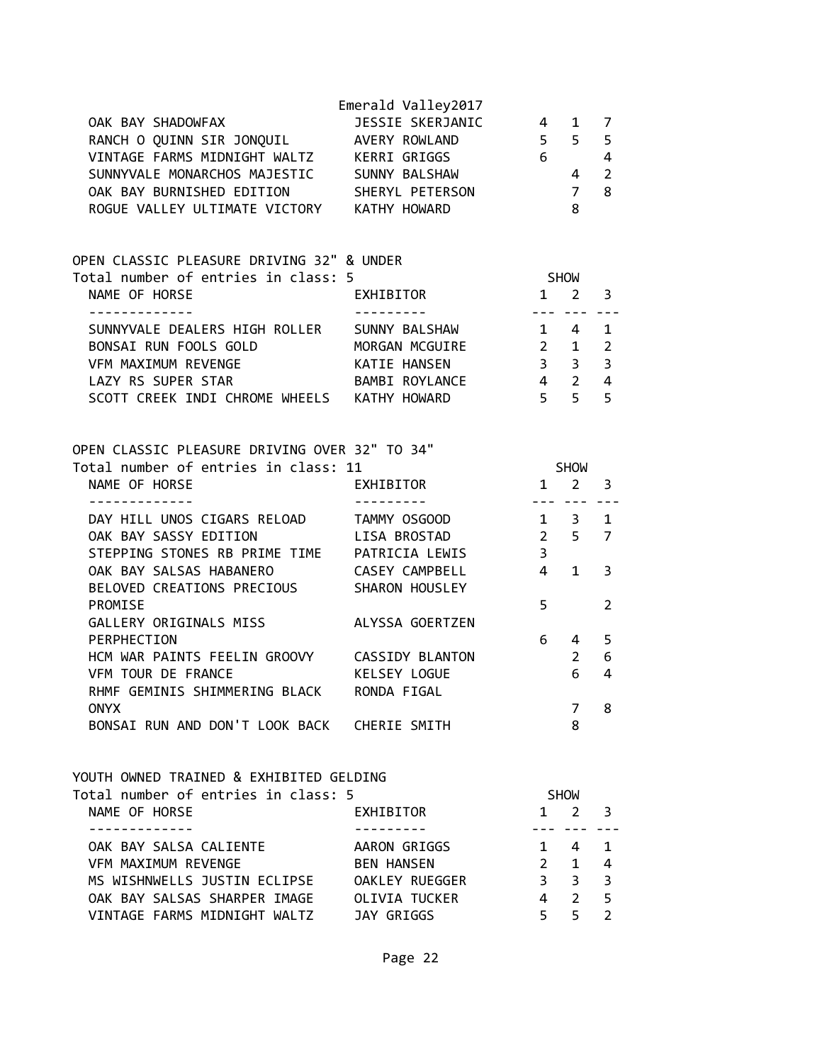| OAK BAY SHADOWFAX<br>RANCH O QUINN SIR JONQUIL AVERY ROWLAND 5 5<br>VINTAGE FARMS MIDNIGHT WALTZ KERRI GRIGGS<br>SUNNYVALE MONARCHOS MAJESTIC SUNNY BALSHAW<br>OAK BAY BURNISHED EDITION<br>ROGUE VALLEY ULTIMATE VICTORY KATHY HOWARD | Emerald Valley2017<br>JESSIE SKERJANIC 4 | $\begin{array}{c} 6 \\ 4 \end{array}$<br>$\overline{7}$ | $\mathbf{1}$<br>8               | 7<br>5<br>$\overline{4}$<br>$\overline{2}$<br>8 |
|----------------------------------------------------------------------------------------------------------------------------------------------------------------------------------------------------------------------------------------|------------------------------------------|---------------------------------------------------------|---------------------------------|-------------------------------------------------|
| OPEN CLASSIC PLEASURE DRIVING 32" & UNDER                                                                                                                                                                                              |                                          |                                                         |                                 |                                                 |
| Total number of entries in class: 5                                                                                                                                                                                                    |                                          | <b>SHOW</b>                                             |                                 |                                                 |
| NAME OF HORSE                                                                                                                                                                                                                          | EXHIBITOR                                | $1 \quad 2 \quad 3$                                     |                                 |                                                 |
| -------------                                                                                                                                                                                                                          | ----------                               | --------                                                |                                 |                                                 |
| SUNNYVALE DEALERS HIGH ROLLER SUNNY BALSHAW<br>BONSAI RUN FOOLS GOLD MORGAN MCGUIRE 2 1                                                                                                                                                |                                          | $1 \quad 4$                                             |                                 | $\mathbf{1}$<br>$\overline{2}$                  |
| VFM MAXIMUM REVENGE THE RATIE HANSEN 3 3                                                                                                                                                                                               |                                          |                                                         |                                 | $\overline{3}$                                  |
| LAZY RS SUPER STAR BAMBI ROYLANCE 4 2                                                                                                                                                                                                  |                                          |                                                         |                                 | $\overline{4}$                                  |
| SCOTT CREEK INDI CHROME WHEELS KATHY HOWARD                                                                                                                                                                                            |                                          | 5 <sub>5</sub>                                          |                                 | 5                                               |
| OPEN CLASSIC PLEASURE DRIVING OVER 32" TO 34"<br>Total number of entries in class: 11<br>NAME OF HORSE                                                                                                                                 | EXHIBITOR                                | $1 \quad 2 \quad 3$                                     | <b>SHOW</b>                     |                                                 |
| DAY HILL UNOS CIGARS RELOAD TAMMY OSGOOD 1 3 1                                                                                                                                                                                         | ---------                                |                                                         |                                 |                                                 |
| OAK BAY SASSY EDITION                                                                                                                                                                                                                  | LISA BROSTAD                             | 2 5 7                                                   |                                 |                                                 |
| STEPPING STONES RB PRIME TIME PATRICIA LEWIS 3                                                                                                                                                                                         |                                          |                                                         |                                 |                                                 |
| OAK BAY SALSAS HABANERO                                                                                                                                                                                                                | CASEY CAMPBELL                           | $4\quad 1$                                              |                                 | 3                                               |
| BELOVED CREATIONS PRECIOUS SHARON HOUSLEY                                                                                                                                                                                              |                                          |                                                         |                                 |                                                 |
| PROMISE                                                                                                                                                                                                                                |                                          | 5                                                       |                                 | 2                                               |
| GALLERY ORIGINALS MISS ALYSSA GOERTZEN                                                                                                                                                                                                 |                                          |                                                         |                                 |                                                 |
| PERPHECTION                                                                                                                                                                                                                            |                                          |                                                         | $6\quad 4$                      | 5                                               |
| HCM WAR PAINTS FEELIN GROOVY CASSIDY BLANTON                                                                                                                                                                                           |                                          |                                                         | $2^{\circ}$                     | 6                                               |
| VFM TOUR DE FRANCE<br>RHMF GEMINIS SHIMMERING BLACK RONDA FIGAL                                                                                                                                                                        | KELSEY LOGUE                             |                                                         | 6                               | 4                                               |
| <b>ONYX</b>                                                                                                                                                                                                                            |                                          |                                                         | 7                               | 8                                               |
| BONSAI RUN AND DON'T LOOK BACK CHERIE SMITH                                                                                                                                                                                            |                                          |                                                         | 8                               |                                                 |
| YOUTH OWNED TRAINED & EXHIBITED GELDING<br>Total number of entries in class: 5<br>NAME OF HORSE<br>OAK BAY SALSA CALIENTE                                                                                                              | EXHIBITOR<br>AARON GRIGGS                | $\mathbf{1}$                                            | <b>SHOW</b><br>$1 \quad 2$<br>4 | 3<br>1                                          |
| VFM MAXIMUM REVENGE                                                                                                                                                                                                                    | <b>BEN HANSEN</b>                        | $2^{\circ}$                                             | $\mathbf{1}$                    | 4                                               |
| MS WISHNWELLS JUSTIN ECLIPSE OAKLEY RUEGGER                                                                                                                                                                                            |                                          | $3^{\circ}$                                             | 3                               | 3                                               |
| OAK BAY SALSAS SHARPER IMAGE OLIVIA TUCKER                                                                                                                                                                                             |                                          | $\overline{4}$                                          | $\overline{2}$                  | 5                                               |
| VINTAGE FARMS MIDNIGHT WALTZ                                                                                                                                                                                                           | JAY GRIGGS                               | $5 -$                                                   | 5 <sup>1</sup>                  | $\overline{2}$                                  |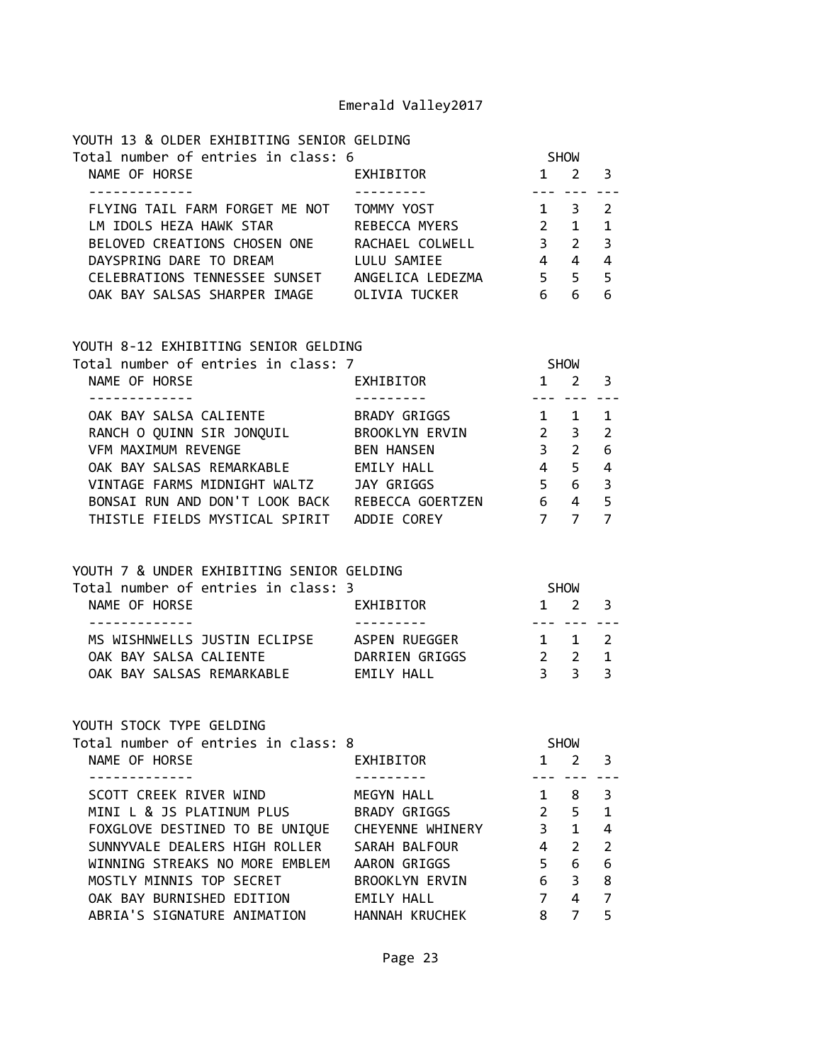| YOUTH 13 & OLDER EXHIBITING SENIOR GELDING |                  |                |              |                          |  |
|--------------------------------------------|------------------|----------------|--------------|--------------------------|--|
| Total number of entries in class: 6        |                  |                | <b>SHOW</b>  |                          |  |
| NAME OF HORSE                              | EXHIBITOR        | 1.             |              | - 3                      |  |
|                                            |                  |                |              |                          |  |
| FLYING TAIL FARM FORGET ME NOT             | TOMMY YOST       | $1 \quad$      | 3.           | $\overline{\phantom{a}}$ |  |
| LM IDOLS HEZA HAWK STAR                    | REBECCA MYERS    | $\overline{2}$ | $\mathbf{1}$ | $\blacksquare$           |  |
| BELOVED CREATIONS CHOSEN ONE               | RACHAEL COLWELL  | $\mathbf{R}$   | 2            | $\overline{\mathbf{3}}$  |  |
| DAYSPRING DARE TO DREAM                    | LULU SAMIEE      | 4              | 4            | 4                        |  |
| CELEBRATIONS TENNESSEE SUNSET              | ANGELICA LEDEZMA | 5.             | 5            | - 5                      |  |
| OAK BAY SALSAS SHARPER IMAGE               | OLIVIA TUCKER    | 6              | 6            | 6                        |  |
|                                            |                  |                |              |                          |  |

#### YOUTH 8-12 EXHIBITING SENIOR GELDING

| Total number of entries in class: 7 |                       |              | <b>SHOW</b> |                         |  |
|-------------------------------------|-----------------------|--------------|-------------|-------------------------|--|
| NAME OF HORSE                       | <b>EXHIBITOR</b>      | $\mathbf{1}$ | 2           | - 3                     |  |
|                                     |                       |              |             |                         |  |
| OAK BAY SALSA CALIENTE              | BRADY GRIGGS          |              |             |                         |  |
| RANCH O QUINN SIR JONQUIL           | <b>BROOKLYN ERVIN</b> | $2^{\circ}$  | 3           | $\overline{2}$          |  |
| <b>VFM MAXIMUM REVENGE</b>          | <b>BEN HANSEN</b>     | 3            | 2           | - 6                     |  |
| OAK BAY SALSAS REMARKABLE           | EMILY HALL            | 4            | 5.          | $\overline{4}$          |  |
| VINTAGE FARMS MIDNIGHT WALTZ        | JAY GRIGGS            | 5.           | 6           | $\overline{\mathbf{3}}$ |  |
| BONSAI RUN AND DON'T LOOK BACK      | REBECCA GOERTZEN      | 6            | 4           | - 5                     |  |
| THISTLE FIELDS MYSTICAL SPIRIT      | ADDIE COREY           |              |             |                         |  |

### YOUTH 7 & UNDER EXHIBITING SENIOR GELDING

| Total number of entries in class: 3 |                | <b>SHOW</b>         |  |
|-------------------------------------|----------------|---------------------|--|
| NAME OF HORSE                       | EXHIBITOR      | $1 \t2 \t3$         |  |
|                                     |                |                     |  |
| MS WISHNWELLS JUSTIN ECLIPSE        | ASPEN RUEGGER  | 1 1 2               |  |
| OAK BAY SALSA CALIENTE              | DARRIEN GRIGGS | $2 \quad 2 \quad 1$ |  |
| OAK BAY SALSAS REMARKABLE           | FMTIY HAII     | २ २ २               |  |

#### YOUTH STOCK TYPE GELDING

| Total number of entries in class: 8 |                       |             | <b>SHOW</b>   |                |  |
|-------------------------------------|-----------------------|-------------|---------------|----------------|--|
| NAME OF HORSE                       | EXHIBITOR             | 1           | 2             | 3              |  |
|                                     |                       |             |               |                |  |
| SCOTT CREEK RIVER WIND              | MEGYN HALL            |             | 8             | 3              |  |
| MINI L & JS PLATINUM PLUS           | BRADY GRIGGS          | $2^{\circ}$ | .5.           | $\overline{1}$ |  |
| FOXGLOVE DESTINED TO BE UNIQUE      | CHEYENNE WHINERY      | 3           | 1             | 4              |  |
| SUNNYVALE DEALERS HIGH ROLLER       | SARAH BALFOUR         | 4           | $\mathcal{P}$ | $\overline{2}$ |  |
| WINNING STREAKS NO MORE EMBLEM      | AARON GRIGGS          | 5           | 6             | 6              |  |
| MOSTLY MINNIS TOP SECRET            | <b>BROOKLYN ERVIN</b> | 6           | 3             | 8              |  |
| OAK BAY BURNISHED EDITION           | EMILY HALL            | 7           | 4             | 7              |  |
| ABRIA'S SIGNATURE ANIMATION         | HANNAH KRUCHEK        | 8           |               | 5              |  |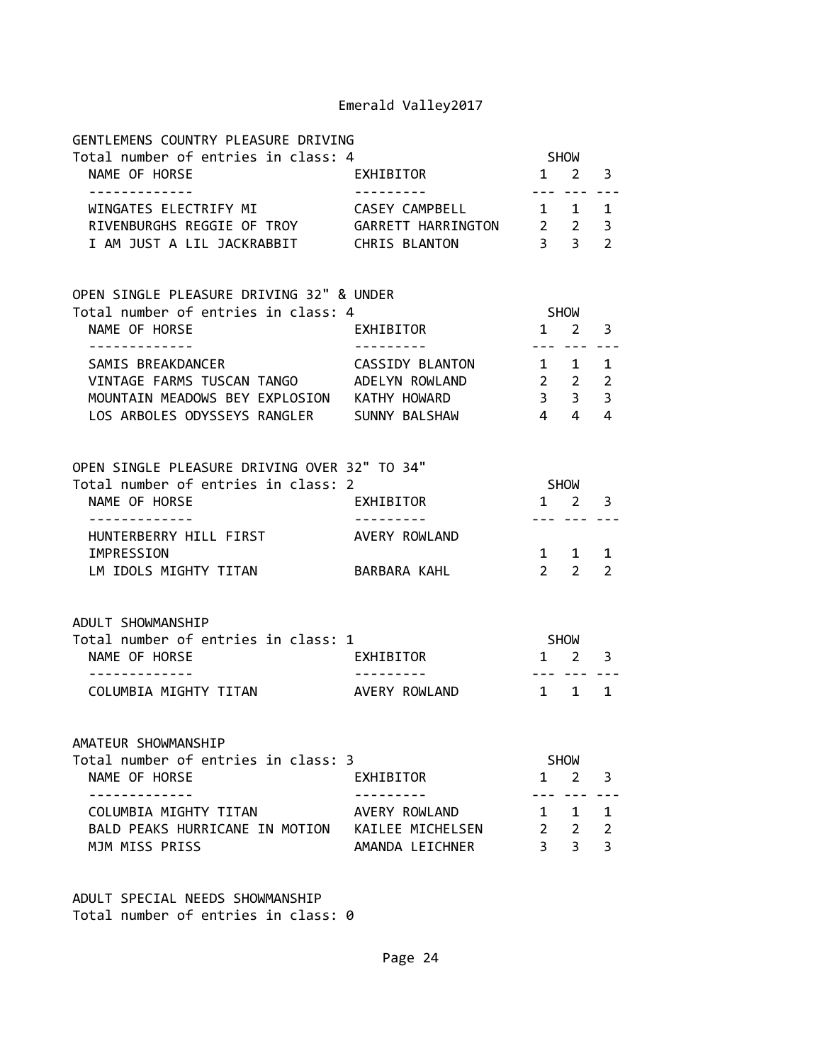| GENTLEMENS COUNTRY PLEASURE DRIVING                      |                  |                                                          |                     |                |
|----------------------------------------------------------|------------------|----------------------------------------------------------|---------------------|----------------|
| Total number of entries in class: 4<br>NAME OF HORSE     | EXHIBITOR        |                                                          | SHOW<br>$1 \quad 2$ | 3              |
| -------------                                            |                  |                                                          |                     |                |
| WINGATES ELECTRIFY MI CASEY CAMPBELL 1 1                 |                  |                                                          |                     | 1              |
| RIVENBURGHS REGGIE OF TROY GARRETT HARRINGTON 2 2        |                  |                                                          |                     | 3              |
| I AM JUST A LIL JACKRABBIT CHRIS BLANTON                 |                  | $3 \quad 3$                                              |                     | $\overline{2}$ |
| OPEN SINGLE PLEASURE DRIVING 32" & UNDER                 |                  |                                                          |                     |                |
| Total number of entries in class: 4                      |                  | SHOW                                                     |                     |                |
| NAME OF HORSE<br>. <u>_ _ _ _ _ _ _ _ _ _ _</u> _        | <b>EXHIBITOR</b> | $1 \quad 2$                                              | --- ---             | 3              |
| SAMIS BREAKDANCER CASSIDY BLANTON                        |                  | $\begin{array}{cccc} 1 & 1 \end{array}$                  |                     | 1              |
| VINTAGE FARMS TUSCAN TANGO ADELYN ROWLAND                |                  |                                                          |                     |                |
| MOUNTAIN MEADOWS BEY EXPLOSION KATHY HOWARD              |                  | $\begin{array}{cccc} 2 & 2 & 2 \\ 3 & 3 & 3 \end{array}$ |                     |                |
| LOS ARBOLES ODYSSEYS RANGLER SUNNY BALSHAW               |                  | $4 \quad 4$                                              |                     | 4              |
|                                                          |                  |                                                          |                     |                |
| OPEN SINGLE PLEASURE DRIVING OVER 32" TO 34"             |                  |                                                          |                     |                |
| Total number of entries in class: 2                      |                  | <b>SHOW</b>                                              |                     |                |
| NAME OF HORSE                                            | EXHIBITOR        |                                                          | 1 2 3               |                |
| HUNTERBERRY HILL FIRST                                   | AVERY ROWLAND    | --- ---                                                  |                     |                |
| IMPRESSION                                               |                  |                                                          | $1 \quad 1$         | 1              |
| LM IDOLS MIGHTY TITAN                                    | BARBARA KAHL     |                                                          | $2 \quad 2$         | 2              |
|                                                          |                  |                                                          |                     |                |
| ADULT SHOWMANSHIP<br>Total number of entries in class: 1 |                  |                                                          | SHOW                |                |
| NAME OF HORSE                                            | EXHIBITOR        |                                                          | $1 \quad 2$         | 3              |
| COLUMBIA MIGHTY TITAN AVERY ROWLAND                      |                  | $\begin{array}{cccc} 1 & 1 \end{array}$                  |                     | 1              |
|                                                          |                  |                                                          |                     |                |
| AMATEUR SHOWMANSHIP                                      |                  |                                                          |                     |                |
| Total number of entries in class: 3                      |                  |                                                          | <b>SHOW</b>         |                |
| NAME OF HORSE                                            | EXHIBITOR        | 1                                                        | $\overline{2}$      | 3              |
| COLUMBIA MIGHTY TITAN                                    | AVERY ROWLAND    | $\mathbf{1}$                                             | 1                   | $\mathbf{1}$   |
| BALD PEAKS HURRICANE IN MOTION                           | KAILEE MICHELSEN | $2^{\circ}$                                              | $\overline{2}$      | $\overline{2}$ |
| MJM MISS PRISS                                           | AMANDA LEICHNER  | $\overline{3}$                                           | 3                   | $\overline{3}$ |
|                                                          |                  |                                                          |                     |                |

ADULT SPECIAL NEEDS SHOWMANSHIP Total number of entries in class: 0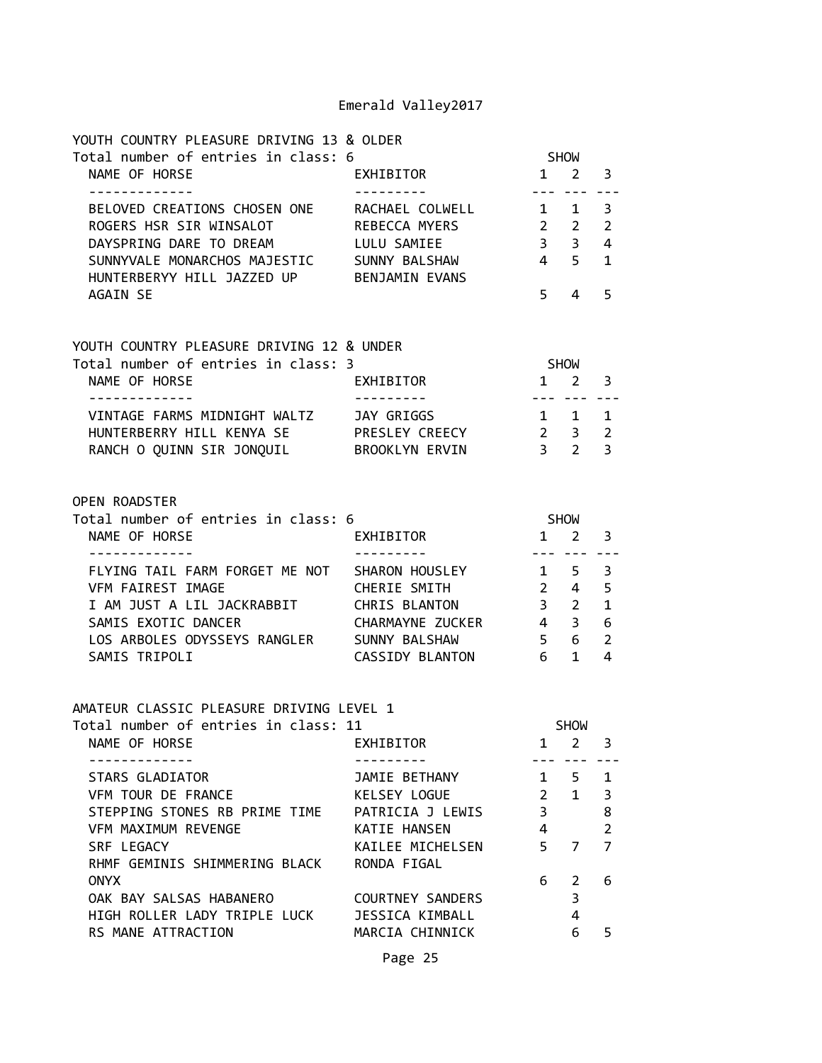| YOUTH COUNTRY PLEASURE DRIVING 13 & OLDER                                                              |                                 |                                                 |                               |                |
|--------------------------------------------------------------------------------------------------------|---------------------------------|-------------------------------------------------|-------------------------------|----------------|
| Total number of entries in class: 6<br>NAME OF HORSE                                                   | EXHIBITOR                       |                                                 | <b>SHOW</b><br>$1 \quad 2$    | 3              |
| -------------                                                                                          | ----------                      |                                                 | --- ---                       |                |
| BELOVED CREATIONS CHOSEN ONE RACHAEL COLWELL $1\quad 1$                                                |                                 |                                                 |                               | 3              |
| ROGERS HSR SIR WINSALOT REBECCA MYERS                                                                  |                                 |                                                 | $2 \quad 2$<br>$3 \quad 3$    | $\overline{2}$ |
| DAYSPRING DARE TO DREAM                                                                                | LULU SAMIEE                     | $4\overline{5}$                                 |                               | 4              |
| SUNNYVALE MONARCHOS MAJESTIC SUNNY BALSHAW<br>HUNTERBERYY HILL JAZZED UP BENJAMIN EVANS                |                                 |                                                 |                               | $\mathbf{1}$   |
| <b>AGAIN SE</b>                                                                                        |                                 | $5 -$                                           | 4                             | 5              |
|                                                                                                        |                                 |                                                 |                               |                |
| YOUTH COUNTRY PLEASURE DRIVING 12 & UNDER                                                              |                                 |                                                 |                               |                |
| Total number of entries in class: 3                                                                    |                                 |                                                 | SHOW                          |                |
| NAME OF HORSE                                                                                          | EXHIBITOR                       |                                                 | $1 \quad 2$                   | 3              |
| VINTAGE FARMS MIDNIGHT WALTZ JAY GRIGGS                                                                |                                 | $- - -$<br>$1 \quad 1$                          |                               | 1              |
| HUNTERBERRY HILL KENYA SE PRESLEY CREECY 2 3                                                           |                                 |                                                 |                               | $\overline{2}$ |
| RANCH O QUINN SIR JONQUIL BROOKLYN ERVIN                                                               |                                 | 3 <sub>2</sub>                                  |                               | $\overline{3}$ |
|                                                                                                        |                                 |                                                 |                               |                |
| OPEN ROADSTER                                                                                          |                                 |                                                 |                               |                |
| Total number of entries in class: 6                                                                    |                                 | SHOW                                            |                               |                |
| NAME OF HORSE                                                                                          | EXHIBITOR                       | $1\quad 2$                                      |                               | 3              |
| . _ _ _ _ _ _ _ _ _ _ _ _                                                                              |                                 |                                                 | --- ---                       |                |
| FLYING TAIL FARM FORGET ME NOT SHARON HOUSLEY 1 5<br>VFM FAIREST IMAGE                                 | CHERIE SMITH                    | $2 \quad 4$                                     |                               | 3<br>5         |
|                                                                                                        |                                 |                                                 |                               | $\mathbf{1}$   |
| I AM JUST A LIL JACKRABBIT CHRIS BLANTON<br>SAMIS EXOTIC DANCER CHARMAVNE ZUCKE<br>SAMIS EXOTIC DANCER | CHARMAYNE ZUCKER                | $\begin{array}{ccc} 3 & 2 \\ 4 & 3 \end{array}$ |                               | 6              |
| LOS ARBOLES ODYSSEYS RANGLER SUNNY BALSHAW                                                             |                                 | 5 <sub>5</sub>                                  | 6 <sup>1</sup>                | 2              |
| SAMIS TRIPOLI                                                                                          | CASSIDY BLANTON 6 1             |                                                 |                               | 4              |
|                                                                                                        |                                 |                                                 |                               |                |
| AMATEUR CLASSIC PLEASURE DRIVING LEVEL 1                                                               |                                 |                                                 |                               |                |
| Total number of entries in class: 11<br>NAME OF HORSE                                                  | EXHIBITOR                       | 1                                               | <b>SHOW</b><br>$\overline{2}$ | 3              |
|                                                                                                        |                                 |                                                 |                               |                |
| <b>STARS GLADIATOR</b>                                                                                 | JAMIE BETHANY                   | $\mathbf{1}$                                    | 5                             | $\mathbf{1}$   |
| VFM TOUR DE FRANCE                                                                                     | KELSEY LOGUE                    | $\overline{2}$                                  | $\mathbf{1}$                  | 3              |
| STEPPING STONES RB PRIME TIME                                                                          | PATRICIA J LEWIS                | $\overline{3}$                                  |                               | 8              |
| VFM MAXIMUM REVENGE                                                                                    | KATIE HANSEN                    | 4                                               |                               | $\overline{2}$ |
| SRF LEGACY<br>RHMF GEMINIS SHIMMERING BLACK                                                            | KAILEE MICHELSEN<br>RONDA FIGAL | 5                                               | $\overline{7}$                | $\overline{7}$ |
| <b>ONYX</b>                                                                                            |                                 | 6                                               | 2                             | 6              |
| OAK BAY SALSAS HABANERO                                                                                | <b>COURTNEY SANDERS</b>         |                                                 | 3                             |                |
| HIGH ROLLER LADY TRIPLE LUCK                                                                           | <b>JESSICA KIMBALL</b>          |                                                 | $\overline{4}$                |                |
| RS MANE ATTRACTION                                                                                     | MARCIA CHINNICK                 |                                                 | 6                             | 5              |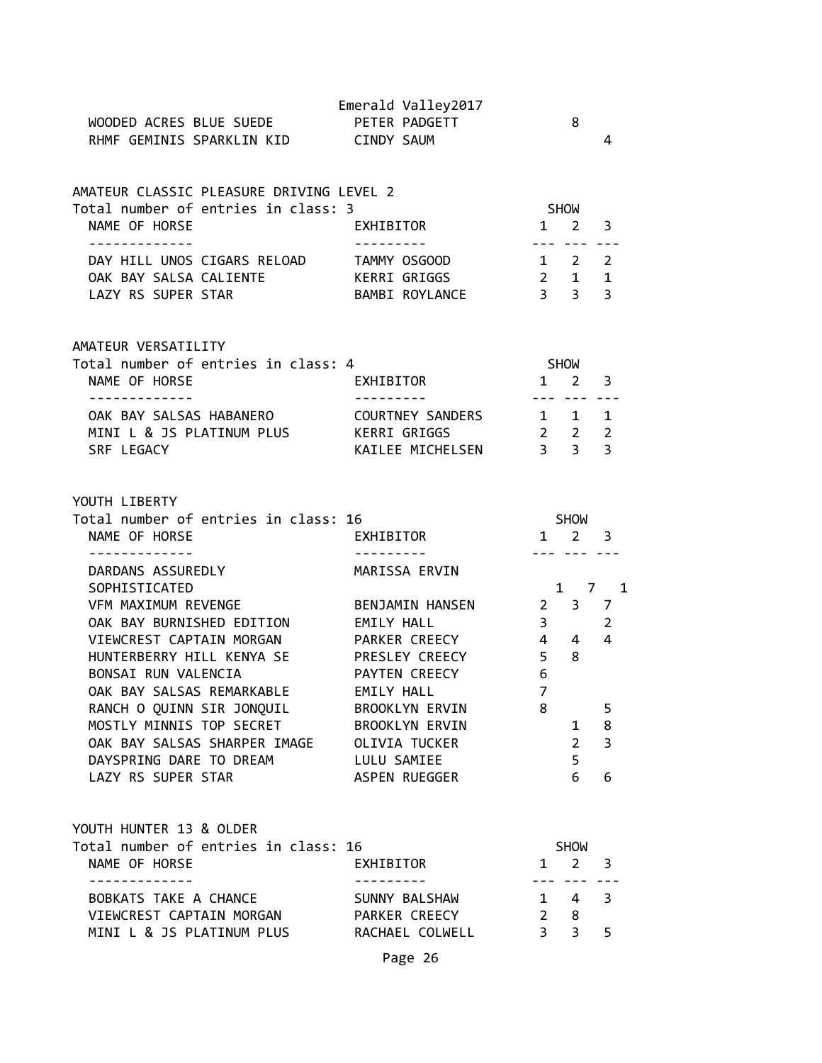| WOODED ACRES BLUE SUEDE<br>RHMF GEMINIS SPARKLIN KID CINDY SAUM                                                                                                                                                                                                                                                                                                            | Emerald Valley2017<br>PETER PADGETT                                                                                                                                |                                                                                                                          | 8                                         | 4                                      |
|----------------------------------------------------------------------------------------------------------------------------------------------------------------------------------------------------------------------------------------------------------------------------------------------------------------------------------------------------------------------------|--------------------------------------------------------------------------------------------------------------------------------------------------------------------|--------------------------------------------------------------------------------------------------------------------------|-------------------------------------------|----------------------------------------|
| AMATEUR CLASSIC PLEASURE DRIVING LEVEL 2<br>Total number of entries in class: 3<br>NAME OF HORSE<br><b>EXHIBITOR</b><br>. <u>.</u>                                                                                                                                                                                                                                         |                                                                                                                                                                    | SHOW<br>$1 \quad 2 \quad 3$                                                                                              |                                           |                                        |
| DAY HILL UNOS CIGARS RELOAD TAMMY OSGOOD<br>OAK BAY SALSA CALIENTE<br>LAZY RS SUPER STAR                                                                                                                                                                                                                                                                                   | KERRI GRIGGS                                                                                                                                                       | $1 \quad 2 \quad 2$                                                                                                      | <u>--- --- ---</u>                        |                                        |
| AMATEUR VERSATILITY<br>Total number of entries in class: 4<br>NAME OF HORSE<br>.                                                                                                                                                                                                                                                                                           | EXHIBITOR                                                                                                                                                          | <b>SHOW</b><br>$1 \quad 2 \quad 3$                                                                                       | <u>--- --- ---</u>                        |                                        |
| OAK BAY SALSAS HABANERO<br>MINI L & JS PLATINUM PLUS KERRI GRIGGS<br>SRF LEGACY                                                                                                                                                                                                                                                                                            | COURTNEY SANDERS 1 1 1<br>KAILEE MICHELSEN 3 3                                                                                                                     | $2 \quad 2 \quad 2$                                                                                                      |                                           | 3                                      |
| YOUTH LIBERTY<br>Total number of entries in class: 16<br>NAME OF HORSE                                                                                                                                                                                                                                                                                                     | EXHIBITOR                                                                                                                                                          |                                                                                                                          | SHOW<br>$1 \quad 2 \quad 3$               |                                        |
| DARDANS ASSUREDLY<br>SOPHISTICATED<br>VFM MAXIMUM REVENGE<br>OAK BAY BURNISHED EDITION<br>VIEWCREST CAPTAIN MORGAN<br>HUNTERBERRY HILL KENYA SE<br>BONSAI RUN VALENCIA<br>OAK BAY SALSAS REMARKABLE<br>RANCH O QUINN SIR JONQUIL<br>MOSTLY MINNIS TOP SECRET BROOKLYN ERVIN<br>OAK BAY SALSAS SHARPER IMAGE OLIVIA TUCKER<br>DAYSPRING DARE TO DREAM<br>LAZY RS SUPER STAR | MARISSA ERVIN<br>BENJAMIN HANSEN<br>EMILY HALL<br>PARKER CREECY<br>PRESLEY CREECY<br>PAYTEN CREECY<br>EMILY HALL<br>BROOKLYN ERVIN<br>LULU SAMIEE<br>ASPEN RUEGGER | $2 \quad 3 \quad 7$<br>$\begin{array}{ccc} 3 & 2 \\ 4 & 4 & 4 \end{array}$<br>5 <sub>8</sub><br>6<br>$\overline{7}$<br>8 | $1 \quad$<br>$2^{\circ}$<br>5<br>6        | 1 7 1<br>5<br>8<br>$\overline{3}$<br>6 |
| YOUTH HUNTER 13 & OLDER<br>Total number of entries in class: 16<br>NAME OF HORSE                                                                                                                                                                                                                                                                                           | EXHIBITOR                                                                                                                                                          |                                                                                                                          | SHOW<br>$1 \quad 2 \quad 3$               |                                        |
| -----------<br>BOBKATS TAKE A CHANCE<br>VIEWCREST CAPTAIN MORGAN PARKER CREECY<br>MINI L & JS PLATINUM PLUS RACHAEL COLWELL                                                                                                                                                                                                                                                | SUNNY BALSHAW                                                                                                                                                      | $1 \quad 4 \quad 3$                                                                                                      | --- --- ---<br>$2 \quad 8$<br>$3 \quad 3$ | 5                                      |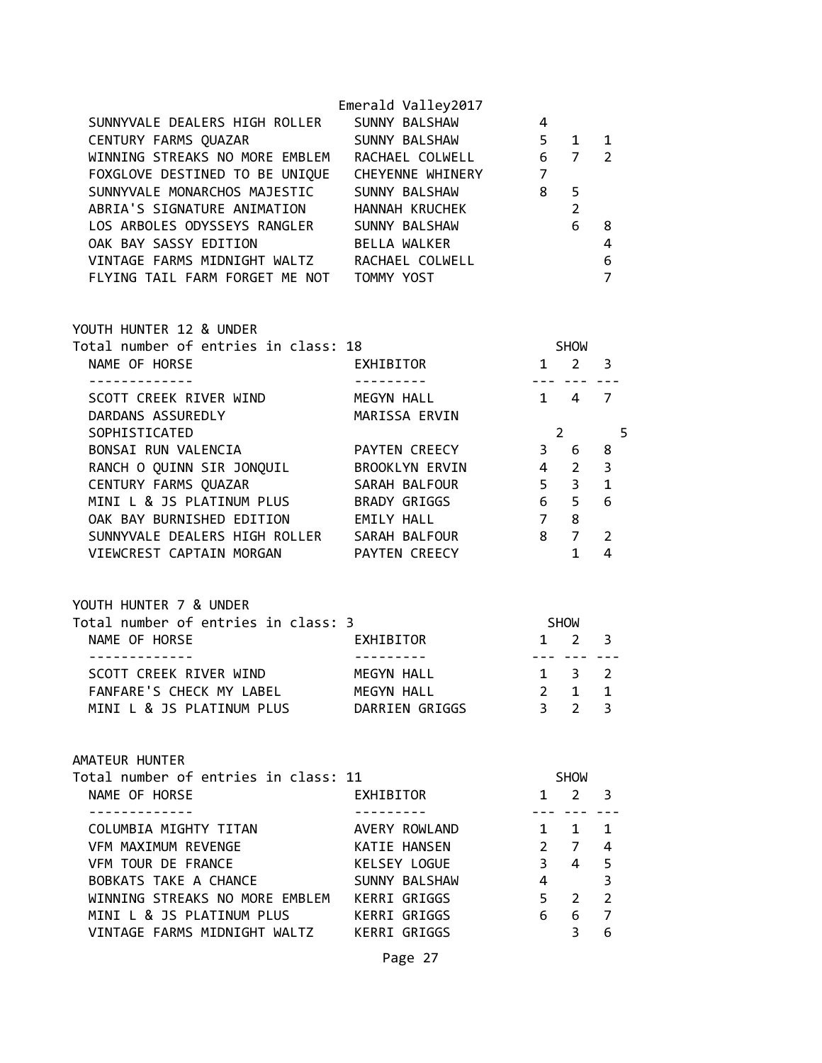| SUNNYVALE DEALERS HIGH ROLLER<br>CENTURY FARMS QUAZAR<br>WINNING STREAKS NO MORE EMBLEM<br>FOXGLOVE DESTINED TO BE UNIQUE CHEYENNE WHINERY<br>SUNNYVALE MONARCHOS MAJESTIC SUNNY BALSHAW 7<br>SUNNYVALE MONARCHOS MAJESTIC SUNNY BALSHAW<br>ABRIA'S SIGNATURE ANIMATION HANNAH KRUCHEK 2<br>LOS ARBOLES ODYSSEYS RANGLER SUNNY BALSHAW<br>OAK BAY SASSY EDITION BELLA WALKER<br>VINTAGE FARMS MIDNIGHT WALTZ RACHAEL COLWELL<br>FLYING TAIL FARM FORGET ME NOT TOMMY YOST | Emerald Valley2017                                             | 6 <sub>8</sub>                                     |                                                                                        | $\overline{4}$<br>$\boldsymbol{6}$<br>$\overline{7}$ |
|---------------------------------------------------------------------------------------------------------------------------------------------------------------------------------------------------------------------------------------------------------------------------------------------------------------------------------------------------------------------------------------------------------------------------------------------------------------------------|----------------------------------------------------------------|----------------------------------------------------|----------------------------------------------------------------------------------------|------------------------------------------------------|
| YOUTH HUNTER 12 & UNDER<br>--------------                                                                                                                                                                                                                                                                                                                                                                                                                                 |                                                                | <b>SHOW</b><br>بندابيد بيداري                      |                                                                                        |                                                      |
| SCOTT CREEK RIVER WIND MEGYN HALL<br>DARDANS ASSUREDLY MARISSA ERVIN                                                                                                                                                                                                                                                                                                                                                                                                      |                                                                | $1 4 7$                                            |                                                                                        |                                                      |
| SOPHISTICATED<br>BONSAI RUN VALENCIA CAPAYTEN CREECY 3 6 8<br>OAK BAY BURNISHED EDITION<br>SUNNYVALE DEALERS HIGH ROLLER SARAH BALFOUR 8 7<br>VIEWCREST CAPTAIN MORGAN PAYTEN CREECY                                                                                                                                                                                                                                                                                      | <b>EMILY HALL</b>                                              | $\overline{7}$                                     | 8<br>$\mathbf{1}$                                                                      | $2 \qquad \qquad 5$<br>2<br>4                        |
| YOUTH HUNTER 7 & UNDER<br>Total number of entries in class: 3<br>NAME OF HORSE EXHIBITOR<br>-------------                                                                                                                                                                                                                                                                                                                                                                 |                                                                | <b>SHOW</b><br>$1 \quad 2 \quad 3$                 |                                                                                        |                                                      |
| -------------<br>SCOTT CREEK RIVER WIND MEGYN HALL 1 3 2<br>FANFARE'S CHECK MY LABEL<br>MINI L & JS PLATINUM PLUS DARRIEN GRIGGS                                                                                                                                                                                                                                                                                                                                          | ----------<br>MEGYN HALL                                       | . <b></b>                                          | $2 \quad 1$<br>$3 \quad 2 \quad 3$                                                     | $\mathbf{1}$                                         |
| AMATEUR HUNTER<br>Total number of entries in class: 11<br>NAME OF HORSE                                                                                                                                                                                                                                                                                                                                                                                                   | EXHIBITOR                                                      |                                                    | SHOW<br>$1 \quad 2 \quad 3$                                                            |                                                      |
| ------------<br>COLUMBIA MIGHTY TITAN<br>VFM MAXIMUM REVENGE<br>VFM TOUR DE FRANCE<br>BOBKATS TAKE A CHANCE<br>WINNING STREAKS NO MORE EMBLEM KERRI GRIGGS<br>MINI L & JS PLATINUM PLUS KERRI GRIGGS<br>VINTAGE FARMS MIDNIGHT WALTZ KERRI GRIGGS                                                                                                                                                                                                                         | AVERY ROWLAND<br>KATIE HANSEN<br>KELSEY LOGUE<br>SUNNY BALSHAW | 3 <sup>7</sup><br>$\overline{4}$<br>6 <sup>1</sup> | $- - -$<br>1 1 1<br>$2 \quad 7 \quad 4$<br>4 5<br>5 <sub>2</sub><br>6 7<br>$3^{\circ}$ | $\overline{\mathbf{3}}$<br>$\overline{2}$<br>6       |
|                                                                                                                                                                                                                                                                                                                                                                                                                                                                           | Page 27                                                        |                                                    |                                                                                        |                                                      |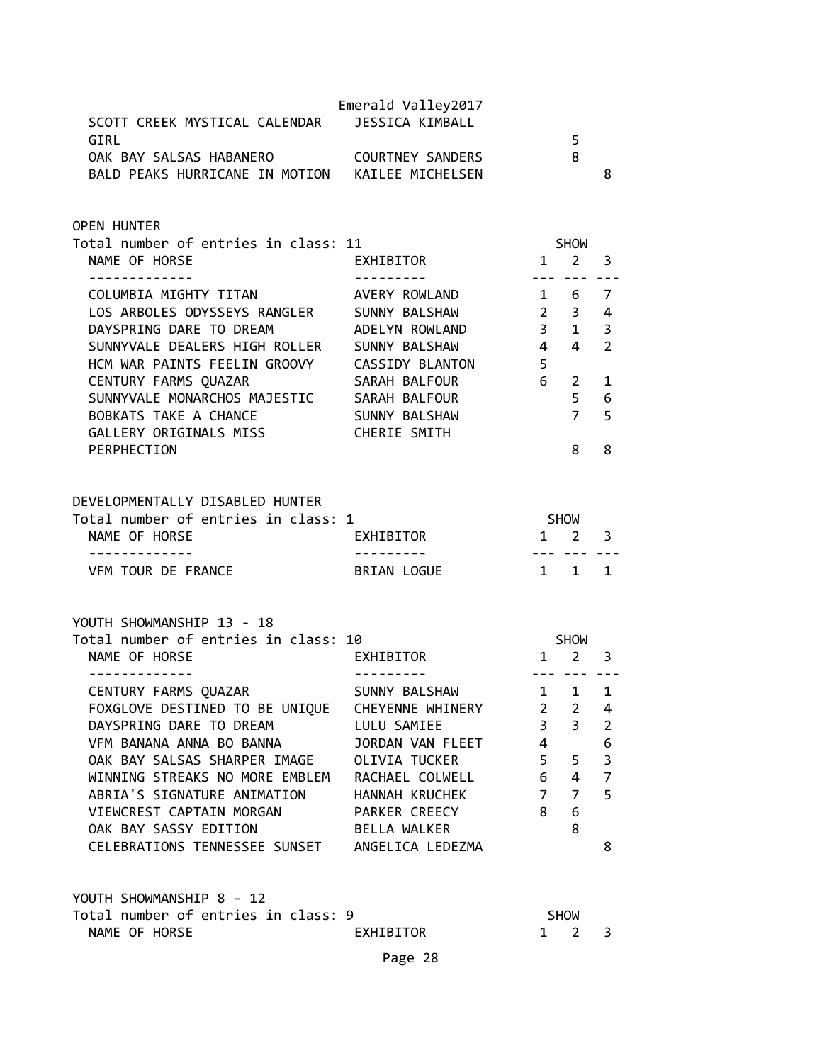| SCOTT CREEK MYSTICAL CALENDAR<br>GIRL<br>OAK BAY SALSAS HABANERO COURTNEY SANDERS<br>BALD PEAKS HURRICANE IN MOTION KAILEE MICHELSEN                                                                                                                                                                                  | Emerald Valley2017<br><b>JESSICA KIMBALL</b>                                                                                                                                                        |                                                                                     | 5<br>8                                                                                                | 8                                                                         |
|-----------------------------------------------------------------------------------------------------------------------------------------------------------------------------------------------------------------------------------------------------------------------------------------------------------------------|-----------------------------------------------------------------------------------------------------------------------------------------------------------------------------------------------------|-------------------------------------------------------------------------------------|-------------------------------------------------------------------------------------------------------|---------------------------------------------------------------------------|
| <b>OPEN HUNTER</b><br>Total number of entries in class: 11<br>NAME OF HORSE                                                                                                                                                                                                                                           | EXHIBITOR                                                                                                                                                                                           | $1 \quad$                                                                           | <b>SHOW</b><br>$2^{\circ}$                                                                            | 3                                                                         |
| ------------<br>COLUMBIA MIGHTY TITAN<br>LOS ARBOLES ODYSSEYS RANGLER<br>DAYSPRING DARE TO DREAM<br>SUNNYVALE DEALERS HIGH ROLLER<br>HCM WAR PAINTS FEELIN GROOVY CASSIDY BLANTON<br>CENTURY FARMS QUAZAR<br>SUNNYVALE MONARCHOS MAJESTIC SARAH BALFOUR                                                               | AVERY ROWLAND<br>SUNNY BALSHAW<br>ADELYN ROWLAND<br>SUNNY BALSHAW<br>SARAH BALFOUR                                                                                                                  | $\overline{4}$<br>5<br>$6 -$                                                        | <u>--- --- ---</u><br>1 6<br>$2 \quad 3$<br>$4 \quad$<br>$2^{\circ}$<br>5 <sub>1</sub>                | 7<br>4<br>3<br>$\overline{2}$<br>1<br>6                                   |
| BOBKATS TAKE A CHANCE<br>GALLERY ORIGINALS MISS<br>PERPHECTION                                                                                                                                                                                                                                                        | SUNNY BALSHAW<br>CHERIE SMITH                                                                                                                                                                       |                                                                                     | $7^{\circ}$<br>8                                                                                      | 5<br>8                                                                    |
| DEVELOPMENTALLY DISABLED HUNTER<br>Total number of entries in class: 1<br>NAME OF HORSE<br>.<br>VFM TOUR DE FRANCE                                                                                                                                                                                                    | EXHIBITOR<br>BRIAN LOGUE                                                                                                                                                                            | SHOW<br>1 1                                                                         | $1 \quad 2$<br>--- ---                                                                                | 3<br>1                                                                    |
| YOUTH SHOWMANSHIP 13 - 18<br>Total number of entries in class: 10<br>NAME OF HORSE                                                                                                                                                                                                                                    | EXHIBITOR                                                                                                                                                                                           | $1 \quad 2$                                                                         | SHOW                                                                                                  | 3                                                                         |
| -------------<br>CENTURY FARMS QUAZAR<br>FOXGLOVE DESTINED TO BE UNIQUE<br>DAYSPRING DARE TO DREAM<br>VFM BANANA ANNA BO BANNA<br>OAK BAY SALSAS SHARPER IMAGE<br>WINNING STREAKS NO MORE EMBLEM<br>ABRIA'S SIGNATURE ANIMATION<br>VIEWCREST CAPTAIN MORGAN<br>OAK BAY SASSY EDITION<br>CELEBRATIONS TENNESSEE SUNSET | ---------<br>SUNNY BALSHAW<br>CHEYENNE WHINERY<br>LULU SAMIEE<br>JORDAN VAN FLEET<br><b>OLIVIA TUCKER</b><br>RACHAEL COLWELL<br>HANNAH KRUCHEK<br>PARKER CREECY<br>BELLA WALKER<br>ANGELICA LEDEZMA | $1 \quad$<br>$\overline{2}$<br>$\overline{3}$<br>4<br>5<br>6<br>$\overline{7}$<br>8 | --- --- ---<br>$\mathbf{1}$<br>$\overline{2}$<br>$\overline{3}$<br>5<br>4<br>$\overline{7}$<br>6<br>8 | $\mathbf{1}$<br>4<br>$\overline{2}$<br>6<br>3<br>$\overline{7}$<br>5<br>8 |
| YOUTH SHOWMANSHIP 8 - 12<br>Total number of entries in class: 9<br>NAME OF HORSE                                                                                                                                                                                                                                      | EXHIBITOR<br>Page 28                                                                                                                                                                                | $\mathbf{1}$                                                                        | <b>SHOW</b><br>$\overline{2}$                                                                         | 3                                                                         |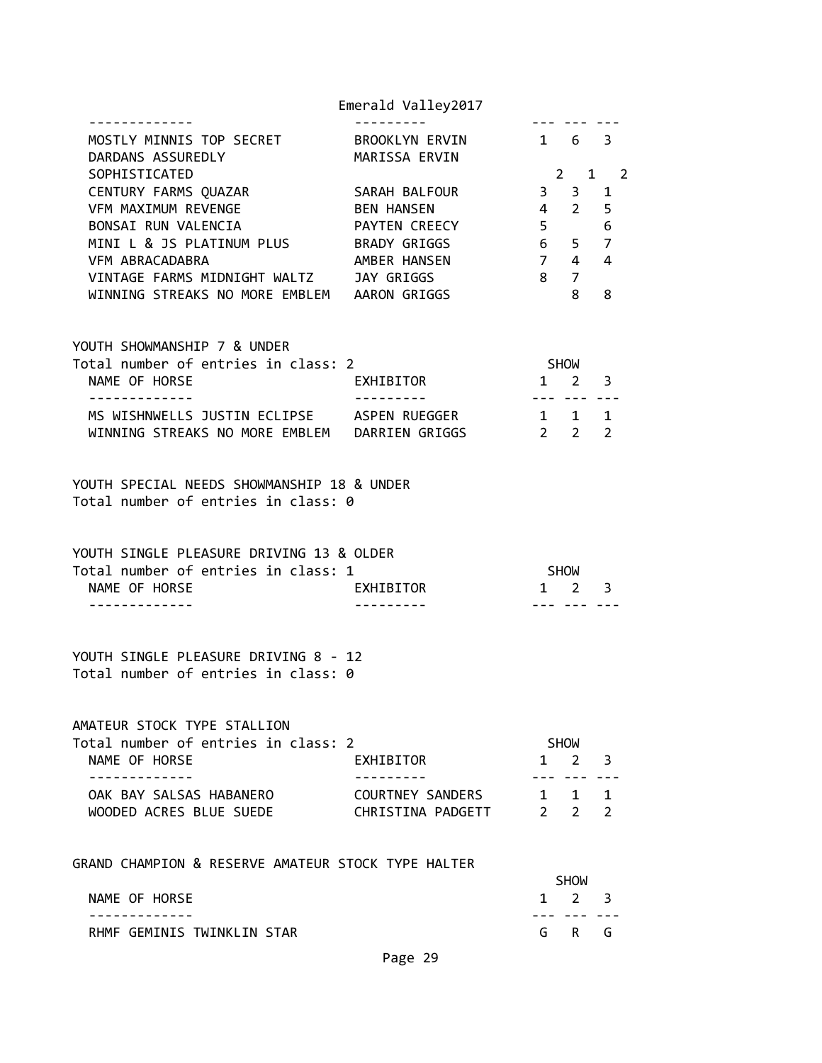|                                                                                           | Emerald Valley2017 |                                   |                       |                |  |
|-------------------------------------------------------------------------------------------|--------------------|-----------------------------------|-----------------------|----------------|--|
| MOSTLY MINNIS TOP SECRET BROOKLYN ERVIN 1 6 3<br>DARDANS ASSUREDLY                        | MARISSA ERVIN      |                                   |                       |                |  |
| SOPHISTICATED                                                                             |                    |                                   | $2^{\circ}$           | $1 \quad 2$    |  |
| CENTURY FARMS QUAZAR SARAH BALFOUR                                                        |                    |                                   | $3 \quad 3$           | 1              |  |
| VFM MAXIMUM REVENGE THE BEN HANSEN                                                        |                    |                                   | $4\quad 2$            | 5              |  |
| BONSAI RUN VALENCIA                                                                       | PAYTEN CREECY      |                                   | $5^{\circ}$           | 6              |  |
|                                                                                           |                    | 6 <sup>1</sup>                    | 5 <sub>7</sub>        |                |  |
| VFM ABRACADABRA                                                                           | AMBER HANSEN       | $\overline{7}$                    | $\overline{4}$        | $\overline{4}$ |  |
| VINTAGE FARMS MIDNIGHT WALTZ JAY GRIGGS                                                   |                    |                                   | 8 7                   |                |  |
| WINNING STREAKS NO MORE EMBLEM AARON GRIGGS                                               |                    |                                   | 8                     | 8              |  |
| YOUTH SHOWMANSHIP 7 & UNDER                                                               |                    |                                   |                       |                |  |
| Total number of entries in class: 2                                                       |                    | <b>SHOW</b>                       |                       |                |  |
| NAME OF HORSE<br>.                                                                        | <b>EXHIBITOR</b>   | $1 \quad 2 \quad 3$<br>---------- |                       |                |  |
| MS WISHNWELLS JUSTIN ECLIPSE ASPEN RUEGGER                                                |                    | 1 1 1                             |                       |                |  |
| WINNING STREAKS NO MORE EMBLEM DARRIEN GRIGGS                                             |                    |                                   | $2 \qquad 2 \qquad 2$ |                |  |
| YOUTH SPECIAL NEEDS SHOWMANSHIP 18 & UNDER<br>Total number of entries in class: 0         |                    |                                   |                       |                |  |
| YOUTH SINGLE PLEASURE DRIVING 13 & OLDER                                                  |                    |                                   |                       |                |  |
| Total number of entries in class: 1                                                       |                    | <b>SHOW</b>                       |                       |                |  |
| NAME OF HORSE                                                                             | <b>EXHIBITOR</b>   | $1 \quad 2 \quad 3$               |                       |                |  |
| . <u>.</u><br>YOUTH SINGLE PLEASURE DRIVING 8 - 12<br>Total number of entries in class: 0 |                    |                                   | <u>--- --- ---</u>    |                |  |
|                                                                                           |                    |                                   |                       |                |  |

AMATEUR STOCK TYPE STALLION

| Total number of entries in class: 2 |                   | <b>SHOW</b>         |  |
|-------------------------------------|-------------------|---------------------|--|
| NAME OF HORSE                       | EXHIBITOR         | $1 \t2 \t3$         |  |
|                                     |                   |                     |  |
| OAK BAY SALSAS HABANERO             | COURTNEY SANDERS  | $1 \quad 1 \quad 1$ |  |
| WOODED ACRES BLUE SUEDE             | CHRISTINA PADGETT | $2 \quad 2 \quad 2$ |  |

GRAND CHAMPION & RESERVE AMATEUR STOCK TYPE HALTER

|                            | <b>SHOW</b> |                     |  |
|----------------------------|-------------|---------------------|--|
| NAME OF HORSE              |             | $1 \quad 2 \quad 3$ |  |
|                            |             |                     |  |
| RHMF GEMINIS TWINKLIN STAR |             | GR G                |  |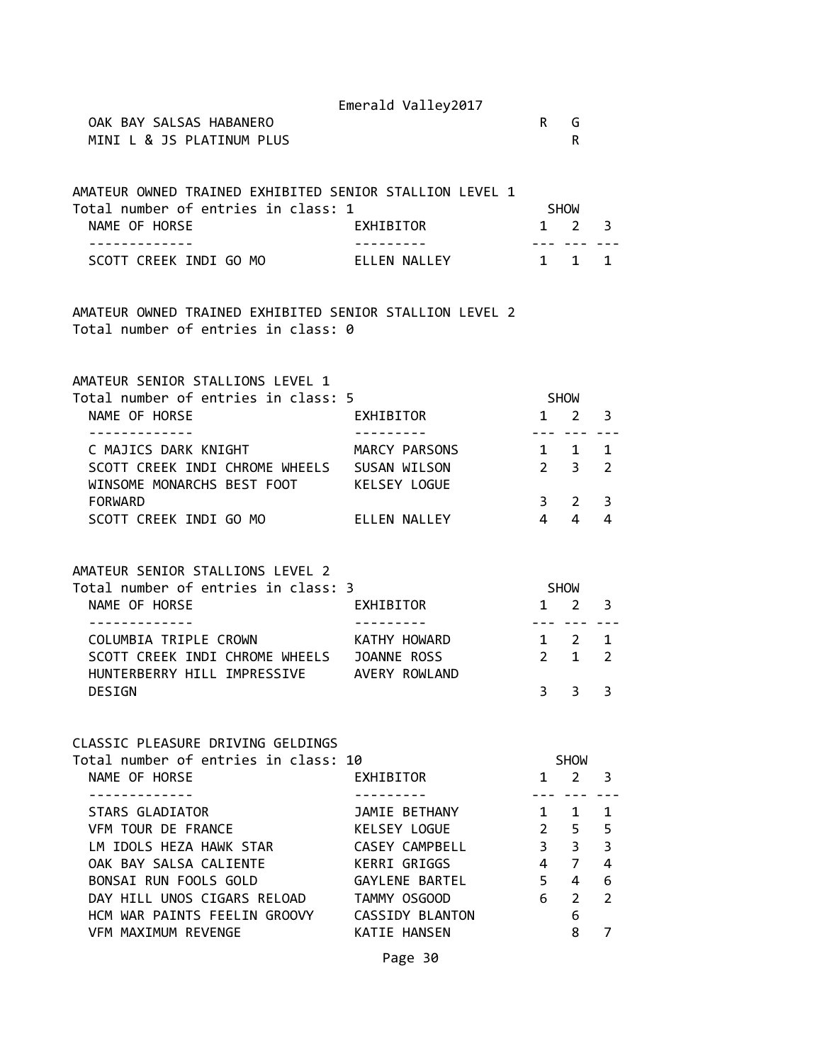Emerald Valley2017 OAK BAY SALSAS HABANERO **Reduces and the second service of the service**  $\mathsf{R}$  and  $\mathsf{G}$ MINI L & JS PLATINUM PLUS REALLY AND REALLY AND REALLY REALLY AND REALLY REALLY REALLY REALLY REALLY REALLY REALLY REALLY REALLY REALLY REALLY REALLY REALLY REALLY REALLY REALLY REALLY REALLY REALLY REALLY REALLY REALLY RE AMATEUR OWNED TRAINED EXHIBITED SENIOR STALLION LEVEL 1 Total number of entries in class: 1 SHOW NAME OF HORSE **EXHIBITOR** 1 2 3 ------------- --------- --- --- --- SCOTT CREEK INDI GO MO ARELLEN NALLEY 1 1 1 1 1 AMATEUR OWNED TRAINED EXHIBITED SENIOR STALLION LEVEL 2 Total number of entries in class: 0 AMATEUR SENIOR STALLIONS LEVEL 1 Total number of entries in class: 5 SHOW NAME OF HORSE **EXHIBITOR** 1 2 3 ------------- --------- --- --- --- C MAJICS DARK KNIGHT MARCY PARSONS 1 1 1 SCOTT CREEK INDI CHROME WHEELS SUSAN WILSON 2 3 2 WINSOME MONARCHS BEST FOOT KELSEY LOGUE FORWARD 3 2 3 SCOTT CREEK INDI GO MO ELLEN NALLEY 4 4 4 AMATEUR SENIOR STALLIONS LEVEL 2 Total number of entries in class: 3 SHOW NAME OF HORSE **EXHIBITOR** 1 2 3 ------------- --------- --- --- --- COLUMBIA TRIPLE CROWN **KATHY HOWARD** 1 2 1 SCOTT CREEK INDI CHROME WHEELS JOANNE ROSS 2 1 2 HUNTERBERRY HILL IMPRESSIVE AVERY ROWLAND DESIGN 3 3 3 CLASSIC PLEASURE DRIVING GELDINGS Total number of entries in class: 10 SHOW NAME OF HORSE **EXHIBITOR** 1 2 3 ------------- --------- --- --- --- STARS GLADIATOR THAT IS A SAMILE BETHANY THAT IT IS VFM TOUR DE FRANCE KELSEY LOGUE 2 5 5 LM IDOLS HEZA HAWK STAR CASEY CAMPBELL 3 3 3 OAK BAY SALSA CALIENTE KERRI GRIGGS 4 7 4 BONSAI RUN FOOLS GOLD GAYLENE BARTEL 5 4 6 DAY HILL UNOS CIGARS RELOAD TAMMY OSGOOD 6 2 2 HCM WAR PAINTS FEELIN GROOVY CASSIDY BLANTON 6 VFM MAXIMUM REVENGE KATIE HANSEN 8 7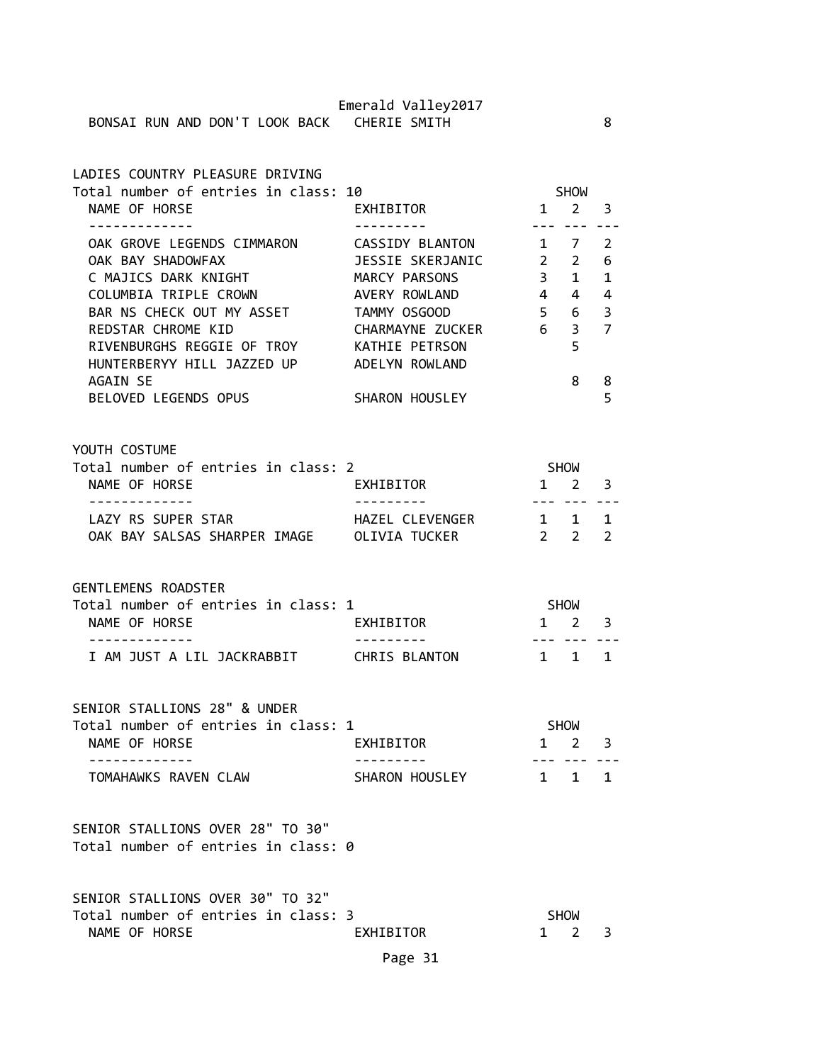| LADIES COUNTRY PLEASURE DRIVING      |                  |                |                |               |  |
|--------------------------------------|------------------|----------------|----------------|---------------|--|
| Total number of entries in class: 10 |                  |                | <b>SHOW</b>    |               |  |
| NAME OF HORSE                        | EXHIBITOR        | $\mathbf{1}$   | $2^{\circ}$    | 3             |  |
|                                      |                  |                |                |               |  |
| OAK GROVE LEGENDS CIMMARON           | CASSIDY BLANTON  | $1 \quad$      | 7              | $\mathcal{P}$ |  |
| OAK BAY SHADOWFAX                    | JESSIE SKERJANIC | $\overline{2}$ | $2^{\circ}$    | 6             |  |
| C MAJICS DARK KNIGHT                 | MARCY PARSONS    | 3              | $\mathbf{1}$   | $\mathbf{1}$  |  |
| COLUMBIA TRIPLE CROWN                | AVERY ROWLAND    | $\overline{4}$ | $\overline{4}$ | 4             |  |
| BAR NS CHECK OUT MY ASSET            | TAMMY OSGOOD     | 5 <sup>7</sup> | 6              | 3             |  |
| REDSTAR CHROME KID                   | CHARMAYNE ZUCKER | 6              | 3 <sub>7</sub> |               |  |
| RIVENBURGHS REGGIE OF TROY           | KATHIE PETRSON   |                | 5              |               |  |
| HUNTERBERYY HILL JAZZED UP           | ADELYN ROWLAND   |                |                |               |  |
| AGAIN SE                             |                  |                | 8              | 8             |  |
| BELOVED LEGENDS OPUS                 | SHARON HOUSLEY   |                |                | 5             |  |
|                                      |                  |                |                |               |  |
|                                      |                  |                |                |               |  |

### YOUTH COSTUME Total number of entries in class: 2 SHOW NAME OF HORSE **EXHIBITOR** 1 2 3 ------------- --------- --- --- --- LAZY RS SUPER STAR THAZEL CLEVENGER 1 1 1 OAK BAY SALSAS SHARPER IMAGE OLIVIA TUCKER 2 2 2

GENTLEMENS ROADSTER

| Total number of entries in class: 1 |               | SHOW                |  |
|-------------------------------------|---------------|---------------------|--|
| NAME OF HORSE                       | EXHIBITOR     | $1 \quad 2 \quad 3$ |  |
|                                     |               |                     |  |
| I AM JUST A LIL JACKRABBIT          | CHRIS BLANTON | $1 \quad 1 \quad 1$ |  |

SENIOR STALLIONS 28" & UNDER Total number of entries in class: 1 SHOW NAME OF HORSE **EXHIBITOR** 1 2 3 ------------- --------- --- --- --- TOMAHAWKS RAVEN CLAW SHARON HOUSLEY 1 1 1

SENIOR STALLIONS OVER 28" TO 30" Total number of entries in class: 0

| SENIOR STALLIONS OVER 30" TO 32"    |           |                     |  |
|-------------------------------------|-----------|---------------------|--|
| Total number of entries in class: 3 |           | <b>SHOW</b>         |  |
| NAME OF HORSE                       | EXHIBITOR | $1 \quad 2 \quad 3$ |  |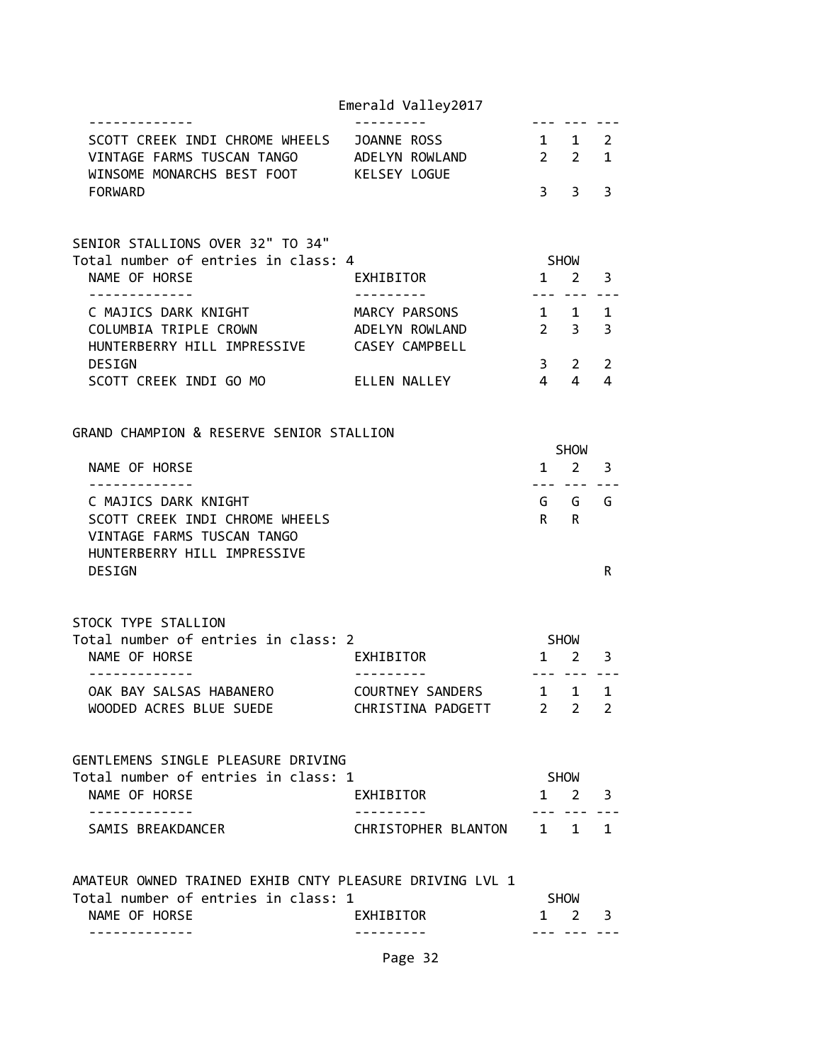|                                                                                                                       | Emerald Valley2017              |                |                                |                         |
|-----------------------------------------------------------------------------------------------------------------------|---------------------------------|----------------|--------------------------------|-------------------------|
| SCOTT CREEK INDI CHROME WHEELS JOANNE ROSS<br>VINTAGE FARMS TUSCAN TANGO ADELYN ROWLAND<br>WINSOME MONARCHS BEST FOOT | KELSEY LOGUE                    | 1 1 2          | $2 \quad 2$                    | $\mathbf{1}$            |
| <b>FORWARD</b>                                                                                                        |                                 | $\overline{3}$ | 3                              | 3                       |
| SENIOR STALLIONS OVER 32" TO 34"                                                                                      |                                 |                |                                |                         |
| Total number of entries in class: 4<br>NAME OF HORSE                                                                  | EXHIBITOR                       |                | SHOW<br>$1 \quad 2$            | 3                       |
|                                                                                                                       |                                 |                |                                |                         |
| C MAJICS DARK KNIGHT<br>COLUMBIA TRIPLE CROWN                                                                         | MARCY PARSONS<br>ADELYN ROWLAND |                | $1 \quad 1$<br>$2 \quad 3$     | $\mathbf{1}$<br>3       |
| HUNTERBERRY HILL IMPRESSIVE CASEY CAMPBELL                                                                            |                                 |                |                                |                         |
| <b>DESIGN</b>                                                                                                         |                                 | $3^{\circ}$    | $\mathbf{2}$                   | $\overline{2}$          |
| SCOTT CREEK INDI GO MO                                                                                                | ELLEN NALLEY                    | $\overline{4}$ | $\overline{4}$                 | 4                       |
| GRAND CHAMPION & RESERVE SENIOR STALLION                                                                              |                                 |                |                                |                         |
|                                                                                                                       |                                 |                | <b>SHOW</b>                    |                         |
| NAME OF HORSE                                                                                                         |                                 | 1              | $2^{\circ}$                    | 3                       |
| ------------<br>C MAJICS DARK KNIGHT                                                                                  |                                 |                | --- ---<br>GGG                 |                         |
| SCOTT CREEK INDI CHROME WHEELS<br>VINTAGE FARMS TUSCAN TANGO<br>HUNTERBERRY HILL IMPRESSIVE                           |                                 |                | $R$ R                          |                         |
| DESIGN                                                                                                                |                                 |                |                                | R                       |
| STOCK TYPE STALLION                                                                                                   |                                 |                |                                |                         |
| Total number of entries in class: 2                                                                                   |                                 | SHOW           |                                |                         |
| NAME OF HORSE<br>.                                                                                                    | EXHIBITOR                       |                | $1 \quad 2 \quad 3$<br>--- --- |                         |
| OAK BAY SALSAS HABANERO                                                                                               | COURTNEY SANDERS                | $\mathbf{1}$   | 1                              | 1                       |
| WOODED ACRES BLUE SUEDE                                                                                               | CHRISTINA PADGETT 2 2           |                |                                | 2                       |
| GENTLEMENS SINGLE PLEASURE DRIVING                                                                                    |                                 |                |                                |                         |
| Total number of entries in class: 1                                                                                   |                                 |                | SHOW                           |                         |
| NAME OF HORSE                                                                                                         | EXHIBITOR                       |                | $1 \quad 2 \quad 3$            |                         |
| .<br>SAMIS BREAKDANCER                                                                                                | CHRISTOPHER BLANTON 1 1 1       |                |                                |                         |
| AMATEUR OWNED TRAINED EXHIB CNTY PLEASURE DRIVING LVL 1                                                               |                                 |                |                                |                         |
| Total number of entries in class: 1<br>NAME OF HORSE                                                                  | EXHIBITOR                       |                | SHOW<br>$1 \quad 2$            | $\overline{\mathbf{3}}$ |
|                                                                                                                       |                                 |                |                                |                         |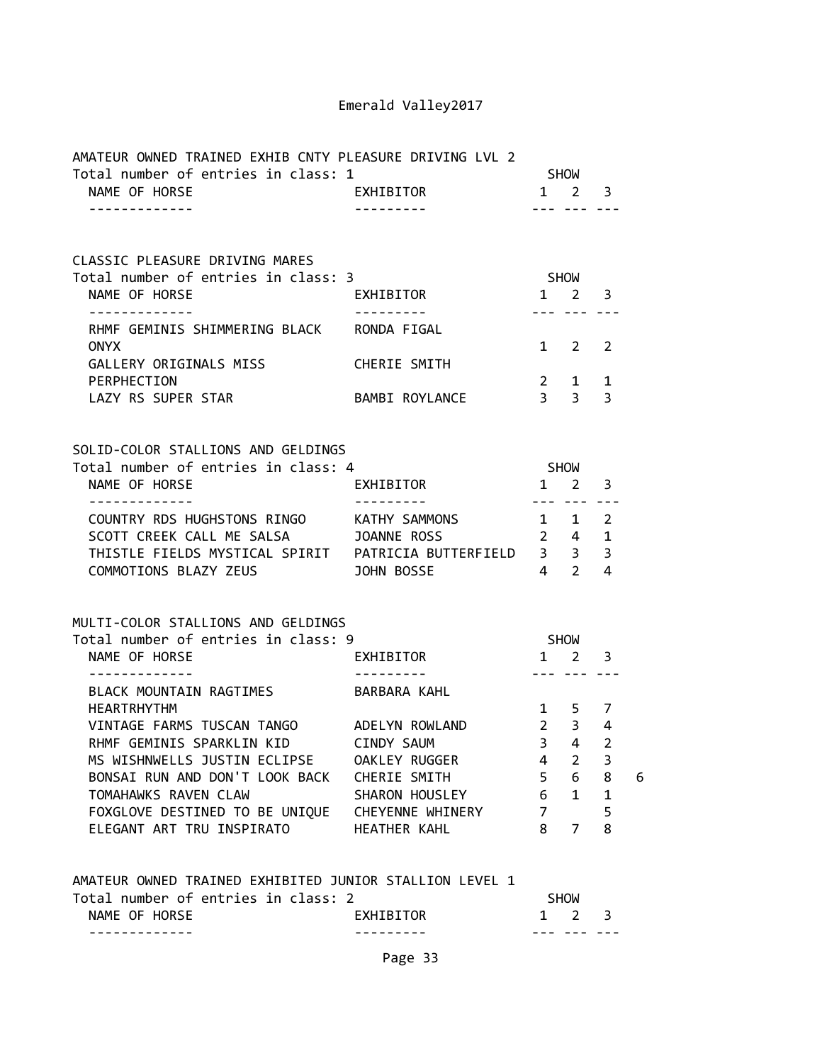| AMATEUR OWNED TRAINED EXHIB CNTY PLEASURE DRIVING LVL 2<br>Total number of entries in class: 1<br>SHOW |                        |                 |                                              |                          |   |
|--------------------------------------------------------------------------------------------------------|------------------------|-----------------|----------------------------------------------|--------------------------|---|
| NAME OF HORSE<br>-------------                                                                         | EXHIBITOR              |                 | $1 \quad 2 \quad 3$<br>--- --- ---           |                          |   |
| CLASSIC PLEASURE DRIVING MARES                                                                         |                        |                 |                                              |                          |   |
| Total number of entries in class: 3                                                                    |                        |                 | <b>SHOW</b>                                  |                          |   |
| NAME OF HORSE<br>-------------                                                                         | EXHIBITOR<br>--------- |                 | $1 \quad 2 \quad 3$<br>--- --- ---           |                          |   |
| RHMF GEMINIS SHIMMERING BLACK RONDA FIGAL<br><b>ONYX</b>                                               |                        |                 | $1 \quad 2 \quad 2$                          |                          |   |
| GALLERY ORIGINALS MISS CHERIE SMITH                                                                    |                        |                 |                                              |                          |   |
| PERPHECTION<br>LAZY RS SUPER STAR                                                                      | BAMBI ROYLANCE         |                 | $2 \quad 1 \quad 1$<br>$3 \qquad 3 \qquad 3$ |                          |   |
|                                                                                                        |                        |                 |                                              |                          |   |
| SOLID-COLOR STALLIONS AND GELDINGS<br>Total number of entries in class: 4                              |                        |                 |                                              |                          |   |
| NAME OF HORSE                                                                                          | EXHIBITOR              |                 | SHOW<br>$1 \quad 2 \quad 3$                  |                          |   |
| -------------<br>COUNTRY RDS HUGHSTONS RINGO KATHY SAMMONS                                             | ----------             |                 | --- --- ---<br>1 1 2                         |                          |   |
| SCOTT CREEK CALL ME SALSA JOANNE ROSS                                                                  |                        |                 | $2 \quad 4 \quad 1$                          |                          |   |
| COMMOTIONS BLAZY ZEUS <b>SECULIARY SUBSETIONS DELAY TO SECULI</b>                                      | $4 \quad 2 \quad 4$    |                 |                                              |                          |   |
|                                                                                                        |                        |                 |                                              |                          |   |
| MULTI-COLOR STALLIONS AND GELDINGS                                                                     |                        |                 |                                              |                          |   |
| Total number of entries in class: 9<br>NAME OF HORSE                                                   | EXHIBITOR              |                 | SHOW<br>$1 \quad 2 \quad 3$                  |                          |   |
|                                                                                                        |                        |                 | <u>--- --- ---</u>                           |                          |   |
| BLACK MOUNTAIN RAGTIMES BARBARA KAHL                                                                   |                        |                 |                                              |                          |   |
| <b>HEARTRHYTHM</b><br>VINTAGE FARMS TUSCAN TANGO ADELYN ROWLAND                                        |                        |                 | $1 \quad 5 \quad 7$<br>$2 \quad 3 \quad 4$   |                          |   |
| RHMF GEMINIS SPARKLIN KID CINDY SAUM                                                                   |                        |                 | $3 \quad 4 \quad 2$                          |                          |   |
| MS WISHNWELLS JUSTIN ECLIPSE OAKLEY RUGGER                                                             |                        | 4               | $2^{\circ}$                                  | $\overline{\phantom{a}}$ |   |
| BONSAI RUN AND DON'T LOOK BACK CHERIE SMITH                                                            |                        |                 | $5\quad 6\quad 8$                            |                          | 6 |
| TOMAHAWKS RAVEN CLAW                                                                                   | SHARON HOUSLEY         | $6\overline{6}$ | $\mathbf{1}$                                 | $\mathbf{1}$             |   |
| FOXGLOVE DESTINED TO BE UNIQUE  CHEYENNE WHINERY                                                       |                        |                 | 7                                            | 5                        |   |
| ELEGANT ART TRU INSPIRATO                                                                              | <b>HEATHER KAHL</b>    | $8 -$           | $7^{\circ}$                                  | 8                        |   |
| AMATEUR OWNED TRAINED EXHIBITED JUNIOR STALLION LEVEL 1                                                |                        |                 |                                              |                          |   |
| Total number of entries in class: 2                                                                    |                        |                 | SHOW                                         |                          |   |
| NAME OF HORSE                                                                                          | EXHIBITOR              |                 | $1\quad 2$                                   | $\overline{\mathbf{3}}$  |   |
| .                                                                                                      |                        |                 | --- --- ---                                  |                          |   |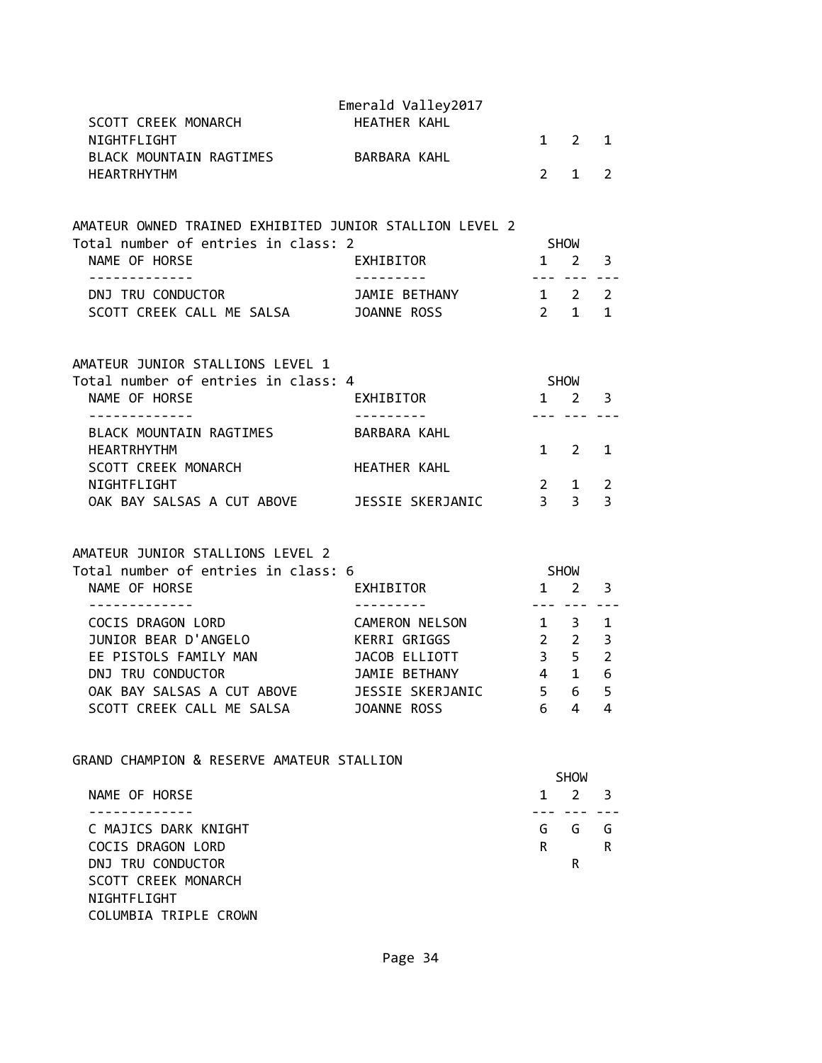| SCOTT CREEK MONARCH                                     | Emerald Valley2017<br>HEATHER KAHL |                                  |                    |                         |
|---------------------------------------------------------|------------------------------------|----------------------------------|--------------------|-------------------------|
| NIGHTFLIGHT<br>BLACK MOUNTAIN RAGTIMES BARBARA KAHL     |                                    |                                  | $1 \quad 2$        | $\mathbf{1}$            |
| <b>HEARTRHYTHM</b>                                      |                                    | $\mathbf{2}$                     | 1                  | $\overline{2}$          |
| AMATEUR OWNED TRAINED EXHIBITED JUNIOR STALLION LEVEL 2 |                                    |                                  |                    |                         |
| Total number of entries in class: 2                     |                                    |                                  | SHOW               |                         |
| NAME OF HORSE                                           | EXHIBITOR                          |                                  | $1 \quad 2$        | 3                       |
| DNJ TRU CONDUCTOR                                       | JAMIE BETHANY                      | $1 \quad 2 \quad 2$              | --- ---            |                         |
| SOOTT CREEK CALL ME SALSA JOANNE ROSS                   |                                    | $2 \quad 1$                      |                    | $\mathbf{1}$            |
| AMATEUR JUNIOR STALLIONS LEVEL 1                        |                                    |                                  |                    |                         |
| Total number of entries in class: 4                     |                                    |                                  | <b>SHOW</b>        |                         |
| NAME OF HORSE                                           | EXHIBITOR                          | $1 \quad 2$                      |                    | $\overline{\mathbf{3}}$ |
| - - - - - - - - - - - - -<br>BLACK MOUNTAIN RAGTIMES    | BARBARA KAHL                       |                                  | --- ---            |                         |
| <b>HEARTRHYTHM</b>                                      |                                    |                                  | $1 \quad 2$        | 1                       |
| SCOTT CREEK MONARCH                                     | <b>HEATHER KAHL</b>                |                                  |                    |                         |
| NIGHTFLIGHT                                             |                                    | $\overline{2}$<br>3 <sup>3</sup> | $\mathbf{1}$       | 2                       |
| OAK BAY SALSAS A CUT ABOVE JESSIE SKERJANIC             |                                    |                                  |                    | $\overline{3}$          |
| AMATEUR JUNIOR STALLIONS LEVEL 2                        |                                    |                                  |                    |                         |
| Total number of entries in class: 6                     |                                    | SHOW                             |                    |                         |
| NAME OF HORSE<br>-------------                          | EXHIBITOR<br>----------            | $1\quad 2$                       | <u>--- --- ---</u> | 3                       |
| COCIS DRAGON LORD                                       | CAMERON NELSON                     |                                  | $1 \quad 3$        | $\mathbf{1}$            |
| JUNIOR BEAR D'ANGELO                                    | KERRI GRIGGS                       |                                  | $2\quad 2$         | $\overline{\mathbf{3}}$ |
| EE PISTOLS FAMILY MAN<br>DNJ TRU CONDUCTOR              | JACOB ELLIOTT<br>JAMIE BETHANY 4 1 |                                  | $3 \quad 5$        | $\overline{2}$<br>6     |
| OAK BAY SALSAS A CUT ABOVE JESSIE SKERJANIC             |                                    | $5 -$                            | 6                  | 5                       |
| SCOTT CREEK CALL ME SALSA                               | JOANNE ROSS                        | 6                                | 4                  | 4                       |
| GRAND CHAMPION & RESERVE AMATEUR STALLION               |                                    |                                  |                    |                         |
|                                                         |                                    |                                  | <b>SHOW</b>        |                         |
| NAME OF HORSE                                           |                                    | $\mathbf{1}$                     | $\overline{2}$     | 3                       |
| C MAJICS DARK KNIGHT                                    |                                    | G                                | G                  | G                       |
| COCIS DRAGON LORD                                       |                                    | R.                               |                    | R                       |
| DNJ TRU CONDUCTOR                                       |                                    |                                  | R                  |                         |

 SCOTT CREEK MONARCH NIGHTFLIGHT COLUMBIA TRIPLE CROWN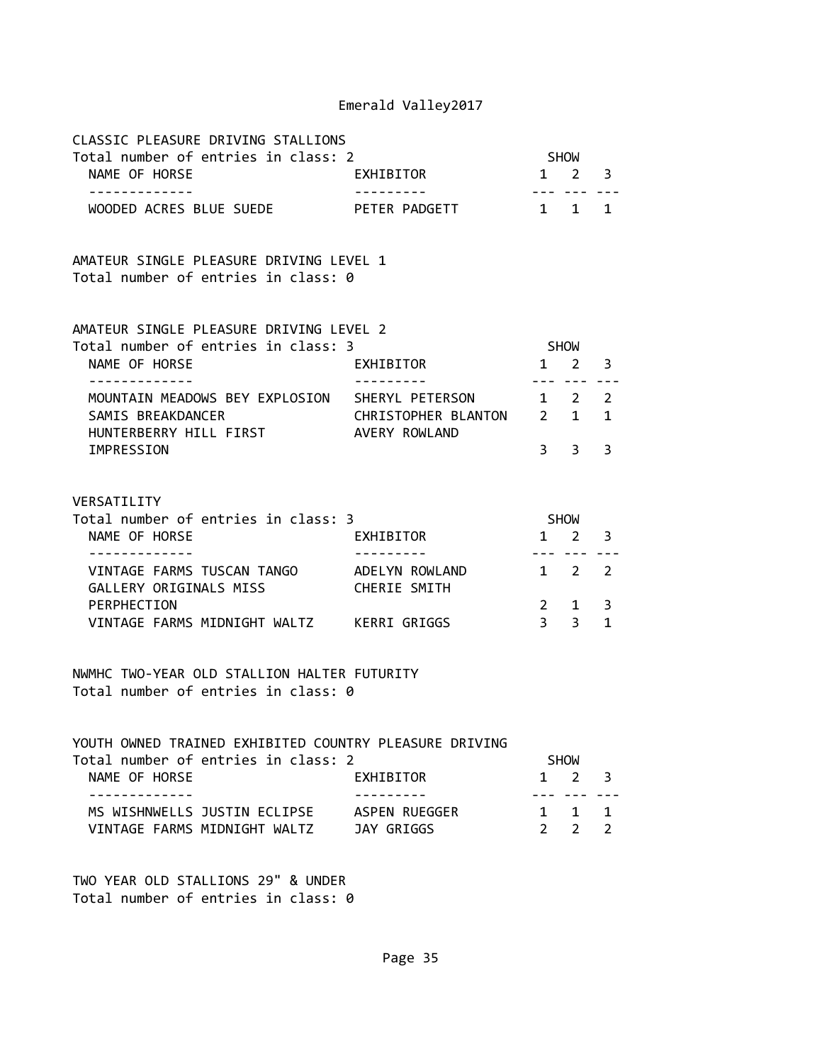| CLASSIC PLEASURE DRIVING STALLIONS<br>Total number of entries in class: 2          |                                          |                                                                                                                                                                                                                                                                                                                                                                                                                                                                                        | SHOW                           |                   |  |  |
|------------------------------------------------------------------------------------|------------------------------------------|----------------------------------------------------------------------------------------------------------------------------------------------------------------------------------------------------------------------------------------------------------------------------------------------------------------------------------------------------------------------------------------------------------------------------------------------------------------------------------------|--------------------------------|-------------------|--|--|
| NAME OF HORSE<br>-------------                                                     | EXHIBITOR<br>$- - - - - - - - - -$       | $\begin{array}{cccccccccccccc} \multicolumn{2}{c}{} & \multicolumn{2}{c}{} & \multicolumn{2}{c}{} & \multicolumn{2}{c}{} & \multicolumn{2}{c}{} & \multicolumn{2}{c}{} & \multicolumn{2}{c}{} & \multicolumn{2}{c}{} & \multicolumn{2}{c}{} & \multicolumn{2}{c}{} & \multicolumn{2}{c}{} & \multicolumn{2}{c}{} & \multicolumn{2}{c}{} & \multicolumn{2}{c}{} & \multicolumn{2}{c}{} & \multicolumn{2}{c}{} & \multicolumn{2}{c}{} & \multicolumn{2}{c}{} & \multicolumn{2}{c}{} & \$ | $1 \quad 2$                    | 3<br>$- - -$      |  |  |
| WOODED ACRES BLUE SUEDE PETER PADGETT                                              |                                          | $\mathbf{1}$                                                                                                                                                                                                                                                                                                                                                                                                                                                                           | $1 \quad$                      | $\mathbf{1}$      |  |  |
| AMATEUR SINGLE PLEASURE DRIVING LEVEL 1<br>Total number of entries in class: 0     |                                          |                                                                                                                                                                                                                                                                                                                                                                                                                                                                                        |                                |                   |  |  |
| AMATEUR SINGLE PLEASURE DRIVING LEVEL 2<br>Total number of entries in class: 3     |                                          |                                                                                                                                                                                                                                                                                                                                                                                                                                                                                        | SHOW                           |                   |  |  |
| NAME OF HORSE<br>. <u>_ _ _ _ _ _ _ _ _ _ _</u> _                                  | EXHIBITOR                                | $- - -$                                                                                                                                                                                                                                                                                                                                                                                                                                                                                | $1 \quad 2$<br>$- - -$         | 3                 |  |  |
| MOUNTAIN MEADOWS BEY EXPLOSION                                                     | SHERYL PETERSON                          |                                                                                                                                                                                                                                                                                                                                                                                                                                                                                        | $1 \quad 2$                    | $\overline{2}$    |  |  |
| SAMIS BREAKDANCER<br>HUNTERBERRY HILL FIRST                                        | CHRISTOPHER BLANTON 2 1<br>AVERY ROWLAND |                                                                                                                                                                                                                                                                                                                                                                                                                                                                                        |                                | 1                 |  |  |
| IMPRESSION                                                                         |                                          | $\overline{3}$                                                                                                                                                                                                                                                                                                                                                                                                                                                                         | 3                              | 3                 |  |  |
|                                                                                    |                                          |                                                                                                                                                                                                                                                                                                                                                                                                                                                                                        |                                |                   |  |  |
| VERSATILITY<br>Total number of entries in class: 3                                 |                                          | SHOW                                                                                                                                                                                                                                                                                                                                                                                                                                                                                   |                                |                   |  |  |
| NAME OF HORSE<br>-------------                                                     | EXHIBITOR<br>---------                   | 1                                                                                                                                                                                                                                                                                                                                                                                                                                                                                      | 2                              | 3                 |  |  |
| VINTAGE FARMS TUSCAN TANGO       ADELYN ROWLAND<br>GALLERY ORIGINALS MISS          | CHERIE SMITH                             |                                                                                                                                                                                                                                                                                                                                                                                                                                                                                        | --- ----<br>$1 \quad 2$        | 2                 |  |  |
| PERPHECTION<br>VINTAGE FARMS MIDNIGHT WALTZ KERRI GRIGGS                           |                                          | $3^{\circ}$                                                                                                                                                                                                                                                                                                                                                                                                                                                                            | $2 \qquad 1$<br>$\overline{3}$ | 3<br>$\mathbf{1}$ |  |  |
| NWMHC TWO-YEAR OLD STALLION HALTER FUTURITY<br>Total number of entries in class: 0 |                                          |                                                                                                                                                                                                                                                                                                                                                                                                                                                                                        |                                |                   |  |  |
| YOUTH OWNED TRAINED EXHIBITED COUNTRY PLEASURE DRIVING                             |                                          |                                                                                                                                                                                                                                                                                                                                                                                                                                                                                        |                                |                   |  |  |
| Total number of entries in class: 2<br>NAME OF HORSE                               | EXHIBITOR                                |                                                                                                                                                                                                                                                                                                                                                                                                                                                                                        | <b>SHOW</b><br>$1 \quad 2$     | 3                 |  |  |

| NAME OF HORSE                | EXHIBITOR     | 1 2 3               |
|------------------------------|---------------|---------------------|
|                              |               |                     |
| MS WISHNWELLS JUSTIN ECLIPSE | ASPEN RUEGGER | 1 1 1               |
| VINTAGE FARMS MIDNIGHT WALTZ | JAY GRIGGS    | $2 \quad 2 \quad 2$ |

TWO YEAR OLD STALLIONS 29" & UNDER Total number of entries in class: 0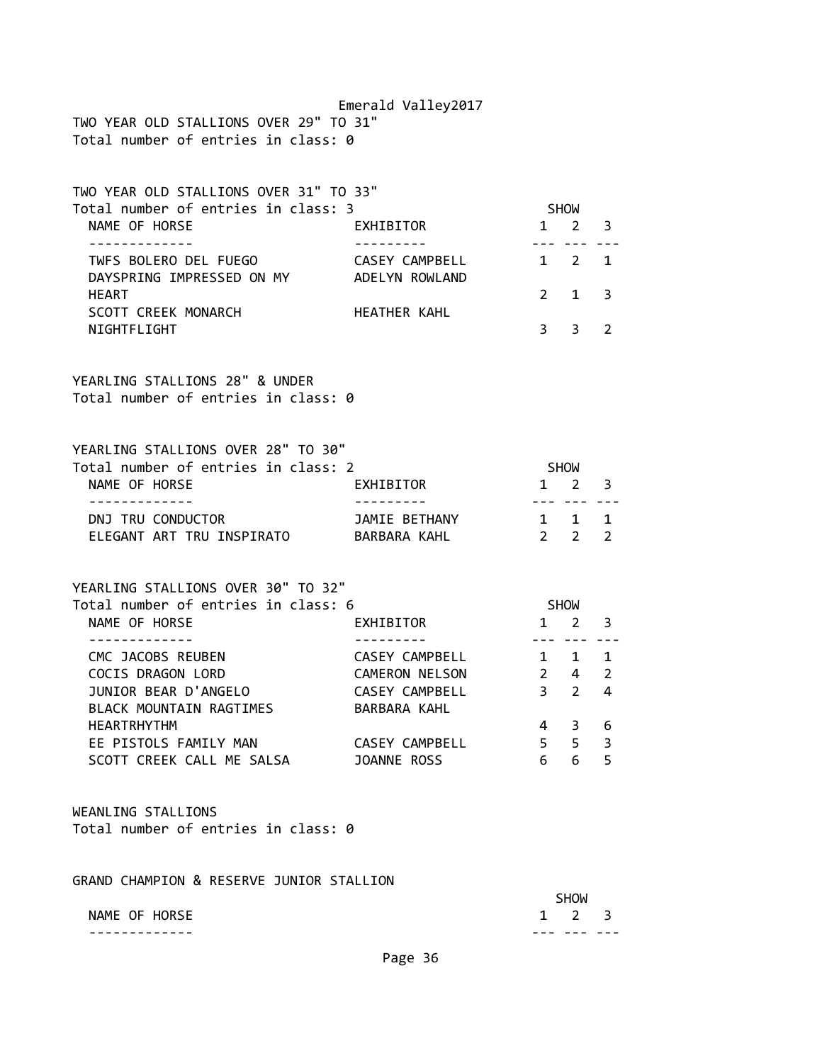Emerald Valley2017 TWO YEAR OLD STALLIONS OVER 29" TO 31" Total number of entries in class: 0

| TWO YEAR OLD STALLIONS OVER 31" TO 33"                                                     |                                  |                |                                |                |
|--------------------------------------------------------------------------------------------|----------------------------------|----------------|--------------------------------|----------------|
| Total number of entries in class: 3<br>NAME OF HORSE                                       | EXHIBITOR                        |                | SHOW<br>$1 \quad 2$            | 3              |
| --------------                                                                             | ----------                       | ----           | ---                            |                |
| TWFS BOLERO DEL FUEGO<br>DAYSPRING IMPRESSED ON MY                                         | CASEY CAMPBELL<br>ADELYN ROWLAND |                | $1 \quad 2$                    | 1              |
| <b>HEART</b><br>SCOTT CREEK MONARCH                                                        | HEATHER KAHL                     | $2^{\circ}$    | 1                              | 3              |
| NIGHTFLIGHT                                                                                |                                  | 3 <sup>7</sup> | 3                              | $\overline{2}$ |
| YEARLING STALLIONS 28" & UNDER<br>Total number of entries in class: 0                      |                                  |                |                                |                |
| YEARLING STALLIONS OVER 28" TO 30"<br>Total number of entries in class: 2                  |                                  | <b>SHOW</b>    |                                |                |
| NAME OF HORSE                                                                              | EXHIBITOR                        |                | $1 \quad 2 \quad 3$<br>--- --- |                |
|                                                                                            |                                  |                | 1 1                            | $\mathbf{1}$   |
| - - - - - - - - - - - - -<br>DNJ TRU CONDUCTOR<br>ELEGANT ART TRU INSPIRATO BARBARA KAHL   | JAMIE BETHANY                    |                | $2 \quad 2$                    | 2              |
| YEARLING STALLIONS OVER 30" TO 32"<br>Total number of entries in class: 6<br>NAME OF HORSE | EXHIBITOR                        |                | SHOW<br>$1 \quad 2$            | 3              |
| CMC JACOBS REUBEN                                                                          | CASEY CAMPBELL                   | ----           |                                | 1              |
| COCIS DRAGON LORD                                                                          | <b>CAMERON NELSON</b>            |                | $1 \quad 1$<br>$2 \quad 4$     | $\overline{2}$ |
| JUNIOR BEAR D'ANGELO                                                                       | CASEY CAMPBELL                   | 3 <sub>2</sub> |                                | 4              |
| BLACK MOUNTAIN RAGTIMES<br><b>HEARTRHYTHM</b>                                              | BARBARA KAHL                     |                | 4 3                            | 6              |
| EE PISTOLS FAMILY MAN                                                                      | CASEY CAMPBELL                   |                | 5 5                            | 3              |
| SCOTT CREEK CALL ME SALSA                                                                  | JOANNE ROSS                      | 6              | 6                              | 5              |
| WEANLING STALLIONS<br>Total number of entries in class: 0                                  |                                  |                |                                |                |
| GRAND CHAMPION & RESERVE JUNIOR STALLION                                                   |                                  |                | <b>SHOW</b>                    |                |

------------- --- --- ---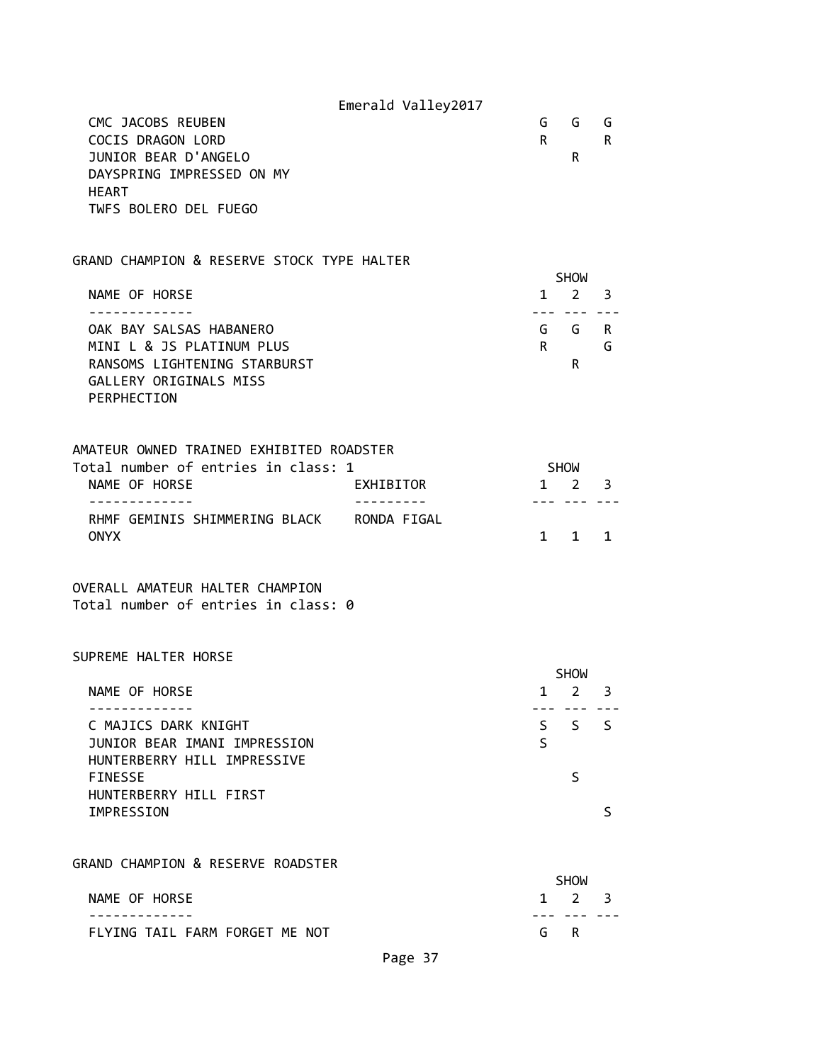|                                                                                                                               | Emerald Valley2017 |              |                                                   |        |
|-------------------------------------------------------------------------------------------------------------------------------|--------------------|--------------|---------------------------------------------------|--------|
| CMC JACOBS REUBEN<br>COCIS DRAGON LORD<br>JUNIOR BEAR D'ANGELO                                                                |                    | $\mathsf{R}$ | G G<br>R                                          | G<br>R |
| DAYSPRING IMPRESSED ON MY                                                                                                     |                    |              |                                                   |        |
| <b>HEART</b><br>TWFS BOLERO DEL FUEGO                                                                                         |                    |              |                                                   |        |
|                                                                                                                               |                    |              |                                                   |        |
| GRAND CHAMPION & RESERVE STOCK TYPE HALTER                                                                                    |                    |              | <b>SHOW</b>                                       |        |
| NAME OF HORSE                                                                                                                 |                    |              | $1 \quad 2 \quad 3$                               |        |
| OAK BAY SALSAS HABANERO<br>MINI L & JS PLATINUM PLUS<br>RANSOMS LIGHTENING STARBURST<br>GALLERY ORIGINALS MISS<br>PERPHECTION |                    | $\mathsf{R}$ | --- --- ---<br>G G R<br>R.                        | G      |
| AMATEUR OWNED TRAINED EXHIBITED ROADSTER<br>Total number of entries in class: 1<br>NAME OF HORSE                              | EXHIBITOR          |              | <b>SHOW</b><br>$1 \quad 2 \quad 3$<br>--- --- --- |        |
| RHMF GEMINIS SHIMMERING BLACK RONDA FIGAL<br><b>ONYX</b>                                                                      |                    |              | $1 \quad 1 \quad 1$                               |        |
| OVERALL AMATEUR HALTER CHAMPION<br>Total number of entries in class: 0                                                        |                    |              |                                                   |        |
| SUPREME HALTER HORSE                                                                                                          |                    |              |                                                   |        |
| NAME OF HORSE                                                                                                                 |                    |              | <b>SHOW</b><br>$1 \quad 2 \quad 3$                |        |
| C MAJICS DARK KNIGHT                                                                                                          |                    |              | $S$ $S$ $S$                                       |        |
| JUNIOR BEAR IMANI IMPRESSION<br>HUNTERBERRY HILL IMPRESSIVE                                                                   |                    | S            |                                                   |        |
| <b>FINESSE</b>                                                                                                                |                    |              | S                                                 |        |
| HUNTERBERRY HILL FIRST<br>IMPRESSION                                                                                          |                    |              |                                                   | S      |
| GRAND CHAMPION & RESERVE ROADSTER                                                                                             |                    |              |                                                   |        |
| NAME OF HORSE                                                                                                                 |                    | $\mathbf{1}$ | <b>SHOW</b><br>$2^{\circ}$                        | 3      |
| FLYING TAIL FARM FORGET ME NOT                                                                                                |                    | G            | R                                                 |        |